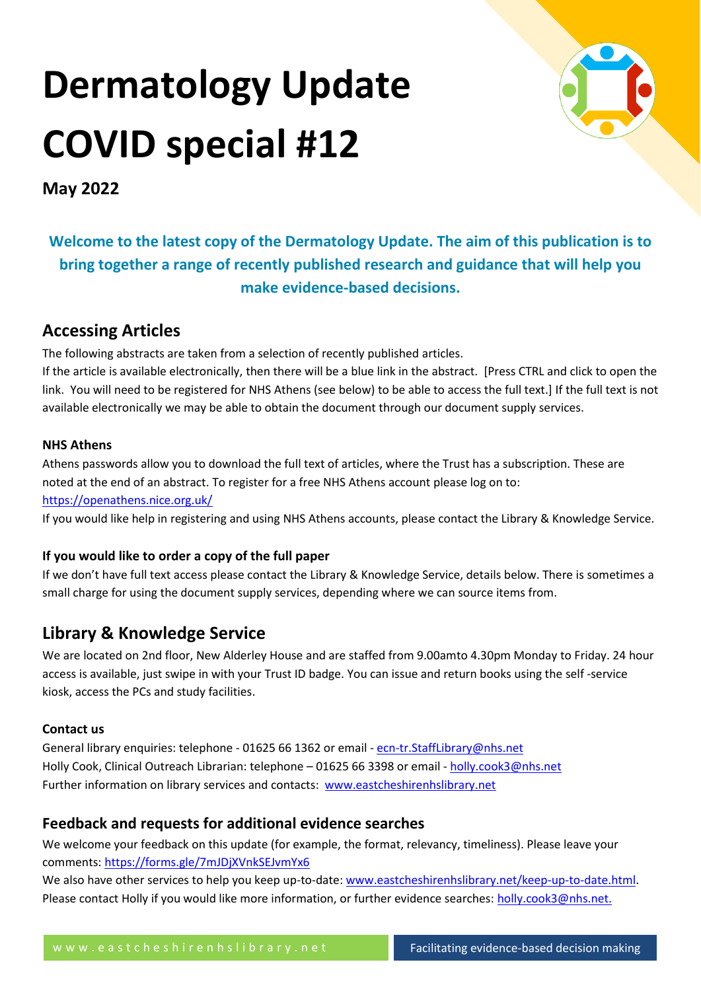# **Dermatology Update COVID special #12**



**May 2022**

**Welcome to the latest copy of the Dermatology Update. The aim of this publication is to bring together a range of recently published research and guidance that will help you make evidence-based decisions.**

# **Accessing Articles**

The following abstracts are taken from a selection of recently published articles.

If the article is available electronically, then there will be a blue link in the abstract. [Press CTRL and click to open the link. You will need to be registered for NHS Athens (see below) to be able to access the full text.] If the full text is not available electronically we may be able to obtain the document through our document supply services.

# **NHS Athens**

Athens passwords allow you to download the full text of articles, where the Trust has a subscription. These are noted at the end of an abstract. To register for a free NHS Athens account please log on to: <https://openathens.nice.org.uk/>

If you would like help in registering and using NHS Athens accounts, please contact the Library & Knowledge Service.

# **If you would like to order a copy of the full paper**

If we don't have full text access please contact the Library & Knowledge Service, details below. There is sometimes a small charge for using the document supply services, depending where we can source items from.

# **Library & Knowledge Service**

We are located on 2nd floor, New Alderley House and are staffed from 9.00amto 4.30pm Monday to Friday. 24 hour access is available, just swipe in with your Trust ID badge. You can issue and return books using the self -service kiosk, access the PCs and study facilities.

# **Contact us**

General library enquiries: telephone - 01625 66 1362 or email - ecn-tr. StaffLibrary@nhs.net Holly Cook, Clinical Outreach Librarian: telephone – 01625 66 3398 or email - [holly.cook3@nhs.net](mailto:holly.cook3@nhs.net) Further information on library services and contacts: [www.eastcheshirenhslibrary.net](http://www.eastcheshirenhslibrary.net/)

# **Feedback and requests for additional evidence searches**

We welcome your feedback on this update (for example, the format, relevancy, timeliness). Please leave your comments[: https://forms.gle/7mJDjXVnkSEJvmYx6](https://forms.gle/7mJDjXVnkSEJvmYx6)

We also have other services to help you keep up-to-date: [www.eastcheshirenhslibrary.net/keep-up-to-date.html.](http://www.eastcheshirenhslibrary.net/keep-up-to-date.html) Please contact Holly if you would like more information, or further evidence searches: [holly.cook3@nhs.net.](mailto:holly.cook3@nhs.net)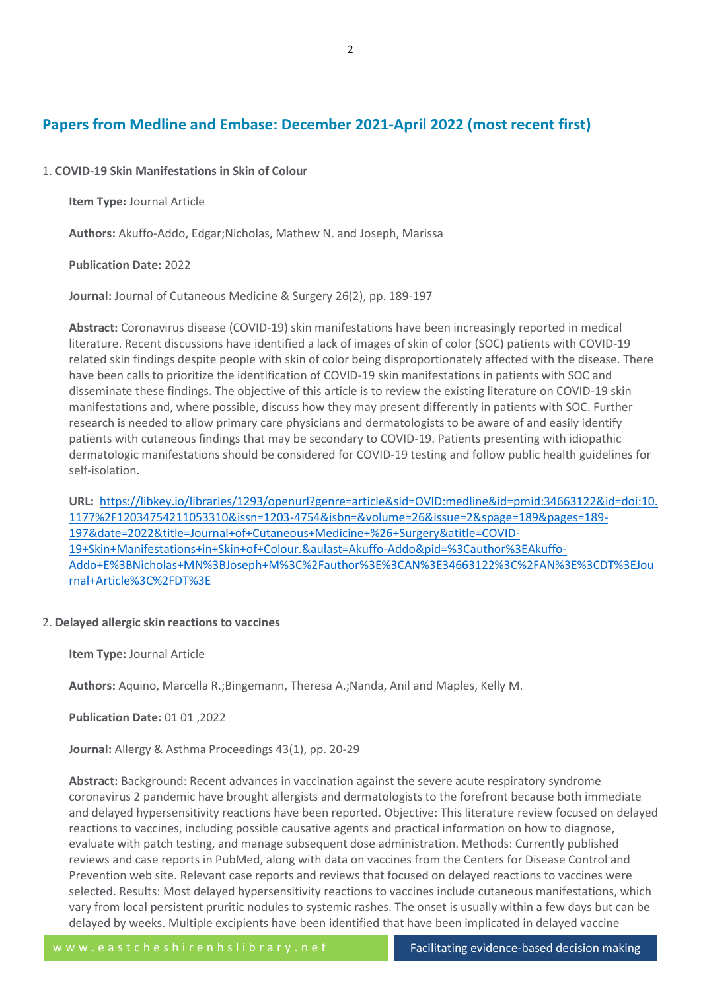# **Papers from Medline and Embase: December 2021-April 2022 (most recent first)**

# 1. **COVID-19 Skin Manifestations in Skin of Colour**

**Item Type:** Journal Article

**Authors:** Akuffo-Addo, Edgar;Nicholas, Mathew N. and Joseph, Marissa

**Publication Date:** 2022

**Journal:** Journal of Cutaneous Medicine & Surgery 26(2), pp. 189-197

**Abstract:** Coronavirus disease (COVID-19) skin manifestations have been increasingly reported in medical literature. Recent discussions have identified a lack of images of skin of color (SOC) patients with COVID-19 related skin findings despite people with skin of color being disproportionately affected with the disease. There have been calls to prioritize the identification of COVID-19 skin manifestations in patients with SOC and disseminate these findings. The objective of this article is to review the existing literature on COVID-19 skin manifestations and, where possible, discuss how they may present differently in patients with SOC. Further research is needed to allow primary care physicians and dermatologists to be aware of and easily identify patients with cutaneous findings that may be secondary to COVID-19. Patients presenting with idiopathic dermatologic manifestations should be considered for COVID-19 testing and follow public health guidelines for self-isolation.

**URL:** [https://libkey.io/libraries/1293/openurl?genre=article&sid=OVID:medline&id=pmid:34663122&id=doi:10.](https://libkey.io/libraries/1293/openurl?genre=article&sid=OVID:medline&id=pmid:34663122&id=doi:10.1177%2F12034754211053310&issn=1203-4754&isbn=&volume=26&issue=2&spage=189&pages=189-197&date=2022&title=Journal+of+Cutaneous+Medicine+%26+Surgery&atitle=COVID-19+Skin+Manifestations+in+Skin+of+Colour.&aulast=Akuffo-Addo&pid=%3Cauthor%3EAkuffo-Addo+E%3BNicholas+MN%3BJoseph+M%3C%2Fauthor%3E%3CAN%3E34663122%3C%2FAN%3E%3CDT%3EJournal+Article%3C%2FDT%3E) [1177%2F12034754211053310&issn=1203-4754&isbn=&volume=26&issue=2&spage=189&pages=189-](https://libkey.io/libraries/1293/openurl?genre=article&sid=OVID:medline&id=pmid:34663122&id=doi:10.1177%2F12034754211053310&issn=1203-4754&isbn=&volume=26&issue=2&spage=189&pages=189-197&date=2022&title=Journal+of+Cutaneous+Medicine+%26+Surgery&atitle=COVID-19+Skin+Manifestations+in+Skin+of+Colour.&aulast=Akuffo-Addo&pid=%3Cauthor%3EAkuffo-Addo+E%3BNicholas+MN%3BJoseph+M%3C%2Fauthor%3E%3CAN%3E34663122%3C%2FAN%3E%3CDT%3EJournal+Article%3C%2FDT%3E) [197&date=2022&title=Journal+of+Cutaneous+Medicine+%26+Surgery&atitle=COVID-](https://libkey.io/libraries/1293/openurl?genre=article&sid=OVID:medline&id=pmid:34663122&id=doi:10.1177%2F12034754211053310&issn=1203-4754&isbn=&volume=26&issue=2&spage=189&pages=189-197&date=2022&title=Journal+of+Cutaneous+Medicine+%26+Surgery&atitle=COVID-19+Skin+Manifestations+in+Skin+of+Colour.&aulast=Akuffo-Addo&pid=%3Cauthor%3EAkuffo-Addo+E%3BNicholas+MN%3BJoseph+M%3C%2Fauthor%3E%3CAN%3E34663122%3C%2FAN%3E%3CDT%3EJournal+Article%3C%2FDT%3E)[19+Skin+Manifestations+in+Skin+of+Colour.&aulast=Akuffo-Addo&pid=%3Cauthor%3EAkuffo-](https://libkey.io/libraries/1293/openurl?genre=article&sid=OVID:medline&id=pmid:34663122&id=doi:10.1177%2F12034754211053310&issn=1203-4754&isbn=&volume=26&issue=2&spage=189&pages=189-197&date=2022&title=Journal+of+Cutaneous+Medicine+%26+Surgery&atitle=COVID-19+Skin+Manifestations+in+Skin+of+Colour.&aulast=Akuffo-Addo&pid=%3Cauthor%3EAkuffo-Addo+E%3BNicholas+MN%3BJoseph+M%3C%2Fauthor%3E%3CAN%3E34663122%3C%2FAN%3E%3CDT%3EJournal+Article%3C%2FDT%3E)[Addo+E%3BNicholas+MN%3BJoseph+M%3C%2Fauthor%3E%3CAN%3E34663122%3C%2FAN%3E%3CDT%3EJou](https://libkey.io/libraries/1293/openurl?genre=article&sid=OVID:medline&id=pmid:34663122&id=doi:10.1177%2F12034754211053310&issn=1203-4754&isbn=&volume=26&issue=2&spage=189&pages=189-197&date=2022&title=Journal+of+Cutaneous+Medicine+%26+Surgery&atitle=COVID-19+Skin+Manifestations+in+Skin+of+Colour.&aulast=Akuffo-Addo&pid=%3Cauthor%3EAkuffo-Addo+E%3BNicholas+MN%3BJoseph+M%3C%2Fauthor%3E%3CAN%3E34663122%3C%2FAN%3E%3CDT%3EJournal+Article%3C%2FDT%3E) [rnal+Article%3C%2FDT%3E](https://libkey.io/libraries/1293/openurl?genre=article&sid=OVID:medline&id=pmid:34663122&id=doi:10.1177%2F12034754211053310&issn=1203-4754&isbn=&volume=26&issue=2&spage=189&pages=189-197&date=2022&title=Journal+of+Cutaneous+Medicine+%26+Surgery&atitle=COVID-19+Skin+Manifestations+in+Skin+of+Colour.&aulast=Akuffo-Addo&pid=%3Cauthor%3EAkuffo-Addo+E%3BNicholas+MN%3BJoseph+M%3C%2Fauthor%3E%3CAN%3E34663122%3C%2FAN%3E%3CDT%3EJournal+Article%3C%2FDT%3E)

#### 2. **Delayed allergic skin reactions to vaccines**

**Item Type:** Journal Article

**Authors:** Aquino, Marcella R.;Bingemann, Theresa A.;Nanda, Anil and Maples, Kelly M.

**Publication Date:** 01 01 ,2022

**Journal:** Allergy & Asthma Proceedings 43(1), pp. 20-29

**Abstract:** Background: Recent advances in vaccination against the severe acute respiratory syndrome coronavirus 2 pandemic have brought allergists and dermatologists to the forefront because both immediate and delayed hypersensitivity reactions have been reported. Objective: This literature review focused on delayed reactions to vaccines, including possible causative agents and practical information on how to diagnose, evaluate with patch testing, and manage subsequent dose administration. Methods: Currently published reviews and case reports in PubMed, along with data on vaccines from the Centers for Disease Control and Prevention web site. Relevant case reports and reviews that focused on delayed reactions to vaccines were selected. Results: Most delayed hypersensitivity reactions to vaccines include cutaneous manifestations, which vary from local persistent pruritic nodules to systemic rashes. The onset is usually within a few days but can be delayed by weeks. Multiple excipients have been identified that have been implicated in delayed vaccine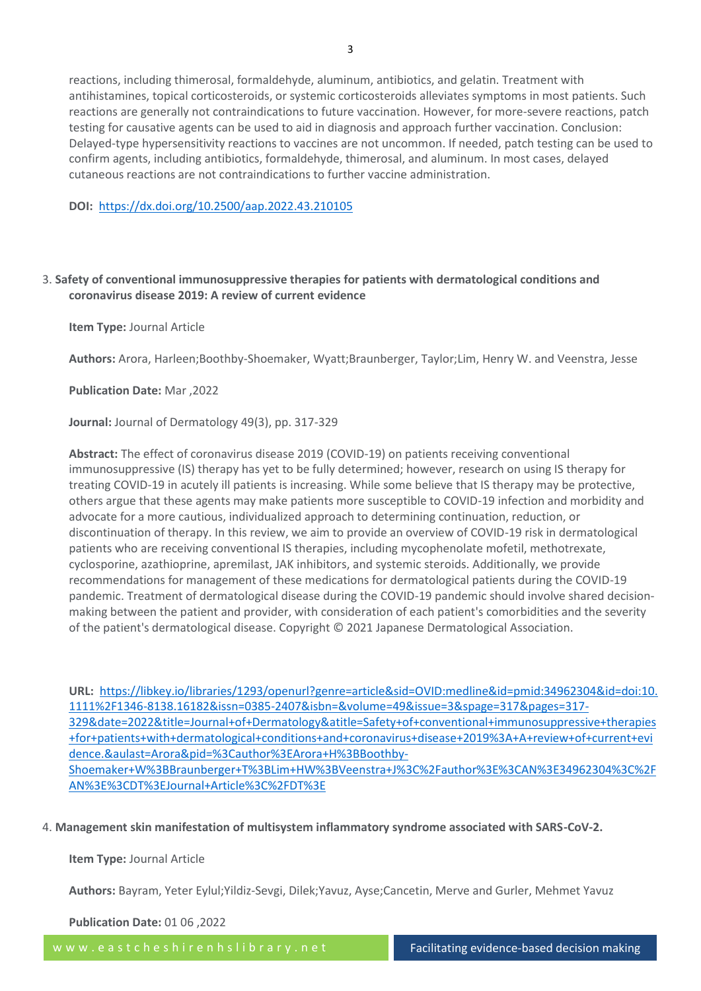reactions, including thimerosal, formaldehyde, aluminum, antibiotics, and gelatin. Treatment with antihistamines, topical corticosteroids, or systemic corticosteroids alleviates symptoms in most patients. Such reactions are generally not contraindications to future vaccination. However, for more-severe reactions, patch testing for causative agents can be used to aid in diagnosis and approach further vaccination. Conclusion: Delayed-type hypersensitivity reactions to vaccines are not uncommon. If needed, patch testing can be used to confirm agents, including antibiotics, formaldehyde, thimerosal, and aluminum. In most cases, delayed cutaneous reactions are not contraindications to further vaccine administration.

**DOI:** <https://dx.doi.org/10.2500/aap.2022.43.210105>

# 3. **Safety of conventional immunosuppressive therapies for patients with dermatological conditions and coronavirus disease 2019: A review of current evidence**

**Item Type:** Journal Article

**Authors:** Arora, Harleen;Boothby-Shoemaker, Wyatt;Braunberger, Taylor;Lim, Henry W. and Veenstra, Jesse

**Publication Date:** Mar ,2022

**Journal:** Journal of Dermatology 49(3), pp. 317-329

**Abstract:** The effect of coronavirus disease 2019 (COVID-19) on patients receiving conventional immunosuppressive (IS) therapy has yet to be fully determined; however, research on using IS therapy for treating COVID-19 in acutely ill patients is increasing. While some believe that IS therapy may be protective, others argue that these agents may make patients more susceptible to COVID-19 infection and morbidity and advocate for a more cautious, individualized approach to determining continuation, reduction, or discontinuation of therapy. In this review, we aim to provide an overview of COVID-19 risk in dermatological patients who are receiving conventional IS therapies, including mycophenolate mofetil, methotrexate, cyclosporine, azathioprine, apremilast, JAK inhibitors, and systemic steroids. Additionally, we provide recommendations for management of these medications for dermatological patients during the COVID-19 pandemic. Treatment of dermatological disease during the COVID-19 pandemic should involve shared decisionmaking between the patient and provider, with consideration of each patient's comorbidities and the severity of the patient's dermatological disease. Copyright © 2021 Japanese Dermatological Association.

**URL:** [https://libkey.io/libraries/1293/openurl?genre=article&sid=OVID:medline&id=pmid:34962304&id=doi:10.](https://libkey.io/libraries/1293/openurl?genre=article&sid=OVID:medline&id=pmid:34962304&id=doi:10.1111%2F1346-8138.16182&issn=0385-2407&isbn=&volume=49&issue=3&spage=317&pages=317-329&date=2022&title=Journal+of+Dermatology&atitle=Safety+of+conventional+immunosuppressive+therapies+for+patients+with+dermatological+conditions+and+coronavirus+disease+2019%3A+A+review+of+current+evidence.&aulast=Arora&pid=%3Cauthor%3EArora+H%3BBoothby-Shoemaker+W%3BBraunberger+T%3BLim+HW%3BVeenstra+J%3C%2Fauthor%3E%3CAN%3E34962304%3C%2FAN%3E%3CDT%3EJournal+Article%3C%2FDT%3E) [1111%2F1346-8138.16182&issn=0385-2407&isbn=&volume=49&issue=3&spage=317&pages=317-](https://libkey.io/libraries/1293/openurl?genre=article&sid=OVID:medline&id=pmid:34962304&id=doi:10.1111%2F1346-8138.16182&issn=0385-2407&isbn=&volume=49&issue=3&spage=317&pages=317-329&date=2022&title=Journal+of+Dermatology&atitle=Safety+of+conventional+immunosuppressive+therapies+for+patients+with+dermatological+conditions+and+coronavirus+disease+2019%3A+A+review+of+current+evidence.&aulast=Arora&pid=%3Cauthor%3EArora+H%3BBoothby-Shoemaker+W%3BBraunberger+T%3BLim+HW%3BVeenstra+J%3C%2Fauthor%3E%3CAN%3E34962304%3C%2FAN%3E%3CDT%3EJournal+Article%3C%2FDT%3E) [329&date=2022&title=Journal+of+Dermatology&atitle=Safety+of+conventional+immunosuppressive+therapies](https://libkey.io/libraries/1293/openurl?genre=article&sid=OVID:medline&id=pmid:34962304&id=doi:10.1111%2F1346-8138.16182&issn=0385-2407&isbn=&volume=49&issue=3&spage=317&pages=317-329&date=2022&title=Journal+of+Dermatology&atitle=Safety+of+conventional+immunosuppressive+therapies+for+patients+with+dermatological+conditions+and+coronavirus+disease+2019%3A+A+review+of+current+evidence.&aulast=Arora&pid=%3Cauthor%3EArora+H%3BBoothby-Shoemaker+W%3BBraunberger+T%3BLim+HW%3BVeenstra+J%3C%2Fauthor%3E%3CAN%3E34962304%3C%2FAN%3E%3CDT%3EJournal+Article%3C%2FDT%3E) [+for+patients+with+dermatological+conditions+and+coronavirus+disease+2019%3A+A+review+of+current+evi](https://libkey.io/libraries/1293/openurl?genre=article&sid=OVID:medline&id=pmid:34962304&id=doi:10.1111%2F1346-8138.16182&issn=0385-2407&isbn=&volume=49&issue=3&spage=317&pages=317-329&date=2022&title=Journal+of+Dermatology&atitle=Safety+of+conventional+immunosuppressive+therapies+for+patients+with+dermatological+conditions+and+coronavirus+disease+2019%3A+A+review+of+current+evidence.&aulast=Arora&pid=%3Cauthor%3EArora+H%3BBoothby-Shoemaker+W%3BBraunberger+T%3BLim+HW%3BVeenstra+J%3C%2Fauthor%3E%3CAN%3E34962304%3C%2FAN%3E%3CDT%3EJournal+Article%3C%2FDT%3E) [dence.&aulast=Arora&pid=%3Cauthor%3EArora+H%3BBoothby-](https://libkey.io/libraries/1293/openurl?genre=article&sid=OVID:medline&id=pmid:34962304&id=doi:10.1111%2F1346-8138.16182&issn=0385-2407&isbn=&volume=49&issue=3&spage=317&pages=317-329&date=2022&title=Journal+of+Dermatology&atitle=Safety+of+conventional+immunosuppressive+therapies+for+patients+with+dermatological+conditions+and+coronavirus+disease+2019%3A+A+review+of+current+evidence.&aulast=Arora&pid=%3Cauthor%3EArora+H%3BBoothby-Shoemaker+W%3BBraunberger+T%3BLim+HW%3BVeenstra+J%3C%2Fauthor%3E%3CAN%3E34962304%3C%2FAN%3E%3CDT%3EJournal+Article%3C%2FDT%3E)[Shoemaker+W%3BBraunberger+T%3BLim+HW%3BVeenstra+J%3C%2Fauthor%3E%3CAN%3E34962304%3C%2F](https://libkey.io/libraries/1293/openurl?genre=article&sid=OVID:medline&id=pmid:34962304&id=doi:10.1111%2F1346-8138.16182&issn=0385-2407&isbn=&volume=49&issue=3&spage=317&pages=317-329&date=2022&title=Journal+of+Dermatology&atitle=Safety+of+conventional+immunosuppressive+therapies+for+patients+with+dermatological+conditions+and+coronavirus+disease+2019%3A+A+review+of+current+evidence.&aulast=Arora&pid=%3Cauthor%3EArora+H%3BBoothby-Shoemaker+W%3BBraunberger+T%3BLim+HW%3BVeenstra+J%3C%2Fauthor%3E%3CAN%3E34962304%3C%2FAN%3E%3CDT%3EJournal+Article%3C%2FDT%3E) [AN%3E%3CDT%3EJournal+Article%3C%2FDT%3E](https://libkey.io/libraries/1293/openurl?genre=article&sid=OVID:medline&id=pmid:34962304&id=doi:10.1111%2F1346-8138.16182&issn=0385-2407&isbn=&volume=49&issue=3&spage=317&pages=317-329&date=2022&title=Journal+of+Dermatology&atitle=Safety+of+conventional+immunosuppressive+therapies+for+patients+with+dermatological+conditions+and+coronavirus+disease+2019%3A+A+review+of+current+evidence.&aulast=Arora&pid=%3Cauthor%3EArora+H%3BBoothby-Shoemaker+W%3BBraunberger+T%3BLim+HW%3BVeenstra+J%3C%2Fauthor%3E%3CAN%3E34962304%3C%2FAN%3E%3CDT%3EJournal+Article%3C%2FDT%3E)

4. **Management skin manifestation of multisystem inflammatory syndrome associated with SARS-CoV-2.**

#### **Item Type:** Journal Article

**Authors:** Bayram, Yeter Eylul;Yildiz-Sevgi, Dilek;Yavuz, Ayse;Cancetin, Merve and Gurler, Mehmet Yavuz

**Publication Date:** 01 06 ,2022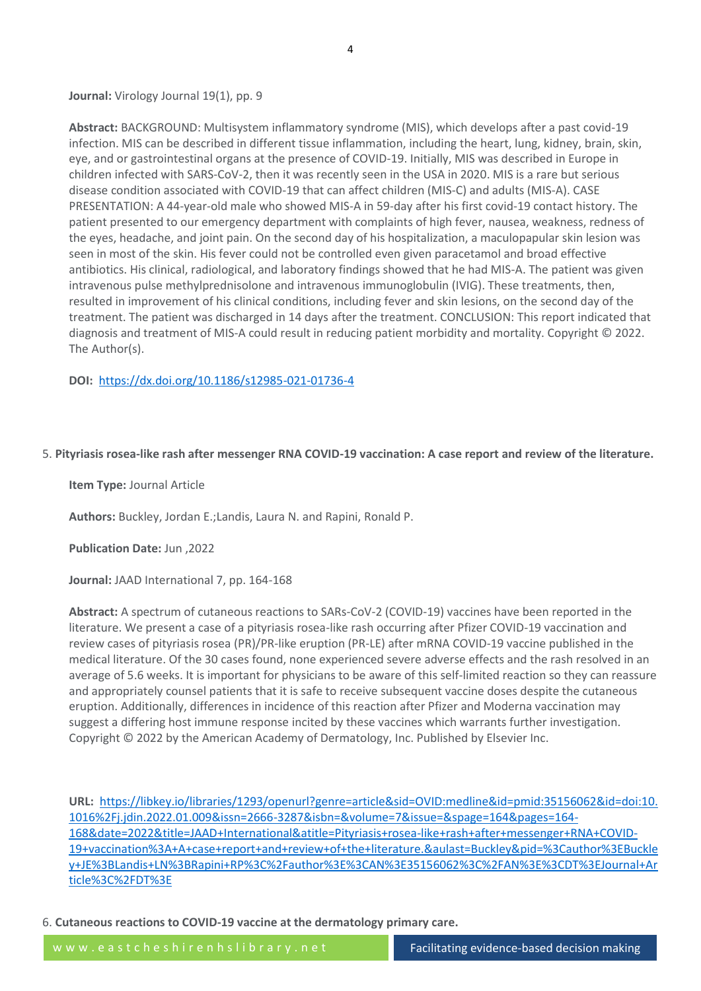# Journal: Virology Journal 19(1), pp. 9

**Abstract:** BACKGROUND: Multisystem inflammatory syndrome (MIS), which develops after a past covid-19 infection. MIS can be described in different tissue inflammation, including the heart, lung, kidney, brain, skin, eye, and or gastrointestinal organs at the presence of COVID-19. Initially, MIS was described in Europe in children infected with SARS-CoV-2, then it was recently seen in the USA in 2020. MIS is a rare but serious disease condition associated with COVID-19 that can affect children (MIS-C) and adults (MIS-A). CASE PRESENTATION: A 44-year-old male who showed MIS-A in 59-day after his first covid-19 contact history. The patient presented to our emergency department with complaints of high fever, nausea, weakness, redness of the eyes, headache, and joint pain. On the second day of his hospitalization, a maculopapular skin lesion was seen in most of the skin. His fever could not be controlled even given paracetamol and broad effective antibiotics. His clinical, radiological, and laboratory findings showed that he had MIS-A. The patient was given intravenous pulse methylprednisolone and intravenous immunoglobulin (IVIG). These treatments, then, resulted in improvement of his clinical conditions, including fever and skin lesions, on the second day of the treatment. The patient was discharged in 14 days after the treatment. CONCLUSION: This report indicated that diagnosis and treatment of MIS-A could result in reducing patient morbidity and mortality. Copyright © 2022. The Author(s).

## **DOI:** <https://dx.doi.org/10.1186/s12985-021-01736-4>

#### 5. **Pityriasis rosea-like rash after messenger RNA COVID-19 vaccination: A case report and review of the literature.**

**Item Type:** Journal Article

**Authors:** Buckley, Jordan E.;Landis, Laura N. and Rapini, Ronald P.

**Publication Date:** Jun ,2022

**Journal:** JAAD International 7, pp. 164-168

**Abstract:** A spectrum of cutaneous reactions to SARs-CoV-2 (COVID-19) vaccines have been reported in the literature. We present a case of a pityriasis rosea-like rash occurring after Pfizer COVID-19 vaccination and review cases of pityriasis rosea (PR)/PR-like eruption (PR-LE) after mRNA COVID-19 vaccine published in the medical literature. Of the 30 cases found, none experienced severe adverse effects and the rash resolved in an average of 5.6 weeks. It is important for physicians to be aware of this self-limited reaction so they can reassure and appropriately counsel patients that it is safe to receive subsequent vaccine doses despite the cutaneous eruption. Additionally, differences in incidence of this reaction after Pfizer and Moderna vaccination may suggest a differing host immune response incited by these vaccines which warrants further investigation. Copyright © 2022 by the American Academy of Dermatology, Inc. Published by Elsevier Inc.

**URL:** [https://libkey.io/libraries/1293/openurl?genre=article&sid=OVID:medline&id=pmid:35156062&id=doi:10.](https://libkey.io/libraries/1293/openurl?genre=article&sid=OVID:medline&id=pmid:35156062&id=doi:10.1016%2Fj.jdin.2022.01.009&issn=2666-3287&isbn=&volume=7&issue=&spage=164&pages=164-168&date=2022&title=JAAD+International&atitle=Pityriasis+rosea-like+rash+after+messenger+RNA+COVID-19+vaccination%3A+A+case+report+and+review+of+the+literature.&aulast=Buckley&pid=%3Cauthor%3EBuckley+JE%3BLandis+LN%3BRapini+RP%3C%2Fauthor%3E%3CAN%3E35156062%3C%2FAN%3E%3CDT%3EJournal+Article%3C%2FDT%3E) [1016%2Fj.jdin.2022.01.009&issn=2666-3287&isbn=&volume=7&issue=&spage=164&pages=164-](https://libkey.io/libraries/1293/openurl?genre=article&sid=OVID:medline&id=pmid:35156062&id=doi:10.1016%2Fj.jdin.2022.01.009&issn=2666-3287&isbn=&volume=7&issue=&spage=164&pages=164-168&date=2022&title=JAAD+International&atitle=Pityriasis+rosea-like+rash+after+messenger+RNA+COVID-19+vaccination%3A+A+case+report+and+review+of+the+literature.&aulast=Buckley&pid=%3Cauthor%3EBuckley+JE%3BLandis+LN%3BRapini+RP%3C%2Fauthor%3E%3CAN%3E35156062%3C%2FAN%3E%3CDT%3EJournal+Article%3C%2FDT%3E) [168&date=2022&title=JAAD+International&atitle=Pityriasis+rosea-like+rash+after+messenger+RNA+COVID-](https://libkey.io/libraries/1293/openurl?genre=article&sid=OVID:medline&id=pmid:35156062&id=doi:10.1016%2Fj.jdin.2022.01.009&issn=2666-3287&isbn=&volume=7&issue=&spage=164&pages=164-168&date=2022&title=JAAD+International&atitle=Pityriasis+rosea-like+rash+after+messenger+RNA+COVID-19+vaccination%3A+A+case+report+and+review+of+the+literature.&aulast=Buckley&pid=%3Cauthor%3EBuckley+JE%3BLandis+LN%3BRapini+RP%3C%2Fauthor%3E%3CAN%3E35156062%3C%2FAN%3E%3CDT%3EJournal+Article%3C%2FDT%3E)[19+vaccination%3A+A+case+report+and+review+of+the+literature.&aulast=Buckley&pid=%3Cauthor%3EBuckle](https://libkey.io/libraries/1293/openurl?genre=article&sid=OVID:medline&id=pmid:35156062&id=doi:10.1016%2Fj.jdin.2022.01.009&issn=2666-3287&isbn=&volume=7&issue=&spage=164&pages=164-168&date=2022&title=JAAD+International&atitle=Pityriasis+rosea-like+rash+after+messenger+RNA+COVID-19+vaccination%3A+A+case+report+and+review+of+the+literature.&aulast=Buckley&pid=%3Cauthor%3EBuckley+JE%3BLandis+LN%3BRapini+RP%3C%2Fauthor%3E%3CAN%3E35156062%3C%2FAN%3E%3CDT%3EJournal+Article%3C%2FDT%3E) [y+JE%3BLandis+LN%3BRapini+RP%3C%2Fauthor%3E%3CAN%3E35156062%3C%2FAN%3E%3CDT%3EJournal+Ar](https://libkey.io/libraries/1293/openurl?genre=article&sid=OVID:medline&id=pmid:35156062&id=doi:10.1016%2Fj.jdin.2022.01.009&issn=2666-3287&isbn=&volume=7&issue=&spage=164&pages=164-168&date=2022&title=JAAD+International&atitle=Pityriasis+rosea-like+rash+after+messenger+RNA+COVID-19+vaccination%3A+A+case+report+and+review+of+the+literature.&aulast=Buckley&pid=%3Cauthor%3EBuckley+JE%3BLandis+LN%3BRapini+RP%3C%2Fauthor%3E%3CAN%3E35156062%3C%2FAN%3E%3CDT%3EJournal+Article%3C%2FDT%3E) [ticle%3C%2FDT%3E](https://libkey.io/libraries/1293/openurl?genre=article&sid=OVID:medline&id=pmid:35156062&id=doi:10.1016%2Fj.jdin.2022.01.009&issn=2666-3287&isbn=&volume=7&issue=&spage=164&pages=164-168&date=2022&title=JAAD+International&atitle=Pityriasis+rosea-like+rash+after+messenger+RNA+COVID-19+vaccination%3A+A+case+report+and+review+of+the+literature.&aulast=Buckley&pid=%3Cauthor%3EBuckley+JE%3BLandis+LN%3BRapini+RP%3C%2Fauthor%3E%3CAN%3E35156062%3C%2FAN%3E%3CDT%3EJournal+Article%3C%2FDT%3E)

6. **Cutaneous reactions to COVID-19 vaccine at the dermatology primary care.**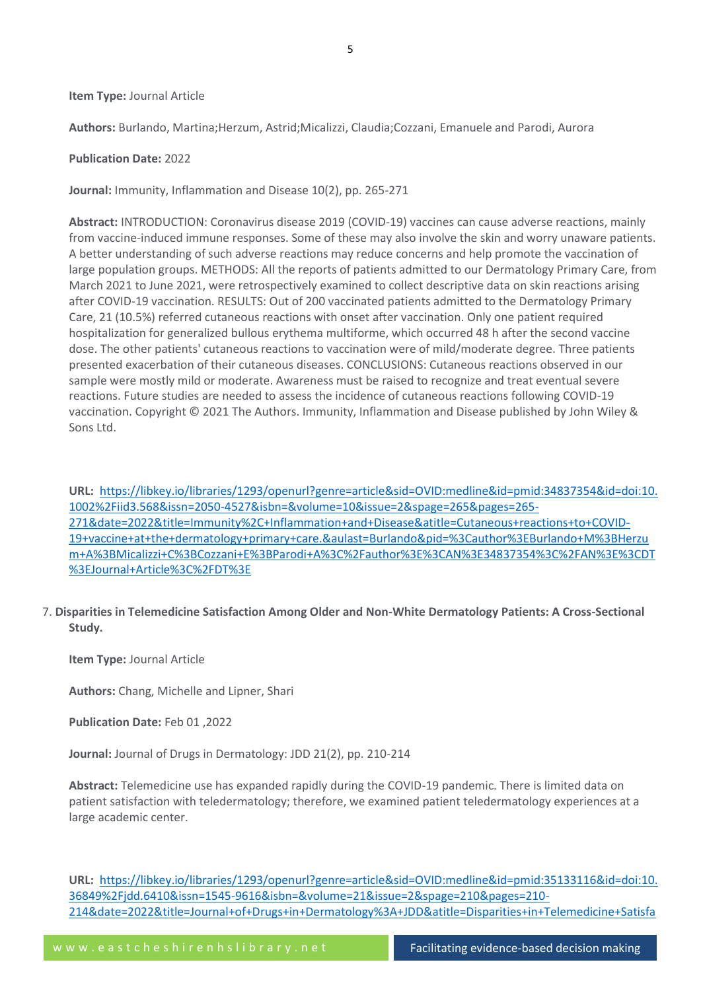#### **Item Type:** Journal Article

**Authors:** Burlando, Martina;Herzum, Astrid;Micalizzi, Claudia;Cozzani, Emanuele and Parodi, Aurora

#### **Publication Date:** 2022

**Journal:** Immunity, Inflammation and Disease 10(2), pp. 265-271

**Abstract:** INTRODUCTION: Coronavirus disease 2019 (COVID-19) vaccines can cause adverse reactions, mainly from vaccine-induced immune responses. Some of these may also involve the skin and worry unaware patients. A better understanding of such adverse reactions may reduce concerns and help promote the vaccination of large population groups. METHODS: All the reports of patients admitted to our Dermatology Primary Care, from March 2021 to June 2021, were retrospectively examined to collect descriptive data on skin reactions arising after COVID-19 vaccination. RESULTS: Out of 200 vaccinated patients admitted to the Dermatology Primary Care, 21 (10.5%) referred cutaneous reactions with onset after vaccination. Only one patient required hospitalization for generalized bullous erythema multiforme, which occurred 48 h after the second vaccine dose. The other patients' cutaneous reactions to vaccination were of mild/moderate degree. Three patients presented exacerbation of their cutaneous diseases. CONCLUSIONS: Cutaneous reactions observed in our sample were mostly mild or moderate. Awareness must be raised to recognize and treat eventual severe reactions. Future studies are needed to assess the incidence of cutaneous reactions following COVID-19 vaccination. Copyright © 2021 The Authors. Immunity, Inflammation and Disease published by John Wiley & Sons Ltd.

**URL:** [https://libkey.io/libraries/1293/openurl?genre=article&sid=OVID:medline&id=pmid:34837354&id=doi:10.](https://libkey.io/libraries/1293/openurl?genre=article&sid=OVID:medline&id=pmid:34837354&id=doi:10.1002%2Fiid3.568&issn=2050-4527&isbn=&volume=10&issue=2&spage=265&pages=265-271&date=2022&title=Immunity%2C+Inflammation+and+Disease&atitle=Cutaneous+reactions+to+COVID-19+vaccine+at+the+dermatology+primary+care.&aulast=Burlando&pid=%3Cauthor%3EBurlando+M%3BHerzum+A%3BMicalizzi+C%3BCozzani+E%3BParodi+A%3C%2Fauthor%3E%3CAN%3E34837354%3C%2FAN%3E%3CDT%3EJournal+Article%3C%2FDT%3E) [1002%2Fiid3.568&issn=2050-4527&isbn=&volume=10&issue=2&spage=265&pages=265-](https://libkey.io/libraries/1293/openurl?genre=article&sid=OVID:medline&id=pmid:34837354&id=doi:10.1002%2Fiid3.568&issn=2050-4527&isbn=&volume=10&issue=2&spage=265&pages=265-271&date=2022&title=Immunity%2C+Inflammation+and+Disease&atitle=Cutaneous+reactions+to+COVID-19+vaccine+at+the+dermatology+primary+care.&aulast=Burlando&pid=%3Cauthor%3EBurlando+M%3BHerzum+A%3BMicalizzi+C%3BCozzani+E%3BParodi+A%3C%2Fauthor%3E%3CAN%3E34837354%3C%2FAN%3E%3CDT%3EJournal+Article%3C%2FDT%3E) [271&date=2022&title=Immunity%2C+Inflammation+and+Disease&atitle=Cutaneous+reactions+to+COVID-](https://libkey.io/libraries/1293/openurl?genre=article&sid=OVID:medline&id=pmid:34837354&id=doi:10.1002%2Fiid3.568&issn=2050-4527&isbn=&volume=10&issue=2&spage=265&pages=265-271&date=2022&title=Immunity%2C+Inflammation+and+Disease&atitle=Cutaneous+reactions+to+COVID-19+vaccine+at+the+dermatology+primary+care.&aulast=Burlando&pid=%3Cauthor%3EBurlando+M%3BHerzum+A%3BMicalizzi+C%3BCozzani+E%3BParodi+A%3C%2Fauthor%3E%3CAN%3E34837354%3C%2FAN%3E%3CDT%3EJournal+Article%3C%2FDT%3E)[19+vaccine+at+the+dermatology+primary+care.&aulast=Burlando&pid=%3Cauthor%3EBurlando+M%3BHerzu](https://libkey.io/libraries/1293/openurl?genre=article&sid=OVID:medline&id=pmid:34837354&id=doi:10.1002%2Fiid3.568&issn=2050-4527&isbn=&volume=10&issue=2&spage=265&pages=265-271&date=2022&title=Immunity%2C+Inflammation+and+Disease&atitle=Cutaneous+reactions+to+COVID-19+vaccine+at+the+dermatology+primary+care.&aulast=Burlando&pid=%3Cauthor%3EBurlando+M%3BHerzum+A%3BMicalizzi+C%3BCozzani+E%3BParodi+A%3C%2Fauthor%3E%3CAN%3E34837354%3C%2FAN%3E%3CDT%3EJournal+Article%3C%2FDT%3E) [m+A%3BMicalizzi+C%3BCozzani+E%3BParodi+A%3C%2Fauthor%3E%3CAN%3E34837354%3C%2FAN%3E%3CDT](https://libkey.io/libraries/1293/openurl?genre=article&sid=OVID:medline&id=pmid:34837354&id=doi:10.1002%2Fiid3.568&issn=2050-4527&isbn=&volume=10&issue=2&spage=265&pages=265-271&date=2022&title=Immunity%2C+Inflammation+and+Disease&atitle=Cutaneous+reactions+to+COVID-19+vaccine+at+the+dermatology+primary+care.&aulast=Burlando&pid=%3Cauthor%3EBurlando+M%3BHerzum+A%3BMicalizzi+C%3BCozzani+E%3BParodi+A%3C%2Fauthor%3E%3CAN%3E34837354%3C%2FAN%3E%3CDT%3EJournal+Article%3C%2FDT%3E) [%3EJournal+Article%3C%2FDT%3E](https://libkey.io/libraries/1293/openurl?genre=article&sid=OVID:medline&id=pmid:34837354&id=doi:10.1002%2Fiid3.568&issn=2050-4527&isbn=&volume=10&issue=2&spage=265&pages=265-271&date=2022&title=Immunity%2C+Inflammation+and+Disease&atitle=Cutaneous+reactions+to+COVID-19+vaccine+at+the+dermatology+primary+care.&aulast=Burlando&pid=%3Cauthor%3EBurlando+M%3BHerzum+A%3BMicalizzi+C%3BCozzani+E%3BParodi+A%3C%2Fauthor%3E%3CAN%3E34837354%3C%2FAN%3E%3CDT%3EJournal+Article%3C%2FDT%3E)

7. **Disparities in Telemedicine Satisfaction Among Older and Non-White Dermatology Patients: A Cross-Sectional Study.**

**Item Type:** Journal Article

**Authors:** Chang, Michelle and Lipner, Shari

**Publication Date:** Feb 01 ,2022

**Journal:** Journal of Drugs in Dermatology: JDD 21(2), pp. 210-214

**Abstract:** Telemedicine use has expanded rapidly during the COVID-19 pandemic. There is limited data on patient satisfaction with teledermatology; therefore, we examined patient teledermatology experiences at a large academic center.

**URL:** [https://libkey.io/libraries/1293/openurl?genre=article&sid=OVID:medline&id=pmid:35133116&id=doi:10.](https://libkey.io/libraries/1293/openurl?genre=article&sid=OVID:medline&id=pmid:35133116&id=doi:10.36849%2Fjdd.6410&issn=1545-9616&isbn=&volume=21&issue=2&spage=210&pages=210-214&date=2022&title=Journal+of+Drugs+in+Dermatology%3A+JDD&atitle=Disparities+in+Telemedicine+Satisfaction+Among+Older+and+Non-White+Dermatology+Patients%3A+A+Cross-Sectional+Study.&aulast=Chang&pid=%3Cauthor%3EChang+M%3BLipner+S%3C%2Fauthor%3E%3CAN%3E35133116%3C%2FAN%3E%3CDT%3EJournal+Article%3C%2FDT%3E) [36849%2Fjdd.6410&issn=1545-9616&isbn=&volume=21&issue=2&spage=210&pages=210-](https://libkey.io/libraries/1293/openurl?genre=article&sid=OVID:medline&id=pmid:35133116&id=doi:10.36849%2Fjdd.6410&issn=1545-9616&isbn=&volume=21&issue=2&spage=210&pages=210-214&date=2022&title=Journal+of+Drugs+in+Dermatology%3A+JDD&atitle=Disparities+in+Telemedicine+Satisfaction+Among+Older+and+Non-White+Dermatology+Patients%3A+A+Cross-Sectional+Study.&aulast=Chang&pid=%3Cauthor%3EChang+M%3BLipner+S%3C%2Fauthor%3E%3CAN%3E35133116%3C%2FAN%3E%3CDT%3EJournal+Article%3C%2FDT%3E) [214&date=2022&title=Journal+of+Drugs+in+Dermatology%3A+JDD&atitle=Disparities+in+Telemedicine+Satisfa](https://libkey.io/libraries/1293/openurl?genre=article&sid=OVID:medline&id=pmid:35133116&id=doi:10.36849%2Fjdd.6410&issn=1545-9616&isbn=&volume=21&issue=2&spage=210&pages=210-214&date=2022&title=Journal+of+Drugs+in+Dermatology%3A+JDD&atitle=Disparities+in+Telemedicine+Satisfaction+Among+Older+and+Non-White+Dermatology+Patients%3A+A+Cross-Sectional+Study.&aulast=Chang&pid=%3Cauthor%3EChang+M%3BLipner+S%3C%2Fauthor%3E%3CAN%3E35133116%3C%2FAN%3E%3CDT%3EJournal+Article%3C%2FDT%3E)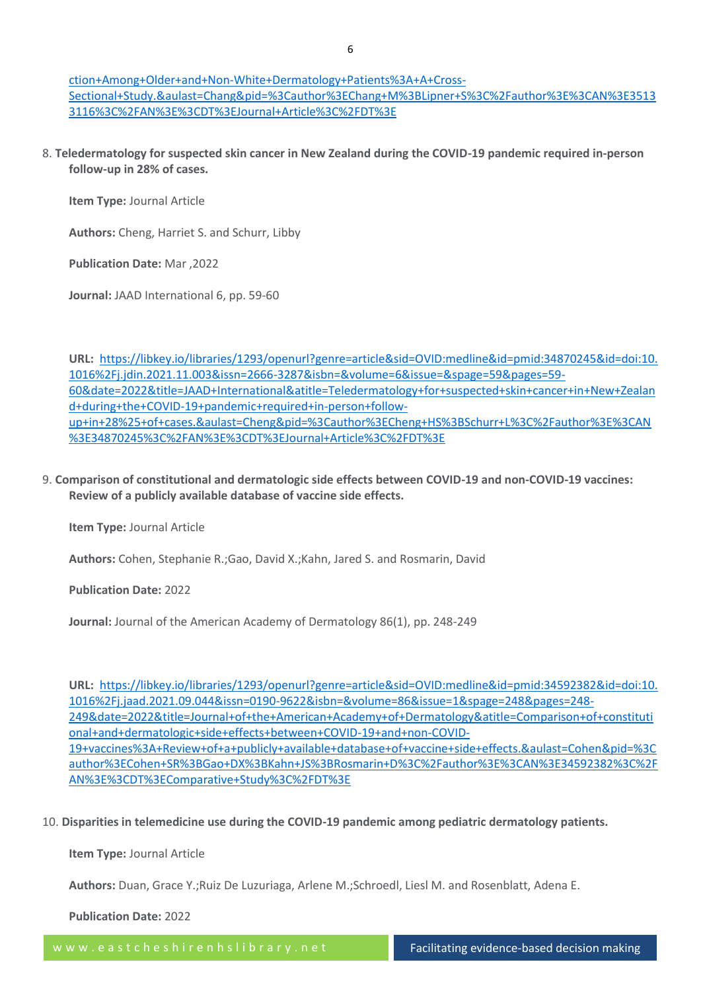[ction+Among+Older+and+Non-White+Dermatology+Patients%3A+A+Cross-](https://libkey.io/libraries/1293/openurl?genre=article&sid=OVID:medline&id=pmid:35133116&id=doi:10.36849%2Fjdd.6410&issn=1545-9616&isbn=&volume=21&issue=2&spage=210&pages=210-214&date=2022&title=Journal+of+Drugs+in+Dermatology%3A+JDD&atitle=Disparities+in+Telemedicine+Satisfaction+Among+Older+and+Non-White+Dermatology+Patients%3A+A+Cross-Sectional+Study.&aulast=Chang&pid=%3Cauthor%3EChang+M%3BLipner+S%3C%2Fauthor%3E%3CAN%3E35133116%3C%2FAN%3E%3CDT%3EJournal+Article%3C%2FDT%3E)[Sectional+Study.&aulast=Chang&pid=%3Cauthor%3EChang+M%3BLipner+S%3C%2Fauthor%3E%3CAN%3E3513](https://libkey.io/libraries/1293/openurl?genre=article&sid=OVID:medline&id=pmid:35133116&id=doi:10.36849%2Fjdd.6410&issn=1545-9616&isbn=&volume=21&issue=2&spage=210&pages=210-214&date=2022&title=Journal+of+Drugs+in+Dermatology%3A+JDD&atitle=Disparities+in+Telemedicine+Satisfaction+Among+Older+and+Non-White+Dermatology+Patients%3A+A+Cross-Sectional+Study.&aulast=Chang&pid=%3Cauthor%3EChang+M%3BLipner+S%3C%2Fauthor%3E%3CAN%3E35133116%3C%2FAN%3E%3CDT%3EJournal+Article%3C%2FDT%3E) [3116%3C%2FAN%3E%3CDT%3EJournal+Article%3C%2FDT%3E](https://libkey.io/libraries/1293/openurl?genre=article&sid=OVID:medline&id=pmid:35133116&id=doi:10.36849%2Fjdd.6410&issn=1545-9616&isbn=&volume=21&issue=2&spage=210&pages=210-214&date=2022&title=Journal+of+Drugs+in+Dermatology%3A+JDD&atitle=Disparities+in+Telemedicine+Satisfaction+Among+Older+and+Non-White+Dermatology+Patients%3A+A+Cross-Sectional+Study.&aulast=Chang&pid=%3Cauthor%3EChang+M%3BLipner+S%3C%2Fauthor%3E%3CAN%3E35133116%3C%2FAN%3E%3CDT%3EJournal+Article%3C%2FDT%3E)

8. **Teledermatology for suspected skin cancer in New Zealand during the COVID-19 pandemic required in-person follow-up in 28% of cases.**

**Item Type:** Journal Article

**Authors:** Cheng, Harriet S. and Schurr, Libby

**Publication Date:** Mar ,2022

**Journal:** JAAD International 6, pp. 59-60

**URL:** [https://libkey.io/libraries/1293/openurl?genre=article&sid=OVID:medline&id=pmid:34870245&id=doi:10.](https://libkey.io/libraries/1293/openurl?genre=article&sid=OVID:medline&id=pmid:34870245&id=doi:10.1016%2Fj.jdin.2021.11.003&issn=2666-3287&isbn=&volume=6&issue=&spage=59&pages=59-60&date=2022&title=JAAD+International&atitle=Teledermatology+for+suspected+skin+cancer+in+New+Zealand+during+the+COVID-19+pandemic+required+in-person+follow-up+in+28%25+of+cases.&aulast=Cheng&pid=%3Cauthor%3ECheng+HS%3BSchurr+L%3C%2Fauthor%3E%3CAN%3E34870245%3C%2FAN%3E%3CDT%3EJournal+Article%3C%2FDT%3E) [1016%2Fj.jdin.2021.11.003&issn=2666-3287&isbn=&volume=6&issue=&spage=59&pages=59-](https://libkey.io/libraries/1293/openurl?genre=article&sid=OVID:medline&id=pmid:34870245&id=doi:10.1016%2Fj.jdin.2021.11.003&issn=2666-3287&isbn=&volume=6&issue=&spage=59&pages=59-60&date=2022&title=JAAD+International&atitle=Teledermatology+for+suspected+skin+cancer+in+New+Zealand+during+the+COVID-19+pandemic+required+in-person+follow-up+in+28%25+of+cases.&aulast=Cheng&pid=%3Cauthor%3ECheng+HS%3BSchurr+L%3C%2Fauthor%3E%3CAN%3E34870245%3C%2FAN%3E%3CDT%3EJournal+Article%3C%2FDT%3E) [60&date=2022&title=JAAD+International&atitle=Teledermatology+for+suspected+skin+cancer+in+New+Zealan](https://libkey.io/libraries/1293/openurl?genre=article&sid=OVID:medline&id=pmid:34870245&id=doi:10.1016%2Fj.jdin.2021.11.003&issn=2666-3287&isbn=&volume=6&issue=&spage=59&pages=59-60&date=2022&title=JAAD+International&atitle=Teledermatology+for+suspected+skin+cancer+in+New+Zealand+during+the+COVID-19+pandemic+required+in-person+follow-up+in+28%25+of+cases.&aulast=Cheng&pid=%3Cauthor%3ECheng+HS%3BSchurr+L%3C%2Fauthor%3E%3CAN%3E34870245%3C%2FAN%3E%3CDT%3EJournal+Article%3C%2FDT%3E) [d+during+the+COVID-19+pandemic+required+in-person+follow](https://libkey.io/libraries/1293/openurl?genre=article&sid=OVID:medline&id=pmid:34870245&id=doi:10.1016%2Fj.jdin.2021.11.003&issn=2666-3287&isbn=&volume=6&issue=&spage=59&pages=59-60&date=2022&title=JAAD+International&atitle=Teledermatology+for+suspected+skin+cancer+in+New+Zealand+during+the+COVID-19+pandemic+required+in-person+follow-up+in+28%25+of+cases.&aulast=Cheng&pid=%3Cauthor%3ECheng+HS%3BSchurr+L%3C%2Fauthor%3E%3CAN%3E34870245%3C%2FAN%3E%3CDT%3EJournal+Article%3C%2FDT%3E)[up+in+28%25+of+cases.&aulast=Cheng&pid=%3Cauthor%3ECheng+HS%3BSchurr+L%3C%2Fauthor%3E%3CAN](https://libkey.io/libraries/1293/openurl?genre=article&sid=OVID:medline&id=pmid:34870245&id=doi:10.1016%2Fj.jdin.2021.11.003&issn=2666-3287&isbn=&volume=6&issue=&spage=59&pages=59-60&date=2022&title=JAAD+International&atitle=Teledermatology+for+suspected+skin+cancer+in+New+Zealand+during+the+COVID-19+pandemic+required+in-person+follow-up+in+28%25+of+cases.&aulast=Cheng&pid=%3Cauthor%3ECheng+HS%3BSchurr+L%3C%2Fauthor%3E%3CAN%3E34870245%3C%2FAN%3E%3CDT%3EJournal+Article%3C%2FDT%3E) [%3E34870245%3C%2FAN%3E%3CDT%3EJournal+Article%3C%2FDT%3E](https://libkey.io/libraries/1293/openurl?genre=article&sid=OVID:medline&id=pmid:34870245&id=doi:10.1016%2Fj.jdin.2021.11.003&issn=2666-3287&isbn=&volume=6&issue=&spage=59&pages=59-60&date=2022&title=JAAD+International&atitle=Teledermatology+for+suspected+skin+cancer+in+New+Zealand+during+the+COVID-19+pandemic+required+in-person+follow-up+in+28%25+of+cases.&aulast=Cheng&pid=%3Cauthor%3ECheng+HS%3BSchurr+L%3C%2Fauthor%3E%3CAN%3E34870245%3C%2FAN%3E%3CDT%3EJournal+Article%3C%2FDT%3E)

# 9. **Comparison of constitutional and dermatologic side effects between COVID-19 and non-COVID-19 vaccines: Review of a publicly available database of vaccine side effects.**

**Item Type:** Journal Article

**Authors:** Cohen, Stephanie R.;Gao, David X.;Kahn, Jared S. and Rosmarin, David

**Publication Date:** 2022

**Journal:** Journal of the American Academy of Dermatology 86(1), pp. 248-249

**URL:** [https://libkey.io/libraries/1293/openurl?genre=article&sid=OVID:medline&id=pmid:34592382&id=doi:10.](https://libkey.io/libraries/1293/openurl?genre=article&sid=OVID:medline&id=pmid:34592382&id=doi:10.1016%2Fj.jaad.2021.09.044&issn=0190-9622&isbn=&volume=86&issue=1&spage=248&pages=248-249&date=2022&title=Journal+of+the+American+Academy+of+Dermatology&atitle=Comparison+of+constitutional+and+dermatologic+side+effects+between+COVID-19+and+non-COVID-19+vaccines%3A+Review+of+a+publicly+available+database+of+vaccine+side+effects.&aulast=Cohen&pid=%3Cauthor%3ECohen+SR%3BGao+DX%3BKahn+JS%3BRosmarin+D%3C%2Fauthor%3E%3CAN%3E34592382%3C%2FAN%3E%3CDT%3EComparative+Study%3C%2FDT%3E) [1016%2Fj.jaad.2021.09.044&issn=0190-9622&isbn=&volume=86&issue=1&spage=248&pages=248-](https://libkey.io/libraries/1293/openurl?genre=article&sid=OVID:medline&id=pmid:34592382&id=doi:10.1016%2Fj.jaad.2021.09.044&issn=0190-9622&isbn=&volume=86&issue=1&spage=248&pages=248-249&date=2022&title=Journal+of+the+American+Academy+of+Dermatology&atitle=Comparison+of+constitutional+and+dermatologic+side+effects+between+COVID-19+and+non-COVID-19+vaccines%3A+Review+of+a+publicly+available+database+of+vaccine+side+effects.&aulast=Cohen&pid=%3Cauthor%3ECohen+SR%3BGao+DX%3BKahn+JS%3BRosmarin+D%3C%2Fauthor%3E%3CAN%3E34592382%3C%2FAN%3E%3CDT%3EComparative+Study%3C%2FDT%3E) [249&date=2022&title=Journal+of+the+American+Academy+of+Dermatology&atitle=Comparison+of+constituti](https://libkey.io/libraries/1293/openurl?genre=article&sid=OVID:medline&id=pmid:34592382&id=doi:10.1016%2Fj.jaad.2021.09.044&issn=0190-9622&isbn=&volume=86&issue=1&spage=248&pages=248-249&date=2022&title=Journal+of+the+American+Academy+of+Dermatology&atitle=Comparison+of+constitutional+and+dermatologic+side+effects+between+COVID-19+and+non-COVID-19+vaccines%3A+Review+of+a+publicly+available+database+of+vaccine+side+effects.&aulast=Cohen&pid=%3Cauthor%3ECohen+SR%3BGao+DX%3BKahn+JS%3BRosmarin+D%3C%2Fauthor%3E%3CAN%3E34592382%3C%2FAN%3E%3CDT%3EComparative+Study%3C%2FDT%3E) [onal+and+dermatologic+side+effects+between+COVID-19+and+non-COVID-](https://libkey.io/libraries/1293/openurl?genre=article&sid=OVID:medline&id=pmid:34592382&id=doi:10.1016%2Fj.jaad.2021.09.044&issn=0190-9622&isbn=&volume=86&issue=1&spage=248&pages=248-249&date=2022&title=Journal+of+the+American+Academy+of+Dermatology&atitle=Comparison+of+constitutional+and+dermatologic+side+effects+between+COVID-19+and+non-COVID-19+vaccines%3A+Review+of+a+publicly+available+database+of+vaccine+side+effects.&aulast=Cohen&pid=%3Cauthor%3ECohen+SR%3BGao+DX%3BKahn+JS%3BRosmarin+D%3C%2Fauthor%3E%3CAN%3E34592382%3C%2FAN%3E%3CDT%3EComparative+Study%3C%2FDT%3E)[19+vaccines%3A+Review+of+a+publicly+available+database+of+vaccine+side+effects.&aulast=Cohen&pid=%3C](https://libkey.io/libraries/1293/openurl?genre=article&sid=OVID:medline&id=pmid:34592382&id=doi:10.1016%2Fj.jaad.2021.09.044&issn=0190-9622&isbn=&volume=86&issue=1&spage=248&pages=248-249&date=2022&title=Journal+of+the+American+Academy+of+Dermatology&atitle=Comparison+of+constitutional+and+dermatologic+side+effects+between+COVID-19+and+non-COVID-19+vaccines%3A+Review+of+a+publicly+available+database+of+vaccine+side+effects.&aulast=Cohen&pid=%3Cauthor%3ECohen+SR%3BGao+DX%3BKahn+JS%3BRosmarin+D%3C%2Fauthor%3E%3CAN%3E34592382%3C%2FAN%3E%3CDT%3EComparative+Study%3C%2FDT%3E) [author%3ECohen+SR%3BGao+DX%3BKahn+JS%3BRosmarin+D%3C%2Fauthor%3E%3CAN%3E34592382%3C%2F](https://libkey.io/libraries/1293/openurl?genre=article&sid=OVID:medline&id=pmid:34592382&id=doi:10.1016%2Fj.jaad.2021.09.044&issn=0190-9622&isbn=&volume=86&issue=1&spage=248&pages=248-249&date=2022&title=Journal+of+the+American+Academy+of+Dermatology&atitle=Comparison+of+constitutional+and+dermatologic+side+effects+between+COVID-19+and+non-COVID-19+vaccines%3A+Review+of+a+publicly+available+database+of+vaccine+side+effects.&aulast=Cohen&pid=%3Cauthor%3ECohen+SR%3BGao+DX%3BKahn+JS%3BRosmarin+D%3C%2Fauthor%3E%3CAN%3E34592382%3C%2FAN%3E%3CDT%3EComparative+Study%3C%2FDT%3E) [AN%3E%3CDT%3EComparative+Study%3C%2FDT%3E](https://libkey.io/libraries/1293/openurl?genre=article&sid=OVID:medline&id=pmid:34592382&id=doi:10.1016%2Fj.jaad.2021.09.044&issn=0190-9622&isbn=&volume=86&issue=1&spage=248&pages=248-249&date=2022&title=Journal+of+the+American+Academy+of+Dermatology&atitle=Comparison+of+constitutional+and+dermatologic+side+effects+between+COVID-19+and+non-COVID-19+vaccines%3A+Review+of+a+publicly+available+database+of+vaccine+side+effects.&aulast=Cohen&pid=%3Cauthor%3ECohen+SR%3BGao+DX%3BKahn+JS%3BRosmarin+D%3C%2Fauthor%3E%3CAN%3E34592382%3C%2FAN%3E%3CDT%3EComparative+Study%3C%2FDT%3E)

10. **Disparities in telemedicine use during the COVID-19 pandemic among pediatric dermatology patients.**

**Item Type:** Journal Article

**Authors:** Duan, Grace Y.;Ruiz De Luzuriaga, Arlene M.;Schroedl, Liesl M. and Rosenblatt, Adena E.

**Publication Date:** 2022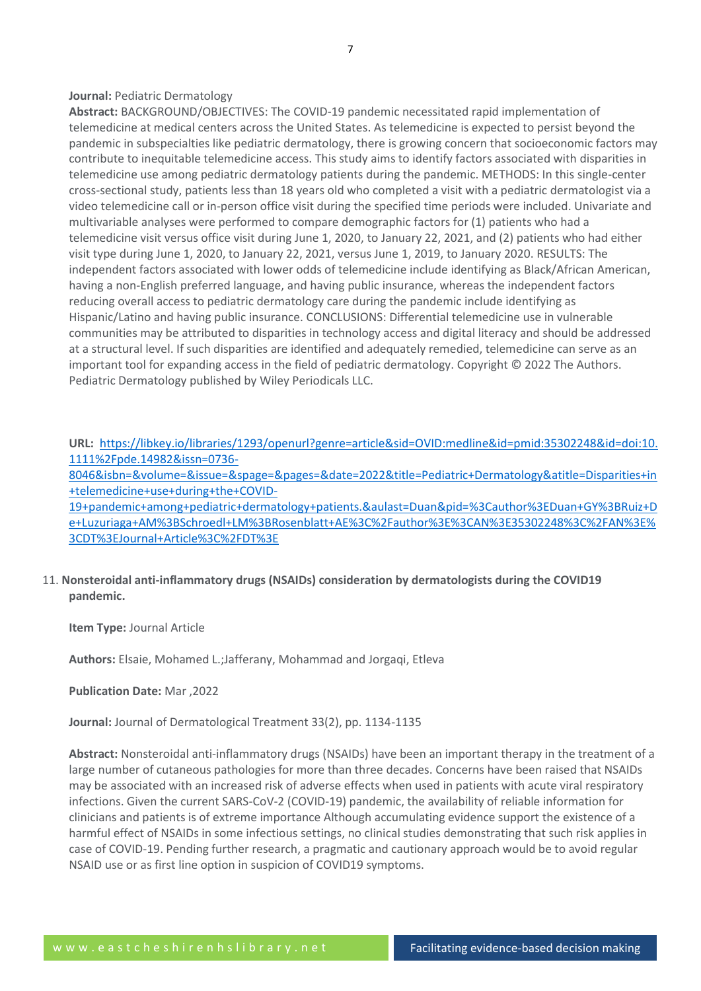#### **Journal:** Pediatric Dermatology

**Abstract:** BACKGROUND/OBJECTIVES: The COVID-19 pandemic necessitated rapid implementation of telemedicine at medical centers across the United States. As telemedicine is expected to persist beyond the pandemic in subspecialties like pediatric dermatology, there is growing concern that socioeconomic factors may contribute to inequitable telemedicine access. This study aims to identify factors associated with disparities in telemedicine use among pediatric dermatology patients during the pandemic. METHODS: In this single-center cross-sectional study, patients less than 18 years old who completed a visit with a pediatric dermatologist via a video telemedicine call or in-person office visit during the specified time periods were included. Univariate and multivariable analyses were performed to compare demographic factors for (1) patients who had a telemedicine visit versus office visit during June 1, 2020, to January 22, 2021, and (2) patients who had either visit type during June 1, 2020, to January 22, 2021, versus June 1, 2019, to January 2020. RESULTS: The independent factors associated with lower odds of telemedicine include identifying as Black/African American, having a non-English preferred language, and having public insurance, whereas the independent factors reducing overall access to pediatric dermatology care during the pandemic include identifying as Hispanic/Latino and having public insurance. CONCLUSIONS: Differential telemedicine use in vulnerable communities may be attributed to disparities in technology access and digital literacy and should be addressed at a structural level. If such disparities are identified and adequately remedied, telemedicine can serve as an important tool for expanding access in the field of pediatric dermatology. Copyright © 2022 The Authors. Pediatric Dermatology published by Wiley Periodicals LLC.

**URL:** [https://libkey.io/libraries/1293/openurl?genre=article&sid=OVID:medline&id=pmid:35302248&id=doi:10.](https://libkey.io/libraries/1293/openurl?genre=article&sid=OVID:medline&id=pmid:35302248&id=doi:10.1111%2Fpde.14982&issn=0736-8046&isbn=&volume=&issue=&spage=&pages=&date=2022&title=Pediatric+Dermatology&atitle=Disparities+in+telemedicine+use+during+the+COVID-19+pandemic+among+pediatric+dermatology+patients.&aulast=Duan&pid=%3Cauthor%3EDuan+GY%3BRuiz+De+Luzuriaga+AM%3BSchroedl+LM%3BRosenblatt+AE%3C%2Fauthor%3E%3CAN%3E35302248%3C%2FAN%3E%3CDT%3EJournal+Article%3C%2FDT%3E) [1111%2Fpde.14982&issn=0736-](https://libkey.io/libraries/1293/openurl?genre=article&sid=OVID:medline&id=pmid:35302248&id=doi:10.1111%2Fpde.14982&issn=0736-8046&isbn=&volume=&issue=&spage=&pages=&date=2022&title=Pediatric+Dermatology&atitle=Disparities+in+telemedicine+use+during+the+COVID-19+pandemic+among+pediatric+dermatology+patients.&aulast=Duan&pid=%3Cauthor%3EDuan+GY%3BRuiz+De+Luzuriaga+AM%3BSchroedl+LM%3BRosenblatt+AE%3C%2Fauthor%3E%3CAN%3E35302248%3C%2FAN%3E%3CDT%3EJournal+Article%3C%2FDT%3E)

[8046&isbn=&volume=&issue=&spage=&pages=&date=2022&title=Pediatric+Dermatology&atitle=Disparities+in](https://libkey.io/libraries/1293/openurl?genre=article&sid=OVID:medline&id=pmid:35302248&id=doi:10.1111%2Fpde.14982&issn=0736-8046&isbn=&volume=&issue=&spage=&pages=&date=2022&title=Pediatric+Dermatology&atitle=Disparities+in+telemedicine+use+during+the+COVID-19+pandemic+among+pediatric+dermatology+patients.&aulast=Duan&pid=%3Cauthor%3EDuan+GY%3BRuiz+De+Luzuriaga+AM%3BSchroedl+LM%3BRosenblatt+AE%3C%2Fauthor%3E%3CAN%3E35302248%3C%2FAN%3E%3CDT%3EJournal+Article%3C%2FDT%3E) [+telemedicine+use+during+the+COVID-](https://libkey.io/libraries/1293/openurl?genre=article&sid=OVID:medline&id=pmid:35302248&id=doi:10.1111%2Fpde.14982&issn=0736-8046&isbn=&volume=&issue=&spage=&pages=&date=2022&title=Pediatric+Dermatology&atitle=Disparities+in+telemedicine+use+during+the+COVID-19+pandemic+among+pediatric+dermatology+patients.&aulast=Duan&pid=%3Cauthor%3EDuan+GY%3BRuiz+De+Luzuriaga+AM%3BSchroedl+LM%3BRosenblatt+AE%3C%2Fauthor%3E%3CAN%3E35302248%3C%2FAN%3E%3CDT%3EJournal+Article%3C%2FDT%3E)

[19+pandemic+among+pediatric+dermatology+patients.&aulast=Duan&pid=%3Cauthor%3EDuan+GY%3BRuiz+D](https://libkey.io/libraries/1293/openurl?genre=article&sid=OVID:medline&id=pmid:35302248&id=doi:10.1111%2Fpde.14982&issn=0736-8046&isbn=&volume=&issue=&spage=&pages=&date=2022&title=Pediatric+Dermatology&atitle=Disparities+in+telemedicine+use+during+the+COVID-19+pandemic+among+pediatric+dermatology+patients.&aulast=Duan&pid=%3Cauthor%3EDuan+GY%3BRuiz+De+Luzuriaga+AM%3BSchroedl+LM%3BRosenblatt+AE%3C%2Fauthor%3E%3CAN%3E35302248%3C%2FAN%3E%3CDT%3EJournal+Article%3C%2FDT%3E) [e+Luzuriaga+AM%3BSchroedl+LM%3BRosenblatt+AE%3C%2Fauthor%3E%3CAN%3E35302248%3C%2FAN%3E%](https://libkey.io/libraries/1293/openurl?genre=article&sid=OVID:medline&id=pmid:35302248&id=doi:10.1111%2Fpde.14982&issn=0736-8046&isbn=&volume=&issue=&spage=&pages=&date=2022&title=Pediatric+Dermatology&atitle=Disparities+in+telemedicine+use+during+the+COVID-19+pandemic+among+pediatric+dermatology+patients.&aulast=Duan&pid=%3Cauthor%3EDuan+GY%3BRuiz+De+Luzuriaga+AM%3BSchroedl+LM%3BRosenblatt+AE%3C%2Fauthor%3E%3CAN%3E35302248%3C%2FAN%3E%3CDT%3EJournal+Article%3C%2FDT%3E) [3CDT%3EJournal+Article%3C%2FDT%3E](https://libkey.io/libraries/1293/openurl?genre=article&sid=OVID:medline&id=pmid:35302248&id=doi:10.1111%2Fpde.14982&issn=0736-8046&isbn=&volume=&issue=&spage=&pages=&date=2022&title=Pediatric+Dermatology&atitle=Disparities+in+telemedicine+use+during+the+COVID-19+pandemic+among+pediatric+dermatology+patients.&aulast=Duan&pid=%3Cauthor%3EDuan+GY%3BRuiz+De+Luzuriaga+AM%3BSchroedl+LM%3BRosenblatt+AE%3C%2Fauthor%3E%3CAN%3E35302248%3C%2FAN%3E%3CDT%3EJournal+Article%3C%2FDT%3E)

#### 11. **Nonsteroidal anti-inflammatory drugs (NSAIDs) consideration by dermatologists during the COVID19 pandemic.**

**Item Type:** Journal Article

**Authors:** Elsaie, Mohamed L.;Jafferany, Mohammad and Jorgaqi, Etleva

**Publication Date:** Mar ,2022

**Journal:** Journal of Dermatological Treatment 33(2), pp. 1134-1135

**Abstract:** Nonsteroidal anti-inflammatory drugs (NSAIDs) have been an important therapy in the treatment of a large number of cutaneous pathologies for more than three decades. Concerns have been raised that NSAIDs may be associated with an increased risk of adverse effects when used in patients with acute viral respiratory infections. Given the current SARS-CoV-2 (COVID-19) pandemic, the availability of reliable information for clinicians and patients is of extreme importance Although accumulating evidence support the existence of a harmful effect of NSAIDs in some infectious settings, no clinical studies demonstrating that such risk applies in case of COVID-19. Pending further research, a pragmatic and cautionary approach would be to avoid regular NSAID use or as first line option in suspicion of COVID19 symptoms.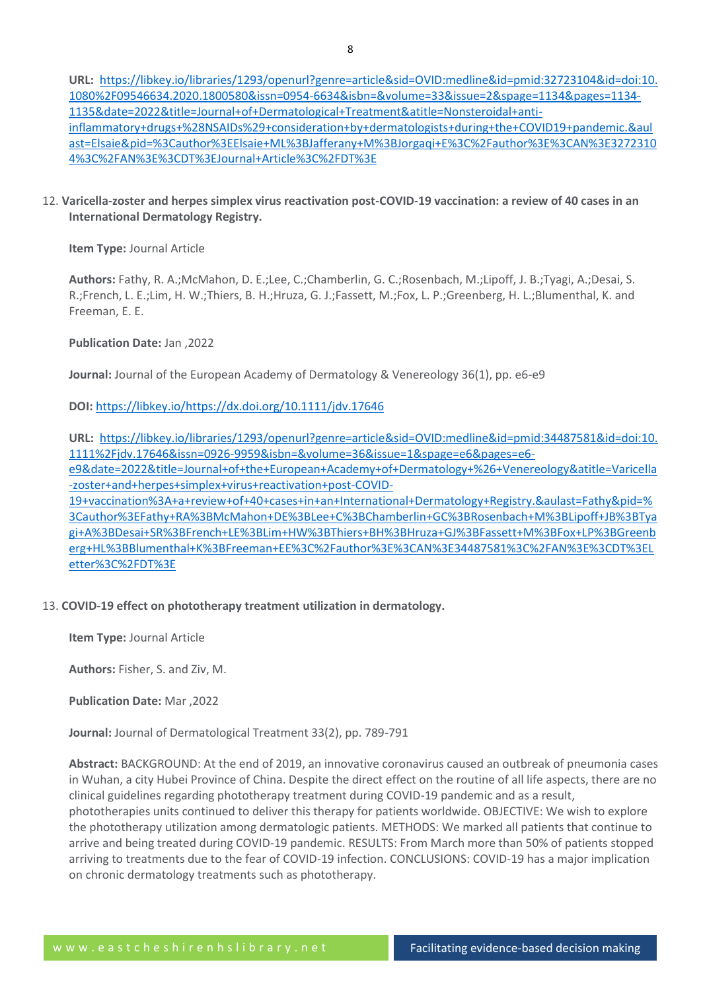**URL:** [https://libkey.io/libraries/1293/openurl?genre=article&sid=OVID:medline&id=pmid:32723104&id=doi:10.](https://libkey.io/libraries/1293/openurl?genre=article&sid=OVID:medline&id=pmid:32723104&id=doi:10.1080%2F09546634.2020.1800580&issn=0954-6634&isbn=&volume=33&issue=2&spage=1134&pages=1134-1135&date=2022&title=Journal+of+Dermatological+Treatment&atitle=Nonsteroidal+anti-inflammatory+drugs+%28NSAIDs%29+consideration+by+dermatologists+during+the+COVID19+pandemic.&aulast=Elsaie&pid=%3Cauthor%3EElsaie+ML%3BJafferany+M%3BJorgaqi+E%3C%2Fauthor%3E%3CAN%3E32723104%3C%2FAN%3E%3CDT%3EJournal+Article%3C%2FDT%3E) [1080%2F09546634.2020.1800580&issn=0954-6634&isbn=&volume=33&issue=2&spage=1134&pages=1134-](https://libkey.io/libraries/1293/openurl?genre=article&sid=OVID:medline&id=pmid:32723104&id=doi:10.1080%2F09546634.2020.1800580&issn=0954-6634&isbn=&volume=33&issue=2&spage=1134&pages=1134-1135&date=2022&title=Journal+of+Dermatological+Treatment&atitle=Nonsteroidal+anti-inflammatory+drugs+%28NSAIDs%29+consideration+by+dermatologists+during+the+COVID19+pandemic.&aulast=Elsaie&pid=%3Cauthor%3EElsaie+ML%3BJafferany+M%3BJorgaqi+E%3C%2Fauthor%3E%3CAN%3E32723104%3C%2FAN%3E%3CDT%3EJournal+Article%3C%2FDT%3E) [1135&date=2022&title=Journal+of+Dermatological+Treatment&atitle=Nonsteroidal+anti](https://libkey.io/libraries/1293/openurl?genre=article&sid=OVID:medline&id=pmid:32723104&id=doi:10.1080%2F09546634.2020.1800580&issn=0954-6634&isbn=&volume=33&issue=2&spage=1134&pages=1134-1135&date=2022&title=Journal+of+Dermatological+Treatment&atitle=Nonsteroidal+anti-inflammatory+drugs+%28NSAIDs%29+consideration+by+dermatologists+during+the+COVID19+pandemic.&aulast=Elsaie&pid=%3Cauthor%3EElsaie+ML%3BJafferany+M%3BJorgaqi+E%3C%2Fauthor%3E%3CAN%3E32723104%3C%2FAN%3E%3CDT%3EJournal+Article%3C%2FDT%3E)[inflammatory+drugs+%28NSAIDs%29+consideration+by+dermatologists+during+the+COVID19+pandemic.&aul](https://libkey.io/libraries/1293/openurl?genre=article&sid=OVID:medline&id=pmid:32723104&id=doi:10.1080%2F09546634.2020.1800580&issn=0954-6634&isbn=&volume=33&issue=2&spage=1134&pages=1134-1135&date=2022&title=Journal+of+Dermatological+Treatment&atitle=Nonsteroidal+anti-inflammatory+drugs+%28NSAIDs%29+consideration+by+dermatologists+during+the+COVID19+pandemic.&aulast=Elsaie&pid=%3Cauthor%3EElsaie+ML%3BJafferany+M%3BJorgaqi+E%3C%2Fauthor%3E%3CAN%3E32723104%3C%2FAN%3E%3CDT%3EJournal+Article%3C%2FDT%3E) [ast=Elsaie&pid=%3Cauthor%3EElsaie+ML%3BJafferany+M%3BJorgaqi+E%3C%2Fauthor%3E%3CAN%3E3272310](https://libkey.io/libraries/1293/openurl?genre=article&sid=OVID:medline&id=pmid:32723104&id=doi:10.1080%2F09546634.2020.1800580&issn=0954-6634&isbn=&volume=33&issue=2&spage=1134&pages=1134-1135&date=2022&title=Journal+of+Dermatological+Treatment&atitle=Nonsteroidal+anti-inflammatory+drugs+%28NSAIDs%29+consideration+by+dermatologists+during+the+COVID19+pandemic.&aulast=Elsaie&pid=%3Cauthor%3EElsaie+ML%3BJafferany+M%3BJorgaqi+E%3C%2Fauthor%3E%3CAN%3E32723104%3C%2FAN%3E%3CDT%3EJournal+Article%3C%2FDT%3E) [4%3C%2FAN%3E%3CDT%3EJournal+Article%3C%2FDT%3E](https://libkey.io/libraries/1293/openurl?genre=article&sid=OVID:medline&id=pmid:32723104&id=doi:10.1080%2F09546634.2020.1800580&issn=0954-6634&isbn=&volume=33&issue=2&spage=1134&pages=1134-1135&date=2022&title=Journal+of+Dermatological+Treatment&atitle=Nonsteroidal+anti-inflammatory+drugs+%28NSAIDs%29+consideration+by+dermatologists+during+the+COVID19+pandemic.&aulast=Elsaie&pid=%3Cauthor%3EElsaie+ML%3BJafferany+M%3BJorgaqi+E%3C%2Fauthor%3E%3CAN%3E32723104%3C%2FAN%3E%3CDT%3EJournal+Article%3C%2FDT%3E)

12. **Varicella-zoster and herpes simplex virus reactivation post-COVID-19 vaccination: a review of 40 cases in an International Dermatology Registry.**

**Item Type:** Journal Article

**Authors:** Fathy, R. A.;McMahon, D. E.;Lee, C.;Chamberlin, G. C.;Rosenbach, M.;Lipoff, J. B.;Tyagi, A.;Desai, S. R.;French, L. E.;Lim, H. W.;Thiers, B. H.;Hruza, G. J.;Fassett, M.;Fox, L. P.;Greenberg, H. L.;Blumenthal, K. and Freeman, E. E.

**Publication Date:** Jan ,2022

**Journal:** Journal of the European Academy of Dermatology & Venereology 36(1), pp. e6-e9

**DOI:** <https://libkey.io/><https://dx.doi.org/10.1111/jdv.17646>

**URL:** [https://libkey.io/libraries/1293/openurl?genre=article&sid=OVID:medline&id=pmid:34487581&id=doi:10.](https://libkey.io/libraries/1293/openurl?genre=article&sid=OVID:medline&id=pmid:34487581&id=doi:10.1111%2Fjdv.17646&issn=0926-9959&isbn=&volume=36&issue=1&spage=e6&pages=e6-e9&date=2022&title=Journal+of+the+European+Academy+of+Dermatology+%26+Venereology&atitle=Varicella-zoster+and+herpes+simplex+virus+reactivation+post-COVID-19+vaccination%3A+a+review+of+40+cases+in+an+International+Dermatology+Registry.&aulast=Fathy&pid=%3Cauthor%3EFathy+RA%3BMcMahon+DE%3BLee+C%3BChamberlin+GC%3BRosenbach+M%3BLipoff+JB%3BTyagi+A%3BDesai+SR%3BFrench+LE%3BLim+HW%3BThiers+BH%3BHruza+GJ%3BFassett+M%3BFox+LP%3BGreenberg+HL%3BBlumenthal+K%3BFreeman+EE%3C%2Fauthor%3E%3CAN%3E34487581%3C%2FAN%3E%3CDT%3ELetter%3C%2FDT%3E) [1111%2Fjdv.17646&issn=0926-9959&isbn=&volume=36&issue=1&spage=e6&pages=e6](https://libkey.io/libraries/1293/openurl?genre=article&sid=OVID:medline&id=pmid:34487581&id=doi:10.1111%2Fjdv.17646&issn=0926-9959&isbn=&volume=36&issue=1&spage=e6&pages=e6-e9&date=2022&title=Journal+of+the+European+Academy+of+Dermatology+%26+Venereology&atitle=Varicella-zoster+and+herpes+simplex+virus+reactivation+post-COVID-19+vaccination%3A+a+review+of+40+cases+in+an+International+Dermatology+Registry.&aulast=Fathy&pid=%3Cauthor%3EFathy+RA%3BMcMahon+DE%3BLee+C%3BChamberlin+GC%3BRosenbach+M%3BLipoff+JB%3BTyagi+A%3BDesai+SR%3BFrench+LE%3BLim+HW%3BThiers+BH%3BHruza+GJ%3BFassett+M%3BFox+LP%3BGreenberg+HL%3BBlumenthal+K%3BFreeman+EE%3C%2Fauthor%3E%3CAN%3E34487581%3C%2FAN%3E%3CDT%3ELetter%3C%2FDT%3E) [e9&date=2022&title=Journal+of+the+European+Academy+of+Dermatology+%26+Venereology&atitle=Varicella](https://libkey.io/libraries/1293/openurl?genre=article&sid=OVID:medline&id=pmid:34487581&id=doi:10.1111%2Fjdv.17646&issn=0926-9959&isbn=&volume=36&issue=1&spage=e6&pages=e6-e9&date=2022&title=Journal+of+the+European+Academy+of+Dermatology+%26+Venereology&atitle=Varicella-zoster+and+herpes+simplex+virus+reactivation+post-COVID-19+vaccination%3A+a+review+of+40+cases+in+an+International+Dermatology+Registry.&aulast=Fathy&pid=%3Cauthor%3EFathy+RA%3BMcMahon+DE%3BLee+C%3BChamberlin+GC%3BRosenbach+M%3BLipoff+JB%3BTyagi+A%3BDesai+SR%3BFrench+LE%3BLim+HW%3BThiers+BH%3BHruza+GJ%3BFassett+M%3BFox+LP%3BGreenberg+HL%3BBlumenthal+K%3BFreeman+EE%3C%2Fauthor%3E%3CAN%3E34487581%3C%2FAN%3E%3CDT%3ELetter%3C%2FDT%3E) [-zoster+and+herpes+simplex+virus+reactivation+post-COVID-](https://libkey.io/libraries/1293/openurl?genre=article&sid=OVID:medline&id=pmid:34487581&id=doi:10.1111%2Fjdv.17646&issn=0926-9959&isbn=&volume=36&issue=1&spage=e6&pages=e6-e9&date=2022&title=Journal+of+the+European+Academy+of+Dermatology+%26+Venereology&atitle=Varicella-zoster+and+herpes+simplex+virus+reactivation+post-COVID-19+vaccination%3A+a+review+of+40+cases+in+an+International+Dermatology+Registry.&aulast=Fathy&pid=%3Cauthor%3EFathy+RA%3BMcMahon+DE%3BLee+C%3BChamberlin+GC%3BRosenbach+M%3BLipoff+JB%3BTyagi+A%3BDesai+SR%3BFrench+LE%3BLim+HW%3BThiers+BH%3BHruza+GJ%3BFassett+M%3BFox+LP%3BGreenberg+HL%3BBlumenthal+K%3BFreeman+EE%3C%2Fauthor%3E%3CAN%3E34487581%3C%2FAN%3E%3CDT%3ELetter%3C%2FDT%3E)[19+vaccination%3A+a+review+of+40+cases+in+an+International+Dermatology+Registry.&aulast=Fathy&pid=%](https://libkey.io/libraries/1293/openurl?genre=article&sid=OVID:medline&id=pmid:34487581&id=doi:10.1111%2Fjdv.17646&issn=0926-9959&isbn=&volume=36&issue=1&spage=e6&pages=e6-e9&date=2022&title=Journal+of+the+European+Academy+of+Dermatology+%26+Venereology&atitle=Varicella-zoster+and+herpes+simplex+virus+reactivation+post-COVID-19+vaccination%3A+a+review+of+40+cases+in+an+International+Dermatology+Registry.&aulast=Fathy&pid=%3Cauthor%3EFathy+RA%3BMcMahon+DE%3BLee+C%3BChamberlin+GC%3BRosenbach+M%3BLipoff+JB%3BTyagi+A%3BDesai+SR%3BFrench+LE%3BLim+HW%3BThiers+BH%3BHruza+GJ%3BFassett+M%3BFox+LP%3BGreenberg+HL%3BBlumenthal+K%3BFreeman+EE%3C%2Fauthor%3E%3CAN%3E34487581%3C%2FAN%3E%3CDT%3ELetter%3C%2FDT%3E)

[3Cauthor%3EFathy+RA%3BMcMahon+DE%3BLee+C%3BChamberlin+GC%3BRosenbach+M%3BLipoff+JB%3BTya](https://libkey.io/libraries/1293/openurl?genre=article&sid=OVID:medline&id=pmid:34487581&id=doi:10.1111%2Fjdv.17646&issn=0926-9959&isbn=&volume=36&issue=1&spage=e6&pages=e6-e9&date=2022&title=Journal+of+the+European+Academy+of+Dermatology+%26+Venereology&atitle=Varicella-zoster+and+herpes+simplex+virus+reactivation+post-COVID-19+vaccination%3A+a+review+of+40+cases+in+an+International+Dermatology+Registry.&aulast=Fathy&pid=%3Cauthor%3EFathy+RA%3BMcMahon+DE%3BLee+C%3BChamberlin+GC%3BRosenbach+M%3BLipoff+JB%3BTyagi+A%3BDesai+SR%3BFrench+LE%3BLim+HW%3BThiers+BH%3BHruza+GJ%3BFassett+M%3BFox+LP%3BGreenberg+HL%3BBlumenthal+K%3BFreeman+EE%3C%2Fauthor%3E%3CAN%3E34487581%3C%2FAN%3E%3CDT%3ELetter%3C%2FDT%3E) [gi+A%3BDesai+SR%3BFrench+LE%3BLim+HW%3BThiers+BH%3BHruza+GJ%3BFassett+M%3BFox+LP%3BGreenb](https://libkey.io/libraries/1293/openurl?genre=article&sid=OVID:medline&id=pmid:34487581&id=doi:10.1111%2Fjdv.17646&issn=0926-9959&isbn=&volume=36&issue=1&spage=e6&pages=e6-e9&date=2022&title=Journal+of+the+European+Academy+of+Dermatology+%26+Venereology&atitle=Varicella-zoster+and+herpes+simplex+virus+reactivation+post-COVID-19+vaccination%3A+a+review+of+40+cases+in+an+International+Dermatology+Registry.&aulast=Fathy&pid=%3Cauthor%3EFathy+RA%3BMcMahon+DE%3BLee+C%3BChamberlin+GC%3BRosenbach+M%3BLipoff+JB%3BTyagi+A%3BDesai+SR%3BFrench+LE%3BLim+HW%3BThiers+BH%3BHruza+GJ%3BFassett+M%3BFox+LP%3BGreenberg+HL%3BBlumenthal+K%3BFreeman+EE%3C%2Fauthor%3E%3CAN%3E34487581%3C%2FAN%3E%3CDT%3ELetter%3C%2FDT%3E) [erg+HL%3BBlumenthal+K%3BFreeman+EE%3C%2Fauthor%3E%3CAN%3E34487581%3C%2FAN%3E%3CDT%3EL](https://libkey.io/libraries/1293/openurl?genre=article&sid=OVID:medline&id=pmid:34487581&id=doi:10.1111%2Fjdv.17646&issn=0926-9959&isbn=&volume=36&issue=1&spage=e6&pages=e6-e9&date=2022&title=Journal+of+the+European+Academy+of+Dermatology+%26+Venereology&atitle=Varicella-zoster+and+herpes+simplex+virus+reactivation+post-COVID-19+vaccination%3A+a+review+of+40+cases+in+an+International+Dermatology+Registry.&aulast=Fathy&pid=%3Cauthor%3EFathy+RA%3BMcMahon+DE%3BLee+C%3BChamberlin+GC%3BRosenbach+M%3BLipoff+JB%3BTyagi+A%3BDesai+SR%3BFrench+LE%3BLim+HW%3BThiers+BH%3BHruza+GJ%3BFassett+M%3BFox+LP%3BGreenberg+HL%3BBlumenthal+K%3BFreeman+EE%3C%2Fauthor%3E%3CAN%3E34487581%3C%2FAN%3E%3CDT%3ELetter%3C%2FDT%3E) [etter%3C%2FDT%3E](https://libkey.io/libraries/1293/openurl?genre=article&sid=OVID:medline&id=pmid:34487581&id=doi:10.1111%2Fjdv.17646&issn=0926-9959&isbn=&volume=36&issue=1&spage=e6&pages=e6-e9&date=2022&title=Journal+of+the+European+Academy+of+Dermatology+%26+Venereology&atitle=Varicella-zoster+and+herpes+simplex+virus+reactivation+post-COVID-19+vaccination%3A+a+review+of+40+cases+in+an+International+Dermatology+Registry.&aulast=Fathy&pid=%3Cauthor%3EFathy+RA%3BMcMahon+DE%3BLee+C%3BChamberlin+GC%3BRosenbach+M%3BLipoff+JB%3BTyagi+A%3BDesai+SR%3BFrench+LE%3BLim+HW%3BThiers+BH%3BHruza+GJ%3BFassett+M%3BFox+LP%3BGreenberg+HL%3BBlumenthal+K%3BFreeman+EE%3C%2Fauthor%3E%3CAN%3E34487581%3C%2FAN%3E%3CDT%3ELetter%3C%2FDT%3E)

#### 13. **COVID-19 effect on phototherapy treatment utilization in dermatology.**

**Item Type:** Journal Article

**Authors:** Fisher, S. and Ziv, M.

**Publication Date:** Mar ,2022

**Journal:** Journal of Dermatological Treatment 33(2), pp. 789-791

**Abstract:** BACKGROUND: At the end of 2019, an innovative coronavirus caused an outbreak of pneumonia cases in Wuhan, a city Hubei Province of China. Despite the direct effect on the routine of all life aspects, there are no clinical guidelines regarding phototherapy treatment during COVID-19 pandemic and as a result, phototherapies units continued to deliver this therapy for patients worldwide. OBJECTIVE: We wish to explore the phototherapy utilization among dermatologic patients. METHODS: We marked all patients that continue to arrive and being treated during COVID-19 pandemic. RESULTS: From March more than 50% of patients stopped arriving to treatments due to the fear of COVID-19 infection. CONCLUSIONS: COVID-19 has a major implication on chronic dermatology treatments such as phototherapy.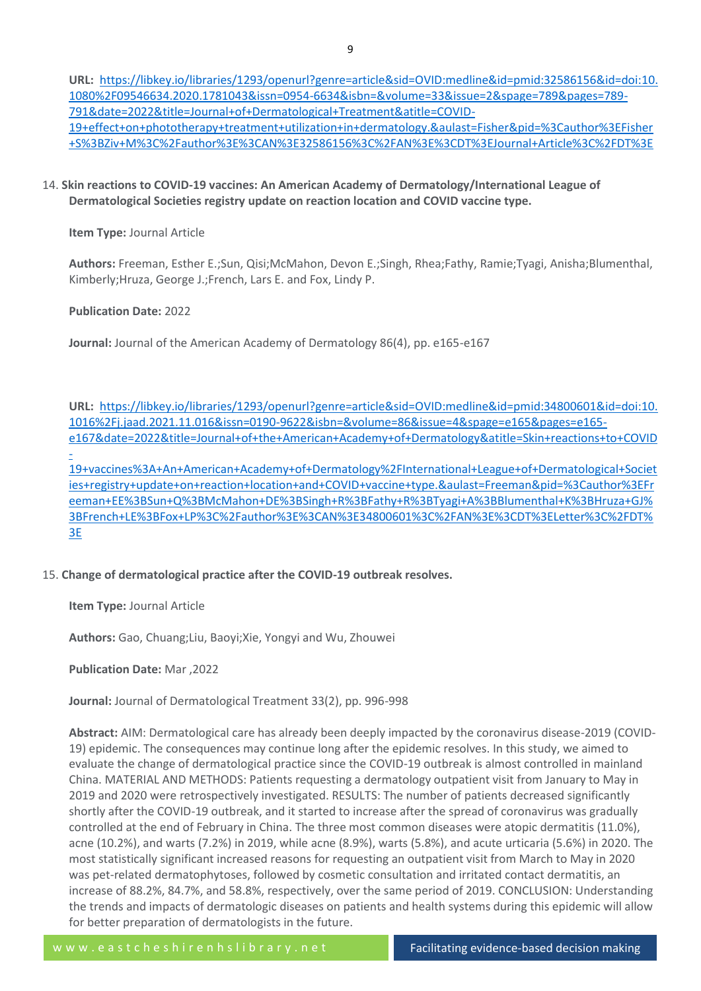**URL:** [https://libkey.io/libraries/1293/openurl?genre=article&sid=OVID:medline&id=pmid:32586156&id=doi:10.](https://libkey.io/libraries/1293/openurl?genre=article&sid=OVID:medline&id=pmid:32586156&id=doi:10.1080%2F09546634.2020.1781043&issn=0954-6634&isbn=&volume=33&issue=2&spage=789&pages=789-791&date=2022&title=Journal+of+Dermatological+Treatment&atitle=COVID-19+effect+on+phototherapy+treatment+utilization+in+dermatology.&aulast=Fisher&pid=%3Cauthor%3EFisher+S%3BZiv+M%3C%2Fauthor%3E%3CAN%3E32586156%3C%2FAN%3E%3CDT%3EJournal+Article%3C%2FDT%3E) [1080%2F09546634.2020.1781043&issn=0954-6634&isbn=&volume=33&issue=2&spage=789&pages=789-](https://libkey.io/libraries/1293/openurl?genre=article&sid=OVID:medline&id=pmid:32586156&id=doi:10.1080%2F09546634.2020.1781043&issn=0954-6634&isbn=&volume=33&issue=2&spage=789&pages=789-791&date=2022&title=Journal+of+Dermatological+Treatment&atitle=COVID-19+effect+on+phototherapy+treatment+utilization+in+dermatology.&aulast=Fisher&pid=%3Cauthor%3EFisher+S%3BZiv+M%3C%2Fauthor%3E%3CAN%3E32586156%3C%2FAN%3E%3CDT%3EJournal+Article%3C%2FDT%3E) [791&date=2022&title=Journal+of+Dermatological+Treatment&atitle=COVID-](https://libkey.io/libraries/1293/openurl?genre=article&sid=OVID:medline&id=pmid:32586156&id=doi:10.1080%2F09546634.2020.1781043&issn=0954-6634&isbn=&volume=33&issue=2&spage=789&pages=789-791&date=2022&title=Journal+of+Dermatological+Treatment&atitle=COVID-19+effect+on+phototherapy+treatment+utilization+in+dermatology.&aulast=Fisher&pid=%3Cauthor%3EFisher+S%3BZiv+M%3C%2Fauthor%3E%3CAN%3E32586156%3C%2FAN%3E%3CDT%3EJournal+Article%3C%2FDT%3E)[19+effect+on+phototherapy+treatment+utilization+in+dermatology.&aulast=Fisher&pid=%3Cauthor%3EFisher](https://libkey.io/libraries/1293/openurl?genre=article&sid=OVID:medline&id=pmid:32586156&id=doi:10.1080%2F09546634.2020.1781043&issn=0954-6634&isbn=&volume=33&issue=2&spage=789&pages=789-791&date=2022&title=Journal+of+Dermatological+Treatment&atitle=COVID-19+effect+on+phototherapy+treatment+utilization+in+dermatology.&aulast=Fisher&pid=%3Cauthor%3EFisher+S%3BZiv+M%3C%2Fauthor%3E%3CAN%3E32586156%3C%2FAN%3E%3CDT%3EJournal+Article%3C%2FDT%3E) [+S%3BZiv+M%3C%2Fauthor%3E%3CAN%3E32586156%3C%2FAN%3E%3CDT%3EJournal+Article%3C%2FDT%3E](https://libkey.io/libraries/1293/openurl?genre=article&sid=OVID:medline&id=pmid:32586156&id=doi:10.1080%2F09546634.2020.1781043&issn=0954-6634&isbn=&volume=33&issue=2&spage=789&pages=789-791&date=2022&title=Journal+of+Dermatological+Treatment&atitle=COVID-19+effect+on+phototherapy+treatment+utilization+in+dermatology.&aulast=Fisher&pid=%3Cauthor%3EFisher+S%3BZiv+M%3C%2Fauthor%3E%3CAN%3E32586156%3C%2FAN%3E%3CDT%3EJournal+Article%3C%2FDT%3E)

14. **Skin reactions to COVID-19 vaccines: An American Academy of Dermatology/International League of Dermatological Societies registry update on reaction location and COVID vaccine type.**

**Item Type:** Journal Article

**Authors:** Freeman, Esther E.;Sun, Qisi;McMahon, Devon E.;Singh, Rhea;Fathy, Ramie;Tyagi, Anisha;Blumenthal, Kimberly;Hruza, George J.;French, Lars E. and Fox, Lindy P.

#### **Publication Date:** 2022

**Journal:** Journal of the American Academy of Dermatology 86(4), pp. e165-e167

**URL:** [https://libkey.io/libraries/1293/openurl?genre=article&sid=OVID:medline&id=pmid:34800601&id=doi:10.](https://libkey.io/libraries/1293/openurl?genre=article&sid=OVID:medline&id=pmid:34800601&id=doi:10.1016%2Fj.jaad.2021.11.016&issn=0190-9622&isbn=&volume=86&issue=4&spage=e165&pages=e165-e167&date=2022&title=Journal+of+the+American+Academy+of+Dermatology&atitle=Skin+reactions+to+COVID-19+vaccines%3A+An+American+Academy+of+Dermatology%2FInternational+League+of+Dermatological+Societies+registry+update+on+reaction+location+and+COVID+vaccine+type.&aulast=Freeman&pid=%3Cauthor%3EFreeman+EE%3BSun+Q%3BMcMahon+DE%3BSingh+R%3BFathy+R%3BTyagi+A%3BBlumenthal+K%3BHruza+GJ%3BFrench+LE%3BFox+LP%3C%2Fauthor%3E%3CAN%3E34800601%3C%2FAN%3E%3CDT%3ELetter%3C%2FDT%3E) [1016%2Fj.jaad.2021.11.016&issn=0190-9622&isbn=&volume=86&issue=4&spage=e165&pages=e165](https://libkey.io/libraries/1293/openurl?genre=article&sid=OVID:medline&id=pmid:34800601&id=doi:10.1016%2Fj.jaad.2021.11.016&issn=0190-9622&isbn=&volume=86&issue=4&spage=e165&pages=e165-e167&date=2022&title=Journal+of+the+American+Academy+of+Dermatology&atitle=Skin+reactions+to+COVID-19+vaccines%3A+An+American+Academy+of+Dermatology%2FInternational+League+of+Dermatological+Societies+registry+update+on+reaction+location+and+COVID+vaccine+type.&aulast=Freeman&pid=%3Cauthor%3EFreeman+EE%3BSun+Q%3BMcMahon+DE%3BSingh+R%3BFathy+R%3BTyagi+A%3BBlumenthal+K%3BHruza+GJ%3BFrench+LE%3BFox+LP%3C%2Fauthor%3E%3CAN%3E34800601%3C%2FAN%3E%3CDT%3ELetter%3C%2FDT%3E) [e167&date=2022&title=Journal+of+the+American+Academy+of+Dermatology&atitle=Skin+reactions+to+COVID](https://libkey.io/libraries/1293/openurl?genre=article&sid=OVID:medline&id=pmid:34800601&id=doi:10.1016%2Fj.jaad.2021.11.016&issn=0190-9622&isbn=&volume=86&issue=4&spage=e165&pages=e165-e167&date=2022&title=Journal+of+the+American+Academy+of+Dermatology&atitle=Skin+reactions+to+COVID-19+vaccines%3A+An+American+Academy+of+Dermatology%2FInternational+League+of+Dermatological+Societies+registry+update+on+reaction+location+and+COVID+vaccine+type.&aulast=Freeman&pid=%3Cauthor%3EFreeman+EE%3BSun+Q%3BMcMahon+DE%3BSingh+R%3BFathy+R%3BTyagi+A%3BBlumenthal+K%3BHruza+GJ%3BFrench+LE%3BFox+LP%3C%2Fauthor%3E%3CAN%3E34800601%3C%2FAN%3E%3CDT%3ELetter%3C%2FDT%3E) [-](https://libkey.io/libraries/1293/openurl?genre=article&sid=OVID:medline&id=pmid:34800601&id=doi:10.1016%2Fj.jaad.2021.11.016&issn=0190-9622&isbn=&volume=86&issue=4&spage=e165&pages=e165-e167&date=2022&title=Journal+of+the+American+Academy+of+Dermatology&atitle=Skin+reactions+to+COVID-19+vaccines%3A+An+American+Academy+of+Dermatology%2FInternational+League+of+Dermatological+Societies+registry+update+on+reaction+location+and+COVID+vaccine+type.&aulast=Freeman&pid=%3Cauthor%3EFreeman+EE%3BSun+Q%3BMcMahon+DE%3BSingh+R%3BFathy+R%3BTyagi+A%3BBlumenthal+K%3BHruza+GJ%3BFrench+LE%3BFox+LP%3C%2Fauthor%3E%3CAN%3E34800601%3C%2FAN%3E%3CDT%3ELetter%3C%2FDT%3E)

[19+vaccines%3A+An+American+Academy+of+Dermatology%2FInternational+League+of+Dermatological+Societ](https://libkey.io/libraries/1293/openurl?genre=article&sid=OVID:medline&id=pmid:34800601&id=doi:10.1016%2Fj.jaad.2021.11.016&issn=0190-9622&isbn=&volume=86&issue=4&spage=e165&pages=e165-e167&date=2022&title=Journal+of+the+American+Academy+of+Dermatology&atitle=Skin+reactions+to+COVID-19+vaccines%3A+An+American+Academy+of+Dermatology%2FInternational+League+of+Dermatological+Societies+registry+update+on+reaction+location+and+COVID+vaccine+type.&aulast=Freeman&pid=%3Cauthor%3EFreeman+EE%3BSun+Q%3BMcMahon+DE%3BSingh+R%3BFathy+R%3BTyagi+A%3BBlumenthal+K%3BHruza+GJ%3BFrench+LE%3BFox+LP%3C%2Fauthor%3E%3CAN%3E34800601%3C%2FAN%3E%3CDT%3ELetter%3C%2FDT%3E) [ies+registry+update+on+reaction+location+and+COVID+vaccine+type.&aulast=Freeman&pid=%3Cauthor%3EFr](https://libkey.io/libraries/1293/openurl?genre=article&sid=OVID:medline&id=pmid:34800601&id=doi:10.1016%2Fj.jaad.2021.11.016&issn=0190-9622&isbn=&volume=86&issue=4&spage=e165&pages=e165-e167&date=2022&title=Journal+of+the+American+Academy+of+Dermatology&atitle=Skin+reactions+to+COVID-19+vaccines%3A+An+American+Academy+of+Dermatology%2FInternational+League+of+Dermatological+Societies+registry+update+on+reaction+location+and+COVID+vaccine+type.&aulast=Freeman&pid=%3Cauthor%3EFreeman+EE%3BSun+Q%3BMcMahon+DE%3BSingh+R%3BFathy+R%3BTyagi+A%3BBlumenthal+K%3BHruza+GJ%3BFrench+LE%3BFox+LP%3C%2Fauthor%3E%3CAN%3E34800601%3C%2FAN%3E%3CDT%3ELetter%3C%2FDT%3E) [eeman+EE%3BSun+Q%3BMcMahon+DE%3BSingh+R%3BFathy+R%3BTyagi+A%3BBlumenthal+K%3BHruza+GJ%](https://libkey.io/libraries/1293/openurl?genre=article&sid=OVID:medline&id=pmid:34800601&id=doi:10.1016%2Fj.jaad.2021.11.016&issn=0190-9622&isbn=&volume=86&issue=4&spage=e165&pages=e165-e167&date=2022&title=Journal+of+the+American+Academy+of+Dermatology&atitle=Skin+reactions+to+COVID-19+vaccines%3A+An+American+Academy+of+Dermatology%2FInternational+League+of+Dermatological+Societies+registry+update+on+reaction+location+and+COVID+vaccine+type.&aulast=Freeman&pid=%3Cauthor%3EFreeman+EE%3BSun+Q%3BMcMahon+DE%3BSingh+R%3BFathy+R%3BTyagi+A%3BBlumenthal+K%3BHruza+GJ%3BFrench+LE%3BFox+LP%3C%2Fauthor%3E%3CAN%3E34800601%3C%2FAN%3E%3CDT%3ELetter%3C%2FDT%3E) [3BFrench+LE%3BFox+LP%3C%2Fauthor%3E%3CAN%3E34800601%3C%2FAN%3E%3CDT%3ELetter%3C%2FDT%](https://libkey.io/libraries/1293/openurl?genre=article&sid=OVID:medline&id=pmid:34800601&id=doi:10.1016%2Fj.jaad.2021.11.016&issn=0190-9622&isbn=&volume=86&issue=4&spage=e165&pages=e165-e167&date=2022&title=Journal+of+the+American+Academy+of+Dermatology&atitle=Skin+reactions+to+COVID-19+vaccines%3A+An+American+Academy+of+Dermatology%2FInternational+League+of+Dermatological+Societies+registry+update+on+reaction+location+and+COVID+vaccine+type.&aulast=Freeman&pid=%3Cauthor%3EFreeman+EE%3BSun+Q%3BMcMahon+DE%3BSingh+R%3BFathy+R%3BTyagi+A%3BBlumenthal+K%3BHruza+GJ%3BFrench+LE%3BFox+LP%3C%2Fauthor%3E%3CAN%3E34800601%3C%2FAN%3E%3CDT%3ELetter%3C%2FDT%3E) [3E](https://libkey.io/libraries/1293/openurl?genre=article&sid=OVID:medline&id=pmid:34800601&id=doi:10.1016%2Fj.jaad.2021.11.016&issn=0190-9622&isbn=&volume=86&issue=4&spage=e165&pages=e165-e167&date=2022&title=Journal+of+the+American+Academy+of+Dermatology&atitle=Skin+reactions+to+COVID-19+vaccines%3A+An+American+Academy+of+Dermatology%2FInternational+League+of+Dermatological+Societies+registry+update+on+reaction+location+and+COVID+vaccine+type.&aulast=Freeman&pid=%3Cauthor%3EFreeman+EE%3BSun+Q%3BMcMahon+DE%3BSingh+R%3BFathy+R%3BTyagi+A%3BBlumenthal+K%3BHruza+GJ%3BFrench+LE%3BFox+LP%3C%2Fauthor%3E%3CAN%3E34800601%3C%2FAN%3E%3CDT%3ELetter%3C%2FDT%3E)

# 15. **Change of dermatological practice after the COVID-19 outbreak resolves.**

**Item Type:** Journal Article

**Authors:** Gao, Chuang;Liu, Baoyi;Xie, Yongyi and Wu, Zhouwei

**Publication Date:** Mar ,2022

**Journal:** Journal of Dermatological Treatment 33(2), pp. 996-998

**Abstract:** AIM: Dermatological care has already been deeply impacted by the coronavirus disease-2019 (COVID-19) epidemic. The consequences may continue long after the epidemic resolves. In this study, we aimed to evaluate the change of dermatological practice since the COVID-19 outbreak is almost controlled in mainland China. MATERIAL AND METHODS: Patients requesting a dermatology outpatient visit from January to May in 2019 and 2020 were retrospectively investigated. RESULTS: The number of patients decreased significantly shortly after the COVID-19 outbreak, and it started to increase after the spread of coronavirus was gradually controlled at the end of February in China. The three most common diseases were atopic dermatitis (11.0%), acne (10.2%), and warts (7.2%) in 2019, while acne (8.9%), warts (5.8%), and acute urticaria (5.6%) in 2020. The most statistically significant increased reasons for requesting an outpatient visit from March to May in 2020 was pet-related dermatophytoses, followed by cosmetic consultation and irritated contact dermatitis, an increase of 88.2%, 84.7%, and 58.8%, respectively, over the same period of 2019. CONCLUSION: Understanding the trends and impacts of dermatologic diseases on patients and health systems during this epidemic will allow for better preparation of dermatologists in the future.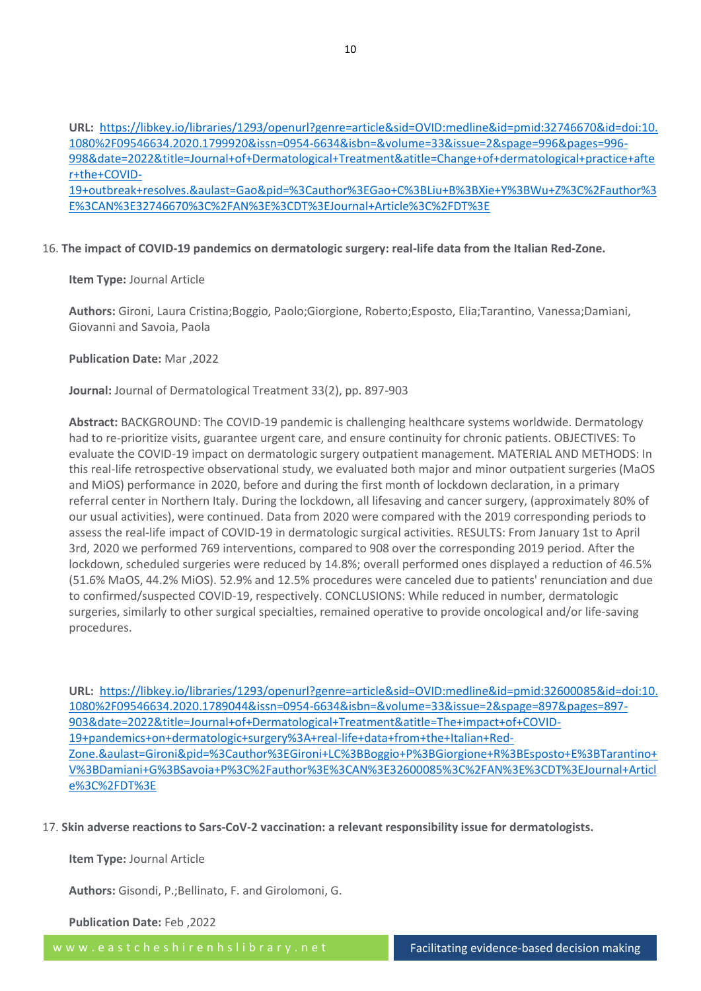**URL:** [https://libkey.io/libraries/1293/openurl?genre=article&sid=OVID:medline&id=pmid:32746670&id=doi:10.](https://libkey.io/libraries/1293/openurl?genre=article&sid=OVID:medline&id=pmid:32746670&id=doi:10.1080%2F09546634.2020.1799920&issn=0954-6634&isbn=&volume=33&issue=2&spage=996&pages=996-998&date=2022&title=Journal+of+Dermatological+Treatment&atitle=Change+of+dermatological+practice+after+the+COVID-19+outbreak+resolves.&aulast=Gao&pid=%3Cauthor%3EGao+C%3BLiu+B%3BXie+Y%3BWu+Z%3C%2Fauthor%3E%3CAN%3E32746670%3C%2FAN%3E%3CDT%3EJournal+Article%3C%2FDT%3E) [1080%2F09546634.2020.1799920&issn=0954-6634&isbn=&volume=33&issue=2&spage=996&pages=996-](https://libkey.io/libraries/1293/openurl?genre=article&sid=OVID:medline&id=pmid:32746670&id=doi:10.1080%2F09546634.2020.1799920&issn=0954-6634&isbn=&volume=33&issue=2&spage=996&pages=996-998&date=2022&title=Journal+of+Dermatological+Treatment&atitle=Change+of+dermatological+practice+after+the+COVID-19+outbreak+resolves.&aulast=Gao&pid=%3Cauthor%3EGao+C%3BLiu+B%3BXie+Y%3BWu+Z%3C%2Fauthor%3E%3CAN%3E32746670%3C%2FAN%3E%3CDT%3EJournal+Article%3C%2FDT%3E) [998&date=2022&title=Journal+of+Dermatological+Treatment&atitle=Change+of+dermatological+practice+afte](https://libkey.io/libraries/1293/openurl?genre=article&sid=OVID:medline&id=pmid:32746670&id=doi:10.1080%2F09546634.2020.1799920&issn=0954-6634&isbn=&volume=33&issue=2&spage=996&pages=996-998&date=2022&title=Journal+of+Dermatological+Treatment&atitle=Change+of+dermatological+practice+after+the+COVID-19+outbreak+resolves.&aulast=Gao&pid=%3Cauthor%3EGao+C%3BLiu+B%3BXie+Y%3BWu+Z%3C%2Fauthor%3E%3CAN%3E32746670%3C%2FAN%3E%3CDT%3EJournal+Article%3C%2FDT%3E) [r+the+COVID-](https://libkey.io/libraries/1293/openurl?genre=article&sid=OVID:medline&id=pmid:32746670&id=doi:10.1080%2F09546634.2020.1799920&issn=0954-6634&isbn=&volume=33&issue=2&spage=996&pages=996-998&date=2022&title=Journal+of+Dermatological+Treatment&atitle=Change+of+dermatological+practice+after+the+COVID-19+outbreak+resolves.&aulast=Gao&pid=%3Cauthor%3EGao+C%3BLiu+B%3BXie+Y%3BWu+Z%3C%2Fauthor%3E%3CAN%3E32746670%3C%2FAN%3E%3CDT%3EJournal+Article%3C%2FDT%3E)[19+outbreak+resolves.&aulast=Gao&pid=%3Cauthor%3EGao+C%3BLiu+B%3BXie+Y%3BWu+Z%3C%2Fauthor%3](https://libkey.io/libraries/1293/openurl?genre=article&sid=OVID:medline&id=pmid:32746670&id=doi:10.1080%2F09546634.2020.1799920&issn=0954-6634&isbn=&volume=33&issue=2&spage=996&pages=996-998&date=2022&title=Journal+of+Dermatological+Treatment&atitle=Change+of+dermatological+practice+after+the+COVID-19+outbreak+resolves.&aulast=Gao&pid=%3Cauthor%3EGao+C%3BLiu+B%3BXie+Y%3BWu+Z%3C%2Fauthor%3E%3CAN%3E32746670%3C%2FAN%3E%3CDT%3EJournal+Article%3C%2FDT%3E) [E%3CAN%3E32746670%3C%2FAN%3E%3CDT%3EJournal+Article%3C%2FDT%3E](https://libkey.io/libraries/1293/openurl?genre=article&sid=OVID:medline&id=pmid:32746670&id=doi:10.1080%2F09546634.2020.1799920&issn=0954-6634&isbn=&volume=33&issue=2&spage=996&pages=996-998&date=2022&title=Journal+of+Dermatological+Treatment&atitle=Change+of+dermatological+practice+after+the+COVID-19+outbreak+resolves.&aulast=Gao&pid=%3Cauthor%3EGao+C%3BLiu+B%3BXie+Y%3BWu+Z%3C%2Fauthor%3E%3CAN%3E32746670%3C%2FAN%3E%3CDT%3EJournal+Article%3C%2FDT%3E)

# 16. **The impact of COVID-19 pandemics on dermatologic surgery: real-life data from the Italian Red-Zone.**

**Item Type:** Journal Article

**Authors:** Gironi, Laura Cristina;Boggio, Paolo;Giorgione, Roberto;Esposto, Elia;Tarantino, Vanessa;Damiani, Giovanni and Savoia, Paola

**Publication Date:** Mar ,2022

**Journal:** Journal of Dermatological Treatment 33(2), pp. 897-903

**Abstract:** BACKGROUND: The COVID-19 pandemic is challenging healthcare systems worldwide. Dermatology had to re-prioritize visits, guarantee urgent care, and ensure continuity for chronic patients. OBJECTIVES: To evaluate the COVID-19 impact on dermatologic surgery outpatient management. MATERIAL AND METHODS: In this real-life retrospective observational study, we evaluated both major and minor outpatient surgeries (MaOS and MiOS) performance in 2020, before and during the first month of lockdown declaration, in a primary referral center in Northern Italy. During the lockdown, all lifesaving and cancer surgery, (approximately 80% of our usual activities), were continued. Data from 2020 were compared with the 2019 corresponding periods to assess the real-life impact of COVID-19 in dermatologic surgical activities. RESULTS: From January 1st to April 3rd, 2020 we performed 769 interventions, compared to 908 over the corresponding 2019 period. After the lockdown, scheduled surgeries were reduced by 14.8%; overall performed ones displayed a reduction of 46.5% (51.6% MaOS, 44.2% MiOS). 52.9% and 12.5% procedures were canceled due to patients' renunciation and due to confirmed/suspected COVID-19, respectively. CONCLUSIONS: While reduced in number, dermatologic surgeries, similarly to other surgical specialties, remained operative to provide oncological and/or life-saving procedures.

**URL:** [https://libkey.io/libraries/1293/openurl?genre=article&sid=OVID:medline&id=pmid:32600085&id=doi:10.](https://libkey.io/libraries/1293/openurl?genre=article&sid=OVID:medline&id=pmid:32600085&id=doi:10.1080%2F09546634.2020.1789044&issn=0954-6634&isbn=&volume=33&issue=2&spage=897&pages=897-903&date=2022&title=Journal+of+Dermatological+Treatment&atitle=The+impact+of+COVID-19+pandemics+on+dermatologic+surgery%3A+real-life+data+from+the+Italian+Red-Zone.&aulast=Gironi&pid=%3Cauthor%3EGironi+LC%3BBoggio+P%3BGiorgione+R%3BEsposto+E%3BTarantino+V%3BDamiani+G%3BSavoia+P%3C%2Fauthor%3E%3CAN%3E32600085%3C%2FAN%3E%3CDT%3EJournal+Article%3C%2FDT%3E) [1080%2F09546634.2020.1789044&issn=0954-6634&isbn=&volume=33&issue=2&spage=897&pages=897-](https://libkey.io/libraries/1293/openurl?genre=article&sid=OVID:medline&id=pmid:32600085&id=doi:10.1080%2F09546634.2020.1789044&issn=0954-6634&isbn=&volume=33&issue=2&spage=897&pages=897-903&date=2022&title=Journal+of+Dermatological+Treatment&atitle=The+impact+of+COVID-19+pandemics+on+dermatologic+surgery%3A+real-life+data+from+the+Italian+Red-Zone.&aulast=Gironi&pid=%3Cauthor%3EGironi+LC%3BBoggio+P%3BGiorgione+R%3BEsposto+E%3BTarantino+V%3BDamiani+G%3BSavoia+P%3C%2Fauthor%3E%3CAN%3E32600085%3C%2FAN%3E%3CDT%3EJournal+Article%3C%2FDT%3E) [903&date=2022&title=Journal+of+Dermatological+Treatment&atitle=The+impact+of+COVID-](https://libkey.io/libraries/1293/openurl?genre=article&sid=OVID:medline&id=pmid:32600085&id=doi:10.1080%2F09546634.2020.1789044&issn=0954-6634&isbn=&volume=33&issue=2&spage=897&pages=897-903&date=2022&title=Journal+of+Dermatological+Treatment&atitle=The+impact+of+COVID-19+pandemics+on+dermatologic+surgery%3A+real-life+data+from+the+Italian+Red-Zone.&aulast=Gironi&pid=%3Cauthor%3EGironi+LC%3BBoggio+P%3BGiorgione+R%3BEsposto+E%3BTarantino+V%3BDamiani+G%3BSavoia+P%3C%2Fauthor%3E%3CAN%3E32600085%3C%2FAN%3E%3CDT%3EJournal+Article%3C%2FDT%3E)[19+pandemics+on+dermatologic+surgery%3A+real-life+data+from+the+Italian+Red-](https://libkey.io/libraries/1293/openurl?genre=article&sid=OVID:medline&id=pmid:32600085&id=doi:10.1080%2F09546634.2020.1789044&issn=0954-6634&isbn=&volume=33&issue=2&spage=897&pages=897-903&date=2022&title=Journal+of+Dermatological+Treatment&atitle=The+impact+of+COVID-19+pandemics+on+dermatologic+surgery%3A+real-life+data+from+the+Italian+Red-Zone.&aulast=Gironi&pid=%3Cauthor%3EGironi+LC%3BBoggio+P%3BGiorgione+R%3BEsposto+E%3BTarantino+V%3BDamiani+G%3BSavoia+P%3C%2Fauthor%3E%3CAN%3E32600085%3C%2FAN%3E%3CDT%3EJournal+Article%3C%2FDT%3E)[Zone.&aulast=Gironi&pid=%3Cauthor%3EGironi+LC%3BBoggio+P%3BGiorgione+R%3BEsposto+E%3BTarantino+](https://libkey.io/libraries/1293/openurl?genre=article&sid=OVID:medline&id=pmid:32600085&id=doi:10.1080%2F09546634.2020.1789044&issn=0954-6634&isbn=&volume=33&issue=2&spage=897&pages=897-903&date=2022&title=Journal+of+Dermatological+Treatment&atitle=The+impact+of+COVID-19+pandemics+on+dermatologic+surgery%3A+real-life+data+from+the+Italian+Red-Zone.&aulast=Gironi&pid=%3Cauthor%3EGironi+LC%3BBoggio+P%3BGiorgione+R%3BEsposto+E%3BTarantino+V%3BDamiani+G%3BSavoia+P%3C%2Fauthor%3E%3CAN%3E32600085%3C%2FAN%3E%3CDT%3EJournal+Article%3C%2FDT%3E) [V%3BDamiani+G%3BSavoia+P%3C%2Fauthor%3E%3CAN%3E32600085%3C%2FAN%3E%3CDT%3EJournal+Articl](https://libkey.io/libraries/1293/openurl?genre=article&sid=OVID:medline&id=pmid:32600085&id=doi:10.1080%2F09546634.2020.1789044&issn=0954-6634&isbn=&volume=33&issue=2&spage=897&pages=897-903&date=2022&title=Journal+of+Dermatological+Treatment&atitle=The+impact+of+COVID-19+pandemics+on+dermatologic+surgery%3A+real-life+data+from+the+Italian+Red-Zone.&aulast=Gironi&pid=%3Cauthor%3EGironi+LC%3BBoggio+P%3BGiorgione+R%3BEsposto+E%3BTarantino+V%3BDamiani+G%3BSavoia+P%3C%2Fauthor%3E%3CAN%3E32600085%3C%2FAN%3E%3CDT%3EJournal+Article%3C%2FDT%3E) [e%3C%2FDT%3E](https://libkey.io/libraries/1293/openurl?genre=article&sid=OVID:medline&id=pmid:32600085&id=doi:10.1080%2F09546634.2020.1789044&issn=0954-6634&isbn=&volume=33&issue=2&spage=897&pages=897-903&date=2022&title=Journal+of+Dermatological+Treatment&atitle=The+impact+of+COVID-19+pandemics+on+dermatologic+surgery%3A+real-life+data+from+the+Italian+Red-Zone.&aulast=Gironi&pid=%3Cauthor%3EGironi+LC%3BBoggio+P%3BGiorgione+R%3BEsposto+E%3BTarantino+V%3BDamiani+G%3BSavoia+P%3C%2Fauthor%3E%3CAN%3E32600085%3C%2FAN%3E%3CDT%3EJournal+Article%3C%2FDT%3E)

17. **Skin adverse reactions to Sars-CoV-2 vaccination: a relevant responsibility issue for dermatologists.**

**Item Type:** Journal Article

**Authors:** Gisondi, P.;Bellinato, F. and Girolomoni, G.

**Publication Date:** Feb ,2022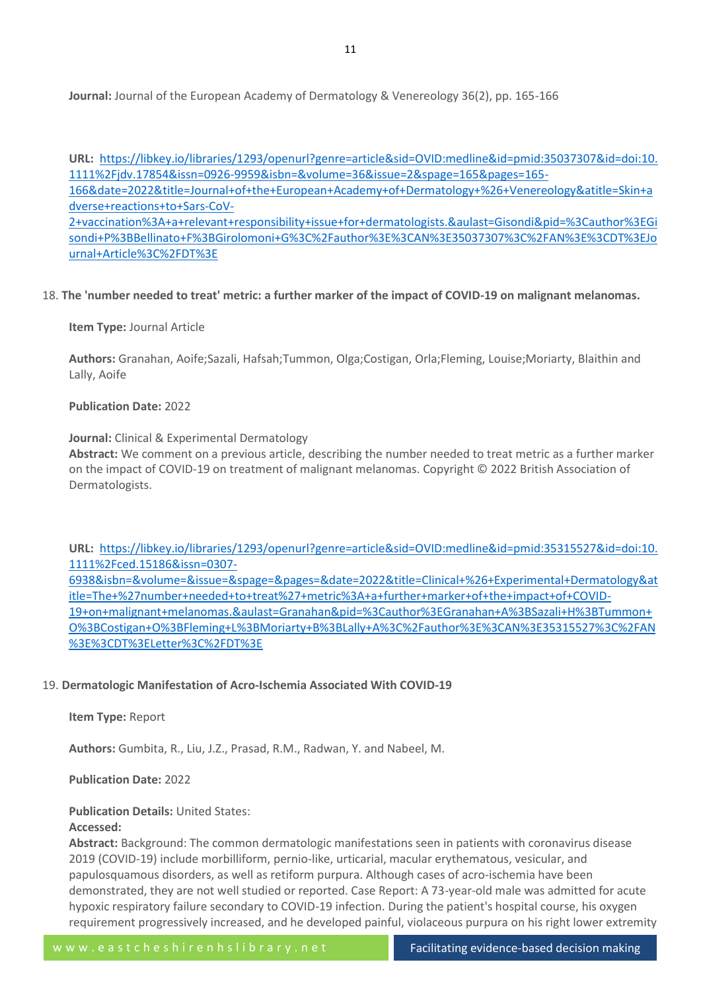**Journal:** Journal of the European Academy of Dermatology & Venereology 36(2), pp. 165-166

**URL:** [https://libkey.io/libraries/1293/openurl?genre=article&sid=OVID:medline&id=pmid:35037307&id=doi:10.](https://libkey.io/libraries/1293/openurl?genre=article&sid=OVID:medline&id=pmid:35037307&id=doi:10.1111%2Fjdv.17854&issn=0926-9959&isbn=&volume=36&issue=2&spage=165&pages=165-166&date=2022&title=Journal+of+the+European+Academy+of+Dermatology+%26+Venereology&atitle=Skin+adverse+reactions+to+Sars-CoV-2+vaccination%3A+a+relevant+responsibility+issue+for+dermatologists.&aulast=Gisondi&pid=%3Cauthor%3EGisondi+P%3BBellinato+F%3BGirolomoni+G%3C%2Fauthor%3E%3CAN%3E35037307%3C%2FAN%3E%3CDT%3EJournal+Article%3C%2FDT%3E) [1111%2Fjdv.17854&issn=0926-9959&isbn=&volume=36&issue=2&spage=165&pages=165-](https://libkey.io/libraries/1293/openurl?genre=article&sid=OVID:medline&id=pmid:35037307&id=doi:10.1111%2Fjdv.17854&issn=0926-9959&isbn=&volume=36&issue=2&spage=165&pages=165-166&date=2022&title=Journal+of+the+European+Academy+of+Dermatology+%26+Venereology&atitle=Skin+adverse+reactions+to+Sars-CoV-2+vaccination%3A+a+relevant+responsibility+issue+for+dermatologists.&aulast=Gisondi&pid=%3Cauthor%3EGisondi+P%3BBellinato+F%3BGirolomoni+G%3C%2Fauthor%3E%3CAN%3E35037307%3C%2FAN%3E%3CDT%3EJournal+Article%3C%2FDT%3E) [166&date=2022&title=Journal+of+the+European+Academy+of+Dermatology+%26+Venereology&atitle=Skin+a](https://libkey.io/libraries/1293/openurl?genre=article&sid=OVID:medline&id=pmid:35037307&id=doi:10.1111%2Fjdv.17854&issn=0926-9959&isbn=&volume=36&issue=2&spage=165&pages=165-166&date=2022&title=Journal+of+the+European+Academy+of+Dermatology+%26+Venereology&atitle=Skin+adverse+reactions+to+Sars-CoV-2+vaccination%3A+a+relevant+responsibility+issue+for+dermatologists.&aulast=Gisondi&pid=%3Cauthor%3EGisondi+P%3BBellinato+F%3BGirolomoni+G%3C%2Fauthor%3E%3CAN%3E35037307%3C%2FAN%3E%3CDT%3EJournal+Article%3C%2FDT%3E) [dverse+reactions+to+Sars-CoV-](https://libkey.io/libraries/1293/openurl?genre=article&sid=OVID:medline&id=pmid:35037307&id=doi:10.1111%2Fjdv.17854&issn=0926-9959&isbn=&volume=36&issue=2&spage=165&pages=165-166&date=2022&title=Journal+of+the+European+Academy+of+Dermatology+%26+Venereology&atitle=Skin+adverse+reactions+to+Sars-CoV-2+vaccination%3A+a+relevant+responsibility+issue+for+dermatologists.&aulast=Gisondi&pid=%3Cauthor%3EGisondi+P%3BBellinato+F%3BGirolomoni+G%3C%2Fauthor%3E%3CAN%3E35037307%3C%2FAN%3E%3CDT%3EJournal+Article%3C%2FDT%3E)[2+vaccination%3A+a+relevant+responsibility+issue+for+dermatologists.&aulast=Gisondi&pid=%3Cauthor%3EGi](https://libkey.io/libraries/1293/openurl?genre=article&sid=OVID:medline&id=pmid:35037307&id=doi:10.1111%2Fjdv.17854&issn=0926-9959&isbn=&volume=36&issue=2&spage=165&pages=165-166&date=2022&title=Journal+of+the+European+Academy+of+Dermatology+%26+Venereology&atitle=Skin+adverse+reactions+to+Sars-CoV-2+vaccination%3A+a+relevant+responsibility+issue+for+dermatologists.&aulast=Gisondi&pid=%3Cauthor%3EGisondi+P%3BBellinato+F%3BGirolomoni+G%3C%2Fauthor%3E%3CAN%3E35037307%3C%2FAN%3E%3CDT%3EJournal+Article%3C%2FDT%3E) [sondi+P%3BBellinato+F%3BGirolomoni+G%3C%2Fauthor%3E%3CAN%3E35037307%3C%2FAN%3E%3CDT%3EJo](https://libkey.io/libraries/1293/openurl?genre=article&sid=OVID:medline&id=pmid:35037307&id=doi:10.1111%2Fjdv.17854&issn=0926-9959&isbn=&volume=36&issue=2&spage=165&pages=165-166&date=2022&title=Journal+of+the+European+Academy+of+Dermatology+%26+Venereology&atitle=Skin+adverse+reactions+to+Sars-CoV-2+vaccination%3A+a+relevant+responsibility+issue+for+dermatologists.&aulast=Gisondi&pid=%3Cauthor%3EGisondi+P%3BBellinato+F%3BGirolomoni+G%3C%2Fauthor%3E%3CAN%3E35037307%3C%2FAN%3E%3CDT%3EJournal+Article%3C%2FDT%3E)

[urnal+Article%3C%2FDT%3E](https://libkey.io/libraries/1293/openurl?genre=article&sid=OVID:medline&id=pmid:35037307&id=doi:10.1111%2Fjdv.17854&issn=0926-9959&isbn=&volume=36&issue=2&spage=165&pages=165-166&date=2022&title=Journal+of+the+European+Academy+of+Dermatology+%26+Venereology&atitle=Skin+adverse+reactions+to+Sars-CoV-2+vaccination%3A+a+relevant+responsibility+issue+for+dermatologists.&aulast=Gisondi&pid=%3Cauthor%3EGisondi+P%3BBellinato+F%3BGirolomoni+G%3C%2Fauthor%3E%3CAN%3E35037307%3C%2FAN%3E%3CDT%3EJournal+Article%3C%2FDT%3E)

#### 18. **The 'number needed to treat' metric: a further marker of the impact of COVID-19 on malignant melanomas.**

#### **Item Type:** Journal Article

**Authors:** Granahan, Aoife;Sazali, Hafsah;Tummon, Olga;Costigan, Orla;Fleming, Louise;Moriarty, Blaithin and Lally, Aoife

#### **Publication Date:** 2022

#### **Journal:** Clinical & Experimental Dermatology

**Abstract:** We comment on a previous article, describing the number needed to treat metric as a further marker on the impact of COVID-19 on treatment of malignant melanomas. Copyright © 2022 British Association of Dermatologists.

**URL:** [https://libkey.io/libraries/1293/openurl?genre=article&sid=OVID:medline&id=pmid:35315527&id=doi:10.](https://libkey.io/libraries/1293/openurl?genre=article&sid=OVID:medline&id=pmid:35315527&id=doi:10.1111%2Fced.15186&issn=0307-6938&isbn=&volume=&issue=&spage=&pages=&date=2022&title=Clinical+%26+Experimental+Dermatology&atitle=The+%27number+needed+to+treat%27+metric%3A+a+further+marker+of+the+impact+of+COVID-19+on+malignant+melanomas.&aulast=Granahan&pid=%3Cauthor%3EGranahan+A%3BSazali+H%3BTummon+O%3BCostigan+O%3BFleming+L%3BMoriarty+B%3BLally+A%3C%2Fauthor%3E%3CAN%3E35315527%3C%2FAN%3E%3CDT%3ELetter%3C%2FDT%3E) [1111%2Fced.15186&issn=0307-](https://libkey.io/libraries/1293/openurl?genre=article&sid=OVID:medline&id=pmid:35315527&id=doi:10.1111%2Fced.15186&issn=0307-6938&isbn=&volume=&issue=&spage=&pages=&date=2022&title=Clinical+%26+Experimental+Dermatology&atitle=The+%27number+needed+to+treat%27+metric%3A+a+further+marker+of+the+impact+of+COVID-19+on+malignant+melanomas.&aulast=Granahan&pid=%3Cauthor%3EGranahan+A%3BSazali+H%3BTummon+O%3BCostigan+O%3BFleming+L%3BMoriarty+B%3BLally+A%3C%2Fauthor%3E%3CAN%3E35315527%3C%2FAN%3E%3CDT%3ELetter%3C%2FDT%3E) [6938&isbn=&volume=&issue=&spage=&pages=&date=2022&title=Clinical+%26+Experimental+Dermatology&at](https://libkey.io/libraries/1293/openurl?genre=article&sid=OVID:medline&id=pmid:35315527&id=doi:10.1111%2Fced.15186&issn=0307-6938&isbn=&volume=&issue=&spage=&pages=&date=2022&title=Clinical+%26+Experimental+Dermatology&atitle=The+%27number+needed+to+treat%27+metric%3A+a+further+marker+of+the+impact+of+COVID-19+on+malignant+melanomas.&aulast=Granahan&pid=%3Cauthor%3EGranahan+A%3BSazali+H%3BTummon+O%3BCostigan+O%3BFleming+L%3BMoriarty+B%3BLally+A%3C%2Fauthor%3E%3CAN%3E35315527%3C%2FAN%3E%3CDT%3ELetter%3C%2FDT%3E) [itle=The+%27number+needed+to+treat%27+metric%3A+a+further+marker+of+the+impact+of+COVID-](https://libkey.io/libraries/1293/openurl?genre=article&sid=OVID:medline&id=pmid:35315527&id=doi:10.1111%2Fced.15186&issn=0307-6938&isbn=&volume=&issue=&spage=&pages=&date=2022&title=Clinical+%26+Experimental+Dermatology&atitle=The+%27number+needed+to+treat%27+metric%3A+a+further+marker+of+the+impact+of+COVID-19+on+malignant+melanomas.&aulast=Granahan&pid=%3Cauthor%3EGranahan+A%3BSazali+H%3BTummon+O%3BCostigan+O%3BFleming+L%3BMoriarty+B%3BLally+A%3C%2Fauthor%3E%3CAN%3E35315527%3C%2FAN%3E%3CDT%3ELetter%3C%2FDT%3E)[19+on+malignant+melanomas.&aulast=Granahan&pid=%3Cauthor%3EGranahan+A%3BSazali+H%3BTummon+](https://libkey.io/libraries/1293/openurl?genre=article&sid=OVID:medline&id=pmid:35315527&id=doi:10.1111%2Fced.15186&issn=0307-6938&isbn=&volume=&issue=&spage=&pages=&date=2022&title=Clinical+%26+Experimental+Dermatology&atitle=The+%27number+needed+to+treat%27+metric%3A+a+further+marker+of+the+impact+of+COVID-19+on+malignant+melanomas.&aulast=Granahan&pid=%3Cauthor%3EGranahan+A%3BSazali+H%3BTummon+O%3BCostigan+O%3BFleming+L%3BMoriarty+B%3BLally+A%3C%2Fauthor%3E%3CAN%3E35315527%3C%2FAN%3E%3CDT%3ELetter%3C%2FDT%3E)

[O%3BCostigan+O%3BFleming+L%3BMoriarty+B%3BLally+A%3C%2Fauthor%3E%3CAN%3E35315527%3C%2FAN](https://libkey.io/libraries/1293/openurl?genre=article&sid=OVID:medline&id=pmid:35315527&id=doi:10.1111%2Fced.15186&issn=0307-6938&isbn=&volume=&issue=&spage=&pages=&date=2022&title=Clinical+%26+Experimental+Dermatology&atitle=The+%27number+needed+to+treat%27+metric%3A+a+further+marker+of+the+impact+of+COVID-19+on+malignant+melanomas.&aulast=Granahan&pid=%3Cauthor%3EGranahan+A%3BSazali+H%3BTummon+O%3BCostigan+O%3BFleming+L%3BMoriarty+B%3BLally+A%3C%2Fauthor%3E%3CAN%3E35315527%3C%2FAN%3E%3CDT%3ELetter%3C%2FDT%3E) [%3E%3CDT%3ELetter%3C%2FDT%3E](https://libkey.io/libraries/1293/openurl?genre=article&sid=OVID:medline&id=pmid:35315527&id=doi:10.1111%2Fced.15186&issn=0307-6938&isbn=&volume=&issue=&spage=&pages=&date=2022&title=Clinical+%26+Experimental+Dermatology&atitle=The+%27number+needed+to+treat%27+metric%3A+a+further+marker+of+the+impact+of+COVID-19+on+malignant+melanomas.&aulast=Granahan&pid=%3Cauthor%3EGranahan+A%3BSazali+H%3BTummon+O%3BCostigan+O%3BFleming+L%3BMoriarty+B%3BLally+A%3C%2Fauthor%3E%3CAN%3E35315527%3C%2FAN%3E%3CDT%3ELetter%3C%2FDT%3E)

# 19. **Dermatologic Manifestation of Acro-Ischemia Associated With COVID-19**

**Item Type:** Report

**Authors:** Gumbita, R., Liu, J.Z., Prasad, R.M., Radwan, Y. and Nabeel, M.

# **Publication Date:** 2022

## **Publication Details:** United States:

# **Accessed:**

**Abstract:** Background: The common dermatologic manifestations seen in patients with coronavirus disease 2019 (COVID-19) include morbilliform, pernio-like, urticarial, macular erythematous, vesicular, and papulosquamous disorders, as well as retiform purpura. Although cases of acro-ischemia have been demonstrated, they are not well studied or reported. Case Report: A 73-year-old male was admitted for acute hypoxic respiratory failure secondary to COVID-19 infection. During the patient's hospital course, his oxygen requirement progressively increased, and he developed painful, violaceous purpura on his right lower extremity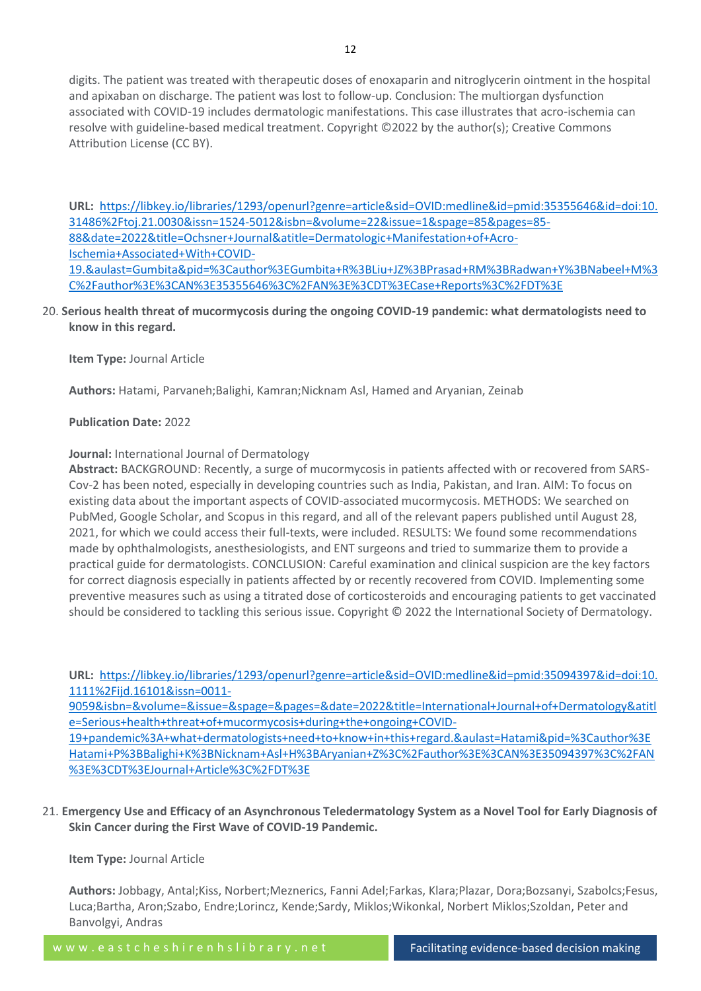digits. The patient was treated with therapeutic doses of enoxaparin and nitroglycerin ointment in the hospital and apixaban on discharge. The patient was lost to follow-up. Conclusion: The multiorgan dysfunction associated with COVID-19 includes dermatologic manifestations. This case illustrates that acro-ischemia can resolve with guideline-based medical treatment. Copyright ©2022 by the author(s); Creative Commons Attribution License (CC BY).

**URL:** [https://libkey.io/libraries/1293/openurl?genre=article&sid=OVID:medline&id=pmid:35355646&id=doi:10.](https://libkey.io/libraries/1293/openurl?genre=article&sid=OVID:medline&id=pmid:35355646&id=doi:10.31486%2Ftoj.21.0030&issn=1524-5012&isbn=&volume=22&issue=1&spage=85&pages=85-88&date=2022&title=Ochsner+Journal&atitle=Dermatologic+Manifestation+of+Acro-Ischemia+Associated+With+COVID-19.&aulast=Gumbita&pid=%3Cauthor%3EGumbita+R%3BLiu+JZ%3BPrasad+RM%3BRadwan+Y%3BNabeel+M%3C%2Fauthor%3E%3CAN%3E35355646%3C%2FAN%3E%3CDT%3ECase+Reports%3C%2FDT%3E) [31486%2Ftoj.21.0030&issn=1524-5012&isbn=&volume=22&issue=1&spage=85&pages=85-](https://libkey.io/libraries/1293/openurl?genre=article&sid=OVID:medline&id=pmid:35355646&id=doi:10.31486%2Ftoj.21.0030&issn=1524-5012&isbn=&volume=22&issue=1&spage=85&pages=85-88&date=2022&title=Ochsner+Journal&atitle=Dermatologic+Manifestation+of+Acro-Ischemia+Associated+With+COVID-19.&aulast=Gumbita&pid=%3Cauthor%3EGumbita+R%3BLiu+JZ%3BPrasad+RM%3BRadwan+Y%3BNabeel+M%3C%2Fauthor%3E%3CAN%3E35355646%3C%2FAN%3E%3CDT%3ECase+Reports%3C%2FDT%3E) [88&date=2022&title=Ochsner+Journal&atitle=Dermatologic+Manifestation+of+Acro-](https://libkey.io/libraries/1293/openurl?genre=article&sid=OVID:medline&id=pmid:35355646&id=doi:10.31486%2Ftoj.21.0030&issn=1524-5012&isbn=&volume=22&issue=1&spage=85&pages=85-88&date=2022&title=Ochsner+Journal&atitle=Dermatologic+Manifestation+of+Acro-Ischemia+Associated+With+COVID-19.&aulast=Gumbita&pid=%3Cauthor%3EGumbita+R%3BLiu+JZ%3BPrasad+RM%3BRadwan+Y%3BNabeel+M%3C%2Fauthor%3E%3CAN%3E35355646%3C%2FAN%3E%3CDT%3ECase+Reports%3C%2FDT%3E)[Ischemia+Associated+With+COVID-](https://libkey.io/libraries/1293/openurl?genre=article&sid=OVID:medline&id=pmid:35355646&id=doi:10.31486%2Ftoj.21.0030&issn=1524-5012&isbn=&volume=22&issue=1&spage=85&pages=85-88&date=2022&title=Ochsner+Journal&atitle=Dermatologic+Manifestation+of+Acro-Ischemia+Associated+With+COVID-19.&aulast=Gumbita&pid=%3Cauthor%3EGumbita+R%3BLiu+JZ%3BPrasad+RM%3BRadwan+Y%3BNabeel+M%3C%2Fauthor%3E%3CAN%3E35355646%3C%2FAN%3E%3CDT%3ECase+Reports%3C%2FDT%3E)[19.&aulast=Gumbita&pid=%3Cauthor%3EGumbita+R%3BLiu+JZ%3BPrasad+RM%3BRadwan+Y%3BNabeel+M%3](https://libkey.io/libraries/1293/openurl?genre=article&sid=OVID:medline&id=pmid:35355646&id=doi:10.31486%2Ftoj.21.0030&issn=1524-5012&isbn=&volume=22&issue=1&spage=85&pages=85-88&date=2022&title=Ochsner+Journal&atitle=Dermatologic+Manifestation+of+Acro-Ischemia+Associated+With+COVID-19.&aulast=Gumbita&pid=%3Cauthor%3EGumbita+R%3BLiu+JZ%3BPrasad+RM%3BRadwan+Y%3BNabeel+M%3C%2Fauthor%3E%3CAN%3E35355646%3C%2FAN%3E%3CDT%3ECase+Reports%3C%2FDT%3E) [C%2Fauthor%3E%3CAN%3E35355646%3C%2FAN%3E%3CDT%3ECase+Reports%3C%2FDT%3E](https://libkey.io/libraries/1293/openurl?genre=article&sid=OVID:medline&id=pmid:35355646&id=doi:10.31486%2Ftoj.21.0030&issn=1524-5012&isbn=&volume=22&issue=1&spage=85&pages=85-88&date=2022&title=Ochsner+Journal&atitle=Dermatologic+Manifestation+of+Acro-Ischemia+Associated+With+COVID-19.&aulast=Gumbita&pid=%3Cauthor%3EGumbita+R%3BLiu+JZ%3BPrasad+RM%3BRadwan+Y%3BNabeel+M%3C%2Fauthor%3E%3CAN%3E35355646%3C%2FAN%3E%3CDT%3ECase+Reports%3C%2FDT%3E)

20. **Serious health threat of mucormycosis during the ongoing COVID-19 pandemic: what dermatologists need to know in this regard.**

**Item Type:** Journal Article

**Authors:** Hatami, Parvaneh;Balighi, Kamran;Nicknam Asl, Hamed and Aryanian, Zeinab

#### **Publication Date:** 2022

#### **Journal:** International Journal of Dermatology

**Abstract:** BACKGROUND: Recently, a surge of mucormycosis in patients affected with or recovered from SARS-Cov-2 has been noted, especially in developing countries such as India, Pakistan, and Iran. AIM: To focus on existing data about the important aspects of COVID-associated mucormycosis. METHODS: We searched on PubMed, Google Scholar, and Scopus in this regard, and all of the relevant papers published until August 28, 2021, for which we could access their full-texts, were included. RESULTS: We found some recommendations made by ophthalmologists, anesthesiologists, and ENT surgeons and tried to summarize them to provide a practical guide for dermatologists. CONCLUSION: Careful examination and clinical suspicion are the key factors for correct diagnosis especially in patients affected by or recently recovered from COVID. Implementing some preventive measures such as using a titrated dose of corticosteroids and encouraging patients to get vaccinated should be considered to tackling this serious issue. Copyright © 2022 the International Society of Dermatology.

**URL:** [https://libkey.io/libraries/1293/openurl?genre=article&sid=OVID:medline&id=pmid:35094397&id=doi:10.](https://libkey.io/libraries/1293/openurl?genre=article&sid=OVID:medline&id=pmid:35094397&id=doi:10.1111%2Fijd.16101&issn=0011-9059&isbn=&volume=&issue=&spage=&pages=&date=2022&title=International+Journal+of+Dermatology&atitle=Serious+health+threat+of+mucormycosis+during+the+ongoing+COVID-19+pandemic%3A+what+dermatologists+need+to+know+in+this+regard.&aulast=Hatami&pid=%3Cauthor%3EHatami+P%3BBalighi+K%3BNicknam+Asl+H%3BAryanian+Z%3C%2Fauthor%3E%3CAN%3E35094397%3C%2FAN%3E%3CDT%3EJournal+Article%3C%2FDT%3E) [1111%2Fijd.16101&issn=0011-](https://libkey.io/libraries/1293/openurl?genre=article&sid=OVID:medline&id=pmid:35094397&id=doi:10.1111%2Fijd.16101&issn=0011-9059&isbn=&volume=&issue=&spage=&pages=&date=2022&title=International+Journal+of+Dermatology&atitle=Serious+health+threat+of+mucormycosis+during+the+ongoing+COVID-19+pandemic%3A+what+dermatologists+need+to+know+in+this+regard.&aulast=Hatami&pid=%3Cauthor%3EHatami+P%3BBalighi+K%3BNicknam+Asl+H%3BAryanian+Z%3C%2Fauthor%3E%3CAN%3E35094397%3C%2FAN%3E%3CDT%3EJournal+Article%3C%2FDT%3E)

[9059&isbn=&volume=&issue=&spage=&pages=&date=2022&title=International+Journal+of+Dermatology&atitl](https://libkey.io/libraries/1293/openurl?genre=article&sid=OVID:medline&id=pmid:35094397&id=doi:10.1111%2Fijd.16101&issn=0011-9059&isbn=&volume=&issue=&spage=&pages=&date=2022&title=International+Journal+of+Dermatology&atitle=Serious+health+threat+of+mucormycosis+during+the+ongoing+COVID-19+pandemic%3A+what+dermatologists+need+to+know+in+this+regard.&aulast=Hatami&pid=%3Cauthor%3EHatami+P%3BBalighi+K%3BNicknam+Asl+H%3BAryanian+Z%3C%2Fauthor%3E%3CAN%3E35094397%3C%2FAN%3E%3CDT%3EJournal+Article%3C%2FDT%3E) [e=Serious+health+threat+of+mucormycosis+during+the+ongoing+COVID-](https://libkey.io/libraries/1293/openurl?genre=article&sid=OVID:medline&id=pmid:35094397&id=doi:10.1111%2Fijd.16101&issn=0011-9059&isbn=&volume=&issue=&spage=&pages=&date=2022&title=International+Journal+of+Dermatology&atitle=Serious+health+threat+of+mucormycosis+during+the+ongoing+COVID-19+pandemic%3A+what+dermatologists+need+to+know+in+this+regard.&aulast=Hatami&pid=%3Cauthor%3EHatami+P%3BBalighi+K%3BNicknam+Asl+H%3BAryanian+Z%3C%2Fauthor%3E%3CAN%3E35094397%3C%2FAN%3E%3CDT%3EJournal+Article%3C%2FDT%3E)

[19+pandemic%3A+what+dermatologists+need+to+know+in+this+regard.&aulast=Hatami&pid=%3Cauthor%3E](https://libkey.io/libraries/1293/openurl?genre=article&sid=OVID:medline&id=pmid:35094397&id=doi:10.1111%2Fijd.16101&issn=0011-9059&isbn=&volume=&issue=&spage=&pages=&date=2022&title=International+Journal+of+Dermatology&atitle=Serious+health+threat+of+mucormycosis+during+the+ongoing+COVID-19+pandemic%3A+what+dermatologists+need+to+know+in+this+regard.&aulast=Hatami&pid=%3Cauthor%3EHatami+P%3BBalighi+K%3BNicknam+Asl+H%3BAryanian+Z%3C%2Fauthor%3E%3CAN%3E35094397%3C%2FAN%3E%3CDT%3EJournal+Article%3C%2FDT%3E) [Hatami+P%3BBalighi+K%3BNicknam+Asl+H%3BAryanian+Z%3C%2Fauthor%3E%3CAN%3E35094397%3C%2FAN](https://libkey.io/libraries/1293/openurl?genre=article&sid=OVID:medline&id=pmid:35094397&id=doi:10.1111%2Fijd.16101&issn=0011-9059&isbn=&volume=&issue=&spage=&pages=&date=2022&title=International+Journal+of+Dermatology&atitle=Serious+health+threat+of+mucormycosis+during+the+ongoing+COVID-19+pandemic%3A+what+dermatologists+need+to+know+in+this+regard.&aulast=Hatami&pid=%3Cauthor%3EHatami+P%3BBalighi+K%3BNicknam+Asl+H%3BAryanian+Z%3C%2Fauthor%3E%3CAN%3E35094397%3C%2FAN%3E%3CDT%3EJournal+Article%3C%2FDT%3E) [%3E%3CDT%3EJournal+Article%3C%2FDT%3E](https://libkey.io/libraries/1293/openurl?genre=article&sid=OVID:medline&id=pmid:35094397&id=doi:10.1111%2Fijd.16101&issn=0011-9059&isbn=&volume=&issue=&spage=&pages=&date=2022&title=International+Journal+of+Dermatology&atitle=Serious+health+threat+of+mucormycosis+during+the+ongoing+COVID-19+pandemic%3A+what+dermatologists+need+to+know+in+this+regard.&aulast=Hatami&pid=%3Cauthor%3EHatami+P%3BBalighi+K%3BNicknam+Asl+H%3BAryanian+Z%3C%2Fauthor%3E%3CAN%3E35094397%3C%2FAN%3E%3CDT%3EJournal+Article%3C%2FDT%3E)

21. **Emergency Use and Efficacy of an Asynchronous Teledermatology System as a Novel Tool for Early Diagnosis of Skin Cancer during the First Wave of COVID-19 Pandemic.**

**Item Type:** Journal Article

**Authors:** Jobbagy, Antal;Kiss, Norbert;Meznerics, Fanni Adel;Farkas, Klara;Plazar, Dora;Bozsanyi, Szabolcs;Fesus, Luca;Bartha, Aron;Szabo, Endre;Lorincz, Kende;Sardy, Miklos;Wikonkal, Norbert Miklos;Szoldan, Peter and Banvolgyi, Andras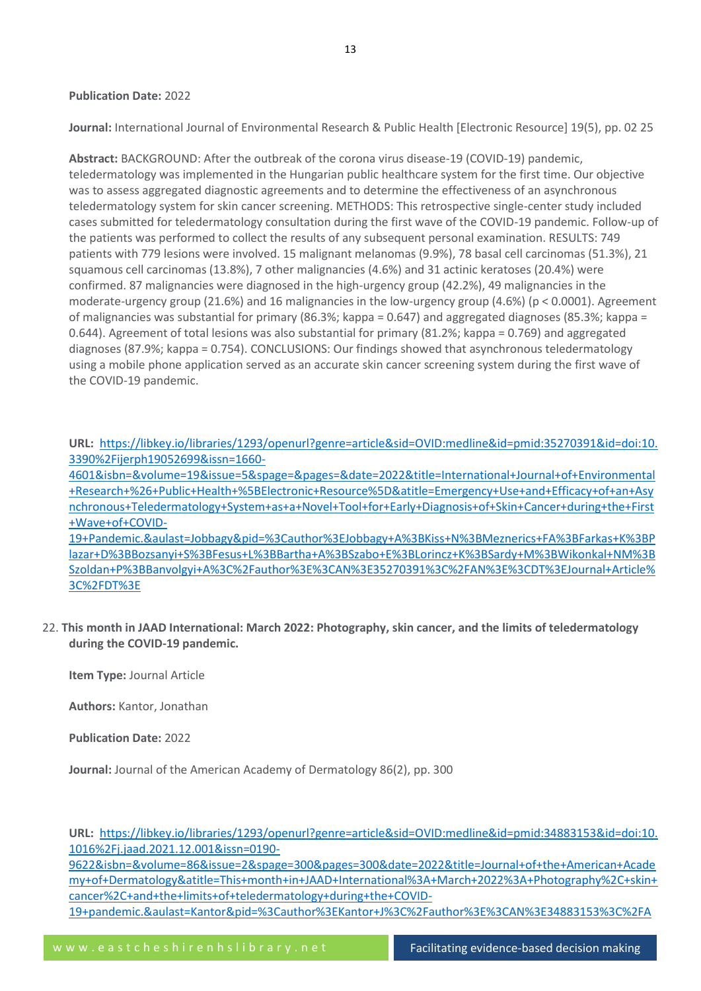#### **Publication Date:** 2022

**Journal:** International Journal of Environmental Research & Public Health [Electronic Resource] 19(5), pp. 02 25

**Abstract:** BACKGROUND: After the outbreak of the corona virus disease-19 (COVID-19) pandemic, teledermatology was implemented in the Hungarian public healthcare system for the first time. Our objective was to assess aggregated diagnostic agreements and to determine the effectiveness of an asynchronous teledermatology system for skin cancer screening. METHODS: This retrospective single-center study included cases submitted for teledermatology consultation during the first wave of the COVID-19 pandemic. Follow-up of the patients was performed to collect the results of any subsequent personal examination. RESULTS: 749 patients with 779 lesions were involved. 15 malignant melanomas (9.9%), 78 basal cell carcinomas (51.3%), 21 squamous cell carcinomas (13.8%), 7 other malignancies (4.6%) and 31 actinic keratoses (20.4%) were confirmed. 87 malignancies were diagnosed in the high-urgency group (42.2%), 49 malignancies in the moderate-urgency group (21.6%) and 16 malignancies in the low-urgency group (4.6%) (p < 0.0001). Agreement of malignancies was substantial for primary (86.3%; kappa = 0.647) and aggregated diagnoses (85.3%; kappa = 0.644). Agreement of total lesions was also substantial for primary (81.2%; kappa = 0.769) and aggregated diagnoses (87.9%; kappa = 0.754). CONCLUSIONS: Our findings showed that asynchronous teledermatology using a mobile phone application served as an accurate skin cancer screening system during the first wave of the COVID-19 pandemic.

**URL:** [https://libkey.io/libraries/1293/openurl?genre=article&sid=OVID:medline&id=pmid:35270391&id=doi:10.](https://libkey.io/libraries/1293/openurl?genre=article&sid=OVID:medline&id=pmid:35270391&id=doi:10.3390%2Fijerph19052699&issn=1660-4601&isbn=&volume=19&issue=5&spage=&pages=&date=2022&title=International+Journal+of+Environmental+Research+%26+Public+Health+%5BElectronic+Resource%5D&atitle=Emergency+Use+and+Efficacy+of+an+Asynchronous+Teledermatology+System+as+a+Novel+Tool+for+Early+Diagnosis+of+Skin+Cancer+during+the+First+Wave+of+COVID-19+Pandemic.&aulast=Jobbagy&pid=%3Cauthor%3EJobbagy+A%3BKiss+N%3BMeznerics+FA%3BFarkas+K%3BPlazar+D%3BBozsanyi+S%3BFesus+L%3BBartha+A%3BSzabo+E%3BLorincz+K%3BSardy+M%3BWikonkal+NM%3BSzoldan+P%3BBanvolgyi+A%3C%2Fauthor%3E%3CAN%3E35270391%3C%2FAN%3E%3CDT%3EJournal+Article%3C%2FDT%3E) [3390%2Fijerph19052699&issn=1660-](https://libkey.io/libraries/1293/openurl?genre=article&sid=OVID:medline&id=pmid:35270391&id=doi:10.3390%2Fijerph19052699&issn=1660-4601&isbn=&volume=19&issue=5&spage=&pages=&date=2022&title=International+Journal+of+Environmental+Research+%26+Public+Health+%5BElectronic+Resource%5D&atitle=Emergency+Use+and+Efficacy+of+an+Asynchronous+Teledermatology+System+as+a+Novel+Tool+for+Early+Diagnosis+of+Skin+Cancer+during+the+First+Wave+of+COVID-19+Pandemic.&aulast=Jobbagy&pid=%3Cauthor%3EJobbagy+A%3BKiss+N%3BMeznerics+FA%3BFarkas+K%3BPlazar+D%3BBozsanyi+S%3BFesus+L%3BBartha+A%3BSzabo+E%3BLorincz+K%3BSardy+M%3BWikonkal+NM%3BSzoldan+P%3BBanvolgyi+A%3C%2Fauthor%3E%3CAN%3E35270391%3C%2FAN%3E%3CDT%3EJournal+Article%3C%2FDT%3E)

[4601&isbn=&volume=19&issue=5&spage=&pages=&date=2022&title=International+Journal+of+Environmental](https://libkey.io/libraries/1293/openurl?genre=article&sid=OVID:medline&id=pmid:35270391&id=doi:10.3390%2Fijerph19052699&issn=1660-4601&isbn=&volume=19&issue=5&spage=&pages=&date=2022&title=International+Journal+of+Environmental+Research+%26+Public+Health+%5BElectronic+Resource%5D&atitle=Emergency+Use+and+Efficacy+of+an+Asynchronous+Teledermatology+System+as+a+Novel+Tool+for+Early+Diagnosis+of+Skin+Cancer+during+the+First+Wave+of+COVID-19+Pandemic.&aulast=Jobbagy&pid=%3Cauthor%3EJobbagy+A%3BKiss+N%3BMeznerics+FA%3BFarkas+K%3BPlazar+D%3BBozsanyi+S%3BFesus+L%3BBartha+A%3BSzabo+E%3BLorincz+K%3BSardy+M%3BWikonkal+NM%3BSzoldan+P%3BBanvolgyi+A%3C%2Fauthor%3E%3CAN%3E35270391%3C%2FAN%3E%3CDT%3EJournal+Article%3C%2FDT%3E) [+Research+%26+Public+Health+%5BElectronic+Resource%5D&atitle=Emergency+Use+and+Efficacy+of+an+Asy](https://libkey.io/libraries/1293/openurl?genre=article&sid=OVID:medline&id=pmid:35270391&id=doi:10.3390%2Fijerph19052699&issn=1660-4601&isbn=&volume=19&issue=5&spage=&pages=&date=2022&title=International+Journal+of+Environmental+Research+%26+Public+Health+%5BElectronic+Resource%5D&atitle=Emergency+Use+and+Efficacy+of+an+Asynchronous+Teledermatology+System+as+a+Novel+Tool+for+Early+Diagnosis+of+Skin+Cancer+during+the+First+Wave+of+COVID-19+Pandemic.&aulast=Jobbagy&pid=%3Cauthor%3EJobbagy+A%3BKiss+N%3BMeznerics+FA%3BFarkas+K%3BPlazar+D%3BBozsanyi+S%3BFesus+L%3BBartha+A%3BSzabo+E%3BLorincz+K%3BSardy+M%3BWikonkal+NM%3BSzoldan+P%3BBanvolgyi+A%3C%2Fauthor%3E%3CAN%3E35270391%3C%2FAN%3E%3CDT%3EJournal+Article%3C%2FDT%3E) [nchronous+Teledermatology+System+as+a+Novel+Tool+for+Early+Diagnosis+of+Skin+Cancer+during+the+First](https://libkey.io/libraries/1293/openurl?genre=article&sid=OVID:medline&id=pmid:35270391&id=doi:10.3390%2Fijerph19052699&issn=1660-4601&isbn=&volume=19&issue=5&spage=&pages=&date=2022&title=International+Journal+of+Environmental+Research+%26+Public+Health+%5BElectronic+Resource%5D&atitle=Emergency+Use+and+Efficacy+of+an+Asynchronous+Teledermatology+System+as+a+Novel+Tool+for+Early+Diagnosis+of+Skin+Cancer+during+the+First+Wave+of+COVID-19+Pandemic.&aulast=Jobbagy&pid=%3Cauthor%3EJobbagy+A%3BKiss+N%3BMeznerics+FA%3BFarkas+K%3BPlazar+D%3BBozsanyi+S%3BFesus+L%3BBartha+A%3BSzabo+E%3BLorincz+K%3BSardy+M%3BWikonkal+NM%3BSzoldan+P%3BBanvolgyi+A%3C%2Fauthor%3E%3CAN%3E35270391%3C%2FAN%3E%3CDT%3EJournal+Article%3C%2FDT%3E) [+Wave+of+COVID-](https://libkey.io/libraries/1293/openurl?genre=article&sid=OVID:medline&id=pmid:35270391&id=doi:10.3390%2Fijerph19052699&issn=1660-4601&isbn=&volume=19&issue=5&spage=&pages=&date=2022&title=International+Journal+of+Environmental+Research+%26+Public+Health+%5BElectronic+Resource%5D&atitle=Emergency+Use+and+Efficacy+of+an+Asynchronous+Teledermatology+System+as+a+Novel+Tool+for+Early+Diagnosis+of+Skin+Cancer+during+the+First+Wave+of+COVID-19+Pandemic.&aulast=Jobbagy&pid=%3Cauthor%3EJobbagy+A%3BKiss+N%3BMeznerics+FA%3BFarkas+K%3BPlazar+D%3BBozsanyi+S%3BFesus+L%3BBartha+A%3BSzabo+E%3BLorincz+K%3BSardy+M%3BWikonkal+NM%3BSzoldan+P%3BBanvolgyi+A%3C%2Fauthor%3E%3CAN%3E35270391%3C%2FAN%3E%3CDT%3EJournal+Article%3C%2FDT%3E)

[19+Pandemic.&aulast=Jobbagy&pid=%3Cauthor%3EJobbagy+A%3BKiss+N%3BMeznerics+FA%3BFarkas+K%3BP](https://libkey.io/libraries/1293/openurl?genre=article&sid=OVID:medline&id=pmid:35270391&id=doi:10.3390%2Fijerph19052699&issn=1660-4601&isbn=&volume=19&issue=5&spage=&pages=&date=2022&title=International+Journal+of+Environmental+Research+%26+Public+Health+%5BElectronic+Resource%5D&atitle=Emergency+Use+and+Efficacy+of+an+Asynchronous+Teledermatology+System+as+a+Novel+Tool+for+Early+Diagnosis+of+Skin+Cancer+during+the+First+Wave+of+COVID-19+Pandemic.&aulast=Jobbagy&pid=%3Cauthor%3EJobbagy+A%3BKiss+N%3BMeznerics+FA%3BFarkas+K%3BPlazar+D%3BBozsanyi+S%3BFesus+L%3BBartha+A%3BSzabo+E%3BLorincz+K%3BSardy+M%3BWikonkal+NM%3BSzoldan+P%3BBanvolgyi+A%3C%2Fauthor%3E%3CAN%3E35270391%3C%2FAN%3E%3CDT%3EJournal+Article%3C%2FDT%3E) [lazar+D%3BBozsanyi+S%3BFesus+L%3BBartha+A%3BSzabo+E%3BLorincz+K%3BSardy+M%3BWikonkal+NM%3B](https://libkey.io/libraries/1293/openurl?genre=article&sid=OVID:medline&id=pmid:35270391&id=doi:10.3390%2Fijerph19052699&issn=1660-4601&isbn=&volume=19&issue=5&spage=&pages=&date=2022&title=International+Journal+of+Environmental+Research+%26+Public+Health+%5BElectronic+Resource%5D&atitle=Emergency+Use+and+Efficacy+of+an+Asynchronous+Teledermatology+System+as+a+Novel+Tool+for+Early+Diagnosis+of+Skin+Cancer+during+the+First+Wave+of+COVID-19+Pandemic.&aulast=Jobbagy&pid=%3Cauthor%3EJobbagy+A%3BKiss+N%3BMeznerics+FA%3BFarkas+K%3BPlazar+D%3BBozsanyi+S%3BFesus+L%3BBartha+A%3BSzabo+E%3BLorincz+K%3BSardy+M%3BWikonkal+NM%3BSzoldan+P%3BBanvolgyi+A%3C%2Fauthor%3E%3CAN%3E35270391%3C%2FAN%3E%3CDT%3EJournal+Article%3C%2FDT%3E) [Szoldan+P%3BBanvolgyi+A%3C%2Fauthor%3E%3CAN%3E35270391%3C%2FAN%3E%3CDT%3EJournal+Article%](https://libkey.io/libraries/1293/openurl?genre=article&sid=OVID:medline&id=pmid:35270391&id=doi:10.3390%2Fijerph19052699&issn=1660-4601&isbn=&volume=19&issue=5&spage=&pages=&date=2022&title=International+Journal+of+Environmental+Research+%26+Public+Health+%5BElectronic+Resource%5D&atitle=Emergency+Use+and+Efficacy+of+an+Asynchronous+Teledermatology+System+as+a+Novel+Tool+for+Early+Diagnosis+of+Skin+Cancer+during+the+First+Wave+of+COVID-19+Pandemic.&aulast=Jobbagy&pid=%3Cauthor%3EJobbagy+A%3BKiss+N%3BMeznerics+FA%3BFarkas+K%3BPlazar+D%3BBozsanyi+S%3BFesus+L%3BBartha+A%3BSzabo+E%3BLorincz+K%3BSardy+M%3BWikonkal+NM%3BSzoldan+P%3BBanvolgyi+A%3C%2Fauthor%3E%3CAN%3E35270391%3C%2FAN%3E%3CDT%3EJournal+Article%3C%2FDT%3E) [3C%2FDT%3E](https://libkey.io/libraries/1293/openurl?genre=article&sid=OVID:medline&id=pmid:35270391&id=doi:10.3390%2Fijerph19052699&issn=1660-4601&isbn=&volume=19&issue=5&spage=&pages=&date=2022&title=International+Journal+of+Environmental+Research+%26+Public+Health+%5BElectronic+Resource%5D&atitle=Emergency+Use+and+Efficacy+of+an+Asynchronous+Teledermatology+System+as+a+Novel+Tool+for+Early+Diagnosis+of+Skin+Cancer+during+the+First+Wave+of+COVID-19+Pandemic.&aulast=Jobbagy&pid=%3Cauthor%3EJobbagy+A%3BKiss+N%3BMeznerics+FA%3BFarkas+K%3BPlazar+D%3BBozsanyi+S%3BFesus+L%3BBartha+A%3BSzabo+E%3BLorincz+K%3BSardy+M%3BWikonkal+NM%3BSzoldan+P%3BBanvolgyi+A%3C%2Fauthor%3E%3CAN%3E35270391%3C%2FAN%3E%3CDT%3EJournal+Article%3C%2FDT%3E)

22. **This month in JAAD International: March 2022: Photography, skin cancer, and the limits of teledermatology during the COVID-19 pandemic.**

**Item Type:** Journal Article

**Authors:** Kantor, Jonathan

**Publication Date:** 2022

**Journal:** Journal of the American Academy of Dermatology 86(2), pp. 300

**URL:** [https://libkey.io/libraries/1293/openurl?genre=article&sid=OVID:medline&id=pmid:34883153&id=doi:10.](https://libkey.io/libraries/1293/openurl?genre=article&sid=OVID:medline&id=pmid:34883153&id=doi:10.1016%2Fj.jaad.2021.12.001&issn=0190-9622&isbn=&volume=86&issue=2&spage=300&pages=300&date=2022&title=Journal+of+the+American+Academy+of+Dermatology&atitle=This+month+in+JAAD+International%3A+March+2022%3A+Photography%2C+skin+cancer%2C+and+the+limits+of+teledermatology+during+the+COVID-19+pandemic.&aulast=Kantor&pid=%3Cauthor%3EKantor+J%3C%2Fauthor%3E%3CAN%3E34883153%3C%2FAN%3E%3CDT%3EEditorial%3C%2FDT%3E) [1016%2Fj.jaad.2021.12.001&issn=0190-](https://libkey.io/libraries/1293/openurl?genre=article&sid=OVID:medline&id=pmid:34883153&id=doi:10.1016%2Fj.jaad.2021.12.001&issn=0190-9622&isbn=&volume=86&issue=2&spage=300&pages=300&date=2022&title=Journal+of+the+American+Academy+of+Dermatology&atitle=This+month+in+JAAD+International%3A+March+2022%3A+Photography%2C+skin+cancer%2C+and+the+limits+of+teledermatology+during+the+COVID-19+pandemic.&aulast=Kantor&pid=%3Cauthor%3EKantor+J%3C%2Fauthor%3E%3CAN%3E34883153%3C%2FAN%3E%3CDT%3EEditorial%3C%2FDT%3E)

[9622&isbn=&volume=86&issue=2&spage=300&pages=300&date=2022&title=Journal+of+the+American+Acade](https://libkey.io/libraries/1293/openurl?genre=article&sid=OVID:medline&id=pmid:34883153&id=doi:10.1016%2Fj.jaad.2021.12.001&issn=0190-9622&isbn=&volume=86&issue=2&spage=300&pages=300&date=2022&title=Journal+of+the+American+Academy+of+Dermatology&atitle=This+month+in+JAAD+International%3A+March+2022%3A+Photography%2C+skin+cancer%2C+and+the+limits+of+teledermatology+during+the+COVID-19+pandemic.&aulast=Kantor&pid=%3Cauthor%3EKantor+J%3C%2Fauthor%3E%3CAN%3E34883153%3C%2FAN%3E%3CDT%3EEditorial%3C%2FDT%3E) [my+of+Dermatology&atitle=This+month+in+JAAD+International%3A+March+2022%3A+Photography%2C+skin+](https://libkey.io/libraries/1293/openurl?genre=article&sid=OVID:medline&id=pmid:34883153&id=doi:10.1016%2Fj.jaad.2021.12.001&issn=0190-9622&isbn=&volume=86&issue=2&spage=300&pages=300&date=2022&title=Journal+of+the+American+Academy+of+Dermatology&atitle=This+month+in+JAAD+International%3A+March+2022%3A+Photography%2C+skin+cancer%2C+and+the+limits+of+teledermatology+during+the+COVID-19+pandemic.&aulast=Kantor&pid=%3Cauthor%3EKantor+J%3C%2Fauthor%3E%3CAN%3E34883153%3C%2FAN%3E%3CDT%3EEditorial%3C%2FDT%3E) [cancer%2C+and+the+limits+of+teledermatology+during+the+COVID-](https://libkey.io/libraries/1293/openurl?genre=article&sid=OVID:medline&id=pmid:34883153&id=doi:10.1016%2Fj.jaad.2021.12.001&issn=0190-9622&isbn=&volume=86&issue=2&spage=300&pages=300&date=2022&title=Journal+of+the+American+Academy+of+Dermatology&atitle=This+month+in+JAAD+International%3A+March+2022%3A+Photography%2C+skin+cancer%2C+and+the+limits+of+teledermatology+during+the+COVID-19+pandemic.&aulast=Kantor&pid=%3Cauthor%3EKantor+J%3C%2Fauthor%3E%3CAN%3E34883153%3C%2FAN%3E%3CDT%3EEditorial%3C%2FDT%3E)[19+pandemic.&aulast=Kantor&pid=%3Cauthor%3EKantor+J%3C%2Fauthor%3E%3CAN%3E34883153%3C%2FA](https://libkey.io/libraries/1293/openurl?genre=article&sid=OVID:medline&id=pmid:34883153&id=doi:10.1016%2Fj.jaad.2021.12.001&issn=0190-9622&isbn=&volume=86&issue=2&spage=300&pages=300&date=2022&title=Journal+of+the+American+Academy+of+Dermatology&atitle=This+month+in+JAAD+International%3A+March+2022%3A+Photography%2C+skin+cancer%2C+and+the+limits+of+teledermatology+during+the+COVID-19+pandemic.&aulast=Kantor&pid=%3Cauthor%3EKantor+J%3C%2Fauthor%3E%3CAN%3E34883153%3C%2FAN%3E%3CDT%3EEditorial%3C%2FDT%3E)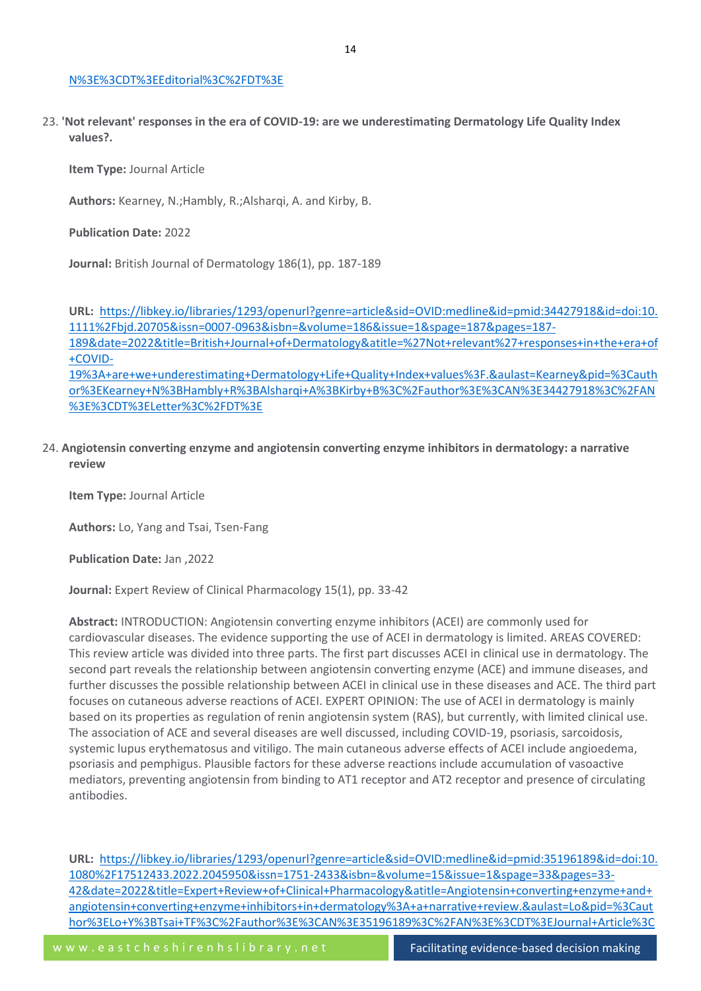#### [N%3E%3CDT%3EEditorial%3C%2FDT%3E](https://libkey.io/libraries/1293/openurl?genre=article&sid=OVID:medline&id=pmid:34883153&id=doi:10.1016%2Fj.jaad.2021.12.001&issn=0190-9622&isbn=&volume=86&issue=2&spage=300&pages=300&date=2022&title=Journal+of+the+American+Academy+of+Dermatology&atitle=This+month+in+JAAD+International%3A+March+2022%3A+Photography%2C+skin+cancer%2C+and+the+limits+of+teledermatology+during+the+COVID-19+pandemic.&aulast=Kantor&pid=%3Cauthor%3EKantor+J%3C%2Fauthor%3E%3CAN%3E34883153%3C%2FAN%3E%3CDT%3EEditorial%3C%2FDT%3E)

23. **'Not relevant' responses in the era of COVID-19: are we underestimating Dermatology Life Quality Index values?.**

**Item Type:** Journal Article

Authors: Kearney, N.: Hambly, R.: Alshargi, A. and Kirby, B.

**Publication Date:** 2022

**Journal:** British Journal of Dermatology 186(1), pp. 187-189

**URL:** [https://libkey.io/libraries/1293/openurl?genre=article&sid=OVID:medline&id=pmid:34427918&id=doi:10.](https://libkey.io/libraries/1293/openurl?genre=article&sid=OVID:medline&id=pmid:34427918&id=doi:10.1111%2Fbjd.20705&issn=0007-0963&isbn=&volume=186&issue=1&spage=187&pages=187-189&date=2022&title=British+Journal+of+Dermatology&atitle=%27Not+relevant%27+responses+in+the+era+of+COVID-19%3A+are+we+underestimating+Dermatology+Life+Quality+Index+values%3F.&aulast=Kearney&pid=%3Cauthor%3EKearney+N%3BHambly+R%3BAlsharqi+A%3BKirby+B%3C%2Fauthor%3E%3CAN%3E34427918%3C%2FAN%3E%3CDT%3ELetter%3C%2FDT%3E) [1111%2Fbjd.20705&issn=0007-0963&isbn=&volume=186&issue=1&spage=187&pages=187-](https://libkey.io/libraries/1293/openurl?genre=article&sid=OVID:medline&id=pmid:34427918&id=doi:10.1111%2Fbjd.20705&issn=0007-0963&isbn=&volume=186&issue=1&spage=187&pages=187-189&date=2022&title=British+Journal+of+Dermatology&atitle=%27Not+relevant%27+responses+in+the+era+of+COVID-19%3A+are+we+underestimating+Dermatology+Life+Quality+Index+values%3F.&aulast=Kearney&pid=%3Cauthor%3EKearney+N%3BHambly+R%3BAlsharqi+A%3BKirby+B%3C%2Fauthor%3E%3CAN%3E34427918%3C%2FAN%3E%3CDT%3ELetter%3C%2FDT%3E) [189&date=2022&title=British+Journal+of+Dermatology&atitle=%27Not+relevant%27+responses+in+the+era+of](https://libkey.io/libraries/1293/openurl?genre=article&sid=OVID:medline&id=pmid:34427918&id=doi:10.1111%2Fbjd.20705&issn=0007-0963&isbn=&volume=186&issue=1&spage=187&pages=187-189&date=2022&title=British+Journal+of+Dermatology&atitle=%27Not+relevant%27+responses+in+the+era+of+COVID-19%3A+are+we+underestimating+Dermatology+Life+Quality+Index+values%3F.&aulast=Kearney&pid=%3Cauthor%3EKearney+N%3BHambly+R%3BAlsharqi+A%3BKirby+B%3C%2Fauthor%3E%3CAN%3E34427918%3C%2FAN%3E%3CDT%3ELetter%3C%2FDT%3E) [+COVID-](https://libkey.io/libraries/1293/openurl?genre=article&sid=OVID:medline&id=pmid:34427918&id=doi:10.1111%2Fbjd.20705&issn=0007-0963&isbn=&volume=186&issue=1&spage=187&pages=187-189&date=2022&title=British+Journal+of+Dermatology&atitle=%27Not+relevant%27+responses+in+the+era+of+COVID-19%3A+are+we+underestimating+Dermatology+Life+Quality+Index+values%3F.&aulast=Kearney&pid=%3Cauthor%3EKearney+N%3BHambly+R%3BAlsharqi+A%3BKirby+B%3C%2Fauthor%3E%3CAN%3E34427918%3C%2FAN%3E%3CDT%3ELetter%3C%2FDT%3E)[19%3A+are+we+underestimating+Dermatology+Life+Quality+Index+values%3F.&aulast=Kearney&pid=%3Cauth](https://libkey.io/libraries/1293/openurl?genre=article&sid=OVID:medline&id=pmid:34427918&id=doi:10.1111%2Fbjd.20705&issn=0007-0963&isbn=&volume=186&issue=1&spage=187&pages=187-189&date=2022&title=British+Journal+of+Dermatology&atitle=%27Not+relevant%27+responses+in+the+era+of+COVID-19%3A+are+we+underestimating+Dermatology+Life+Quality+Index+values%3F.&aulast=Kearney&pid=%3Cauthor%3EKearney+N%3BHambly+R%3BAlsharqi+A%3BKirby+B%3C%2Fauthor%3E%3CAN%3E34427918%3C%2FAN%3E%3CDT%3ELetter%3C%2FDT%3E) [or%3EKearney+N%3BHambly+R%3BAlsharqi+A%3BKirby+B%3C%2Fauthor%3E%3CAN%3E34427918%3C%2FAN](https://libkey.io/libraries/1293/openurl?genre=article&sid=OVID:medline&id=pmid:34427918&id=doi:10.1111%2Fbjd.20705&issn=0007-0963&isbn=&volume=186&issue=1&spage=187&pages=187-189&date=2022&title=British+Journal+of+Dermatology&atitle=%27Not+relevant%27+responses+in+the+era+of+COVID-19%3A+are+we+underestimating+Dermatology+Life+Quality+Index+values%3F.&aulast=Kearney&pid=%3Cauthor%3EKearney+N%3BHambly+R%3BAlsharqi+A%3BKirby+B%3C%2Fauthor%3E%3CAN%3E34427918%3C%2FAN%3E%3CDT%3ELetter%3C%2FDT%3E) [%3E%3CDT%3ELetter%3C%2FDT%3E](https://libkey.io/libraries/1293/openurl?genre=article&sid=OVID:medline&id=pmid:34427918&id=doi:10.1111%2Fbjd.20705&issn=0007-0963&isbn=&volume=186&issue=1&spage=187&pages=187-189&date=2022&title=British+Journal+of+Dermatology&atitle=%27Not+relevant%27+responses+in+the+era+of+COVID-19%3A+are+we+underestimating+Dermatology+Life+Quality+Index+values%3F.&aulast=Kearney&pid=%3Cauthor%3EKearney+N%3BHambly+R%3BAlsharqi+A%3BKirby+B%3C%2Fauthor%3E%3CAN%3E34427918%3C%2FAN%3E%3CDT%3ELetter%3C%2FDT%3E)

24. **Angiotensin converting enzyme and angiotensin converting enzyme inhibitors in dermatology: a narrative review**

**Item Type:** Journal Article

**Authors:** Lo, Yang and Tsai, Tsen-Fang

**Publication Date:** Jan ,2022

**Journal:** Expert Review of Clinical Pharmacology 15(1), pp. 33-42

**Abstract:** INTRODUCTION: Angiotensin converting enzyme inhibitors (ACEI) are commonly used for cardiovascular diseases. The evidence supporting the use of ACEI in dermatology is limited. AREAS COVERED: This review article was divided into three parts. The first part discusses ACEI in clinical use in dermatology. The second part reveals the relationship between angiotensin converting enzyme (ACE) and immune diseases, and further discusses the possible relationship between ACEI in clinical use in these diseases and ACE. The third part focuses on cutaneous adverse reactions of ACEI. EXPERT OPINION: The use of ACEI in dermatology is mainly based on its properties as regulation of renin angiotensin system (RAS), but currently, with limited clinical use. The association of ACE and several diseases are well discussed, including COVID-19, psoriasis, sarcoidosis, systemic lupus erythematosus and vitiligo. The main cutaneous adverse effects of ACEI include angioedema, psoriasis and pemphigus. Plausible factors for these adverse reactions include accumulation of vasoactive mediators, preventing angiotensin from binding to AT1 receptor and AT2 receptor and presence of circulating antibodies.

**URL:** [https://libkey.io/libraries/1293/openurl?genre=article&sid=OVID:medline&id=pmid:35196189&id=doi:10.](https://libkey.io/libraries/1293/openurl?genre=article&sid=OVID:medline&id=pmid:35196189&id=doi:10.1080%2F17512433.2022.2045950&issn=1751-2433&isbn=&volume=15&issue=1&spage=33&pages=33-42&date=2022&title=Expert+Review+of+Clinical+Pharmacology&atitle=Angiotensin+converting+enzyme+and+angiotensin+converting+enzyme+inhibitors+in+dermatology%3A+a+narrative+review.&aulast=Lo&pid=%3Cauthor%3ELo+Y%3BTsai+TF%3C%2Fauthor%3E%3CAN%3E35196189%3C%2FAN%3E%3CDT%3EJournal+Article%3C%2FDT%3E) [1080%2F17512433.2022.2045950&issn=1751-2433&isbn=&volume=15&issue=1&spage=33&pages=33-](https://libkey.io/libraries/1293/openurl?genre=article&sid=OVID:medline&id=pmid:35196189&id=doi:10.1080%2F17512433.2022.2045950&issn=1751-2433&isbn=&volume=15&issue=1&spage=33&pages=33-42&date=2022&title=Expert+Review+of+Clinical+Pharmacology&atitle=Angiotensin+converting+enzyme+and+angiotensin+converting+enzyme+inhibitors+in+dermatology%3A+a+narrative+review.&aulast=Lo&pid=%3Cauthor%3ELo+Y%3BTsai+TF%3C%2Fauthor%3E%3CAN%3E35196189%3C%2FAN%3E%3CDT%3EJournal+Article%3C%2FDT%3E) [42&date=2022&title=Expert+Review+of+Clinical+Pharmacology&atitle=Angiotensin+converting+enzyme+and+](https://libkey.io/libraries/1293/openurl?genre=article&sid=OVID:medline&id=pmid:35196189&id=doi:10.1080%2F17512433.2022.2045950&issn=1751-2433&isbn=&volume=15&issue=1&spage=33&pages=33-42&date=2022&title=Expert+Review+of+Clinical+Pharmacology&atitle=Angiotensin+converting+enzyme+and+angiotensin+converting+enzyme+inhibitors+in+dermatology%3A+a+narrative+review.&aulast=Lo&pid=%3Cauthor%3ELo+Y%3BTsai+TF%3C%2Fauthor%3E%3CAN%3E35196189%3C%2FAN%3E%3CDT%3EJournal+Article%3C%2FDT%3E) [angiotensin+converting+enzyme+inhibitors+in+dermatology%3A+a+narrative+review.&aulast=Lo&pid=%3Caut](https://libkey.io/libraries/1293/openurl?genre=article&sid=OVID:medline&id=pmid:35196189&id=doi:10.1080%2F17512433.2022.2045950&issn=1751-2433&isbn=&volume=15&issue=1&spage=33&pages=33-42&date=2022&title=Expert+Review+of+Clinical+Pharmacology&atitle=Angiotensin+converting+enzyme+and+angiotensin+converting+enzyme+inhibitors+in+dermatology%3A+a+narrative+review.&aulast=Lo&pid=%3Cauthor%3ELo+Y%3BTsai+TF%3C%2Fauthor%3E%3CAN%3E35196189%3C%2FAN%3E%3CDT%3EJournal+Article%3C%2FDT%3E) [hor%3ELo+Y%3BTsai+TF%3C%2Fauthor%3E%3CAN%3E35196189%3C%2FAN%3E%3CDT%3EJournal+Article%3C](https://libkey.io/libraries/1293/openurl?genre=article&sid=OVID:medline&id=pmid:35196189&id=doi:10.1080%2F17512433.2022.2045950&issn=1751-2433&isbn=&volume=15&issue=1&spage=33&pages=33-42&date=2022&title=Expert+Review+of+Clinical+Pharmacology&atitle=Angiotensin+converting+enzyme+and+angiotensin+converting+enzyme+inhibitors+in+dermatology%3A+a+narrative+review.&aulast=Lo&pid=%3Cauthor%3ELo+Y%3BTsai+TF%3C%2Fauthor%3E%3CAN%3E35196189%3C%2FAN%3E%3CDT%3EJournal+Article%3C%2FDT%3E)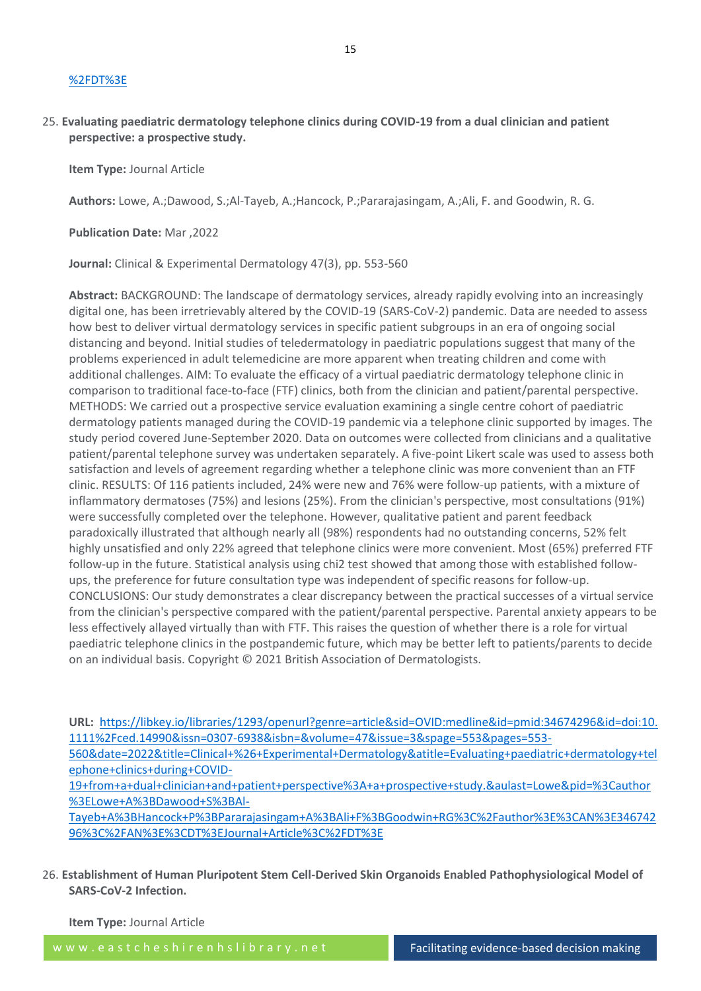#### [%2FDT%3E](https://libkey.io/libraries/1293/openurl?genre=article&sid=OVID:medline&id=pmid:35196189&id=doi:10.1080%2F17512433.2022.2045950&issn=1751-2433&isbn=&volume=15&issue=1&spage=33&pages=33-42&date=2022&title=Expert+Review+of+Clinical+Pharmacology&atitle=Angiotensin+converting+enzyme+and+angiotensin+converting+enzyme+inhibitors+in+dermatology%3A+a+narrative+review.&aulast=Lo&pid=%3Cauthor%3ELo+Y%3BTsai+TF%3C%2Fauthor%3E%3CAN%3E35196189%3C%2FAN%3E%3CDT%3EJournal+Article%3C%2FDT%3E)

# 25. **Evaluating paediatric dermatology telephone clinics during COVID-19 from a dual clinician and patient perspective: a prospective study.**

**Item Type:** Journal Article

**Authors:** Lowe, A.;Dawood, S.;Al-Tayeb, A.;Hancock, P.;Pararajasingam, A.;Ali, F. and Goodwin, R. G.

**Publication Date:** Mar ,2022

**Journal:** Clinical & Experimental Dermatology 47(3), pp. 553-560

**Abstract:** BACKGROUND: The landscape of dermatology services, already rapidly evolving into an increasingly digital one, has been irretrievably altered by the COVID-19 (SARS-CoV-2) pandemic. Data are needed to assess how best to deliver virtual dermatology services in specific patient subgroups in an era of ongoing social distancing and beyond. Initial studies of teledermatology in paediatric populations suggest that many of the problems experienced in adult telemedicine are more apparent when treating children and come with additional challenges. AIM: To evaluate the efficacy of a virtual paediatric dermatology telephone clinic in comparison to traditional face-to-face (FTF) clinics, both from the clinician and patient/parental perspective. METHODS: We carried out a prospective service evaluation examining a single centre cohort of paediatric dermatology patients managed during the COVID-19 pandemic via a telephone clinic supported by images. The study period covered June-September 2020. Data on outcomes were collected from clinicians and a qualitative patient/parental telephone survey was undertaken separately. A five-point Likert scale was used to assess both satisfaction and levels of agreement regarding whether a telephone clinic was more convenient than an FTF clinic. RESULTS: Of 116 patients included, 24% were new and 76% were follow-up patients, with a mixture of inflammatory dermatoses (75%) and lesions (25%). From the clinician's perspective, most consultations (91%) were successfully completed over the telephone. However, qualitative patient and parent feedback paradoxically illustrated that although nearly all (98%) respondents had no outstanding concerns, 52% felt highly unsatisfied and only 22% agreed that telephone clinics were more convenient. Most (65%) preferred FTF follow-up in the future. Statistical analysis using chi2 test showed that among those with established followups, the preference for future consultation type was independent of specific reasons for follow-up. CONCLUSIONS: Our study demonstrates a clear discrepancy between the practical successes of a virtual service from the clinician's perspective compared with the patient/parental perspective. Parental anxiety appears to be less effectively allayed virtually than with FTF. This raises the question of whether there is a role for virtual paediatric telephone clinics in the postpandemic future, which may be better left to patients/parents to decide on an individual basis. Copyright © 2021 British Association of Dermatologists.

**URL:** [https://libkey.io/libraries/1293/openurl?genre=article&sid=OVID:medline&id=pmid:34674296&id=doi:10.](https://libkey.io/libraries/1293/openurl?genre=article&sid=OVID:medline&id=pmid:34674296&id=doi:10.1111%2Fced.14990&issn=0307-6938&isbn=&volume=47&issue=3&spage=553&pages=553-560&date=2022&title=Clinical+%26+Experimental+Dermatology&atitle=Evaluating+paediatric+dermatology+telephone+clinics+during+COVID-19+from+a+dual+clinician+and+patient+perspective%3A+a+prospective+study.&aulast=Lowe&pid=%3Cauthor%3ELowe+A%3BDawood+S%3BAl-Tayeb+A%3BHancock+P%3BPararajasingam+A%3BAli+F%3BGoodwin+RG%3C%2Fauthor%3E%3CAN%3E34674296%3C%2FAN%3E%3CDT%3EJournal+Article%3C%2FDT%3E) [1111%2Fced.14990&issn=0307-6938&isbn=&volume=47&issue=3&spage=553&pages=553-](https://libkey.io/libraries/1293/openurl?genre=article&sid=OVID:medline&id=pmid:34674296&id=doi:10.1111%2Fced.14990&issn=0307-6938&isbn=&volume=47&issue=3&spage=553&pages=553-560&date=2022&title=Clinical+%26+Experimental+Dermatology&atitle=Evaluating+paediatric+dermatology+telephone+clinics+during+COVID-19+from+a+dual+clinician+and+patient+perspective%3A+a+prospective+study.&aulast=Lowe&pid=%3Cauthor%3ELowe+A%3BDawood+S%3BAl-Tayeb+A%3BHancock+P%3BPararajasingam+A%3BAli+F%3BGoodwin+RG%3C%2Fauthor%3E%3CAN%3E34674296%3C%2FAN%3E%3CDT%3EJournal+Article%3C%2FDT%3E)

[560&date=2022&title=Clinical+%26+Experimental+Dermatology&atitle=Evaluating+paediatric+dermatology+tel](https://libkey.io/libraries/1293/openurl?genre=article&sid=OVID:medline&id=pmid:34674296&id=doi:10.1111%2Fced.14990&issn=0307-6938&isbn=&volume=47&issue=3&spage=553&pages=553-560&date=2022&title=Clinical+%26+Experimental+Dermatology&atitle=Evaluating+paediatric+dermatology+telephone+clinics+during+COVID-19+from+a+dual+clinician+and+patient+perspective%3A+a+prospective+study.&aulast=Lowe&pid=%3Cauthor%3ELowe+A%3BDawood+S%3BAl-Tayeb+A%3BHancock+P%3BPararajasingam+A%3BAli+F%3BGoodwin+RG%3C%2Fauthor%3E%3CAN%3E34674296%3C%2FAN%3E%3CDT%3EJournal+Article%3C%2FDT%3E) [ephone+clinics+during+COVID-](https://libkey.io/libraries/1293/openurl?genre=article&sid=OVID:medline&id=pmid:34674296&id=doi:10.1111%2Fced.14990&issn=0307-6938&isbn=&volume=47&issue=3&spage=553&pages=553-560&date=2022&title=Clinical+%26+Experimental+Dermatology&atitle=Evaluating+paediatric+dermatology+telephone+clinics+during+COVID-19+from+a+dual+clinician+and+patient+perspective%3A+a+prospective+study.&aulast=Lowe&pid=%3Cauthor%3ELowe+A%3BDawood+S%3BAl-Tayeb+A%3BHancock+P%3BPararajasingam+A%3BAli+F%3BGoodwin+RG%3C%2Fauthor%3E%3CAN%3E34674296%3C%2FAN%3E%3CDT%3EJournal+Article%3C%2FDT%3E)

[19+from+a+dual+clinician+and+patient+perspective%3A+a+prospective+study.&aulast=Lowe&pid=%3Cauthor](https://libkey.io/libraries/1293/openurl?genre=article&sid=OVID:medline&id=pmid:34674296&id=doi:10.1111%2Fced.14990&issn=0307-6938&isbn=&volume=47&issue=3&spage=553&pages=553-560&date=2022&title=Clinical+%26+Experimental+Dermatology&atitle=Evaluating+paediatric+dermatology+telephone+clinics+during+COVID-19+from+a+dual+clinician+and+patient+perspective%3A+a+prospective+study.&aulast=Lowe&pid=%3Cauthor%3ELowe+A%3BDawood+S%3BAl-Tayeb+A%3BHancock+P%3BPararajasingam+A%3BAli+F%3BGoodwin+RG%3C%2Fauthor%3E%3CAN%3E34674296%3C%2FAN%3E%3CDT%3EJournal+Article%3C%2FDT%3E) [%3ELowe+A%3BDawood+S%3BAl-](https://libkey.io/libraries/1293/openurl?genre=article&sid=OVID:medline&id=pmid:34674296&id=doi:10.1111%2Fced.14990&issn=0307-6938&isbn=&volume=47&issue=3&spage=553&pages=553-560&date=2022&title=Clinical+%26+Experimental+Dermatology&atitle=Evaluating+paediatric+dermatology+telephone+clinics+during+COVID-19+from+a+dual+clinician+and+patient+perspective%3A+a+prospective+study.&aulast=Lowe&pid=%3Cauthor%3ELowe+A%3BDawood+S%3BAl-Tayeb+A%3BHancock+P%3BPararajasingam+A%3BAli+F%3BGoodwin+RG%3C%2Fauthor%3E%3CAN%3E34674296%3C%2FAN%3E%3CDT%3EJournal+Article%3C%2FDT%3E)

[Tayeb+A%3BHancock+P%3BPararajasingam+A%3BAli+F%3BGoodwin+RG%3C%2Fauthor%3E%3CAN%3E346742](https://libkey.io/libraries/1293/openurl?genre=article&sid=OVID:medline&id=pmid:34674296&id=doi:10.1111%2Fced.14990&issn=0307-6938&isbn=&volume=47&issue=3&spage=553&pages=553-560&date=2022&title=Clinical+%26+Experimental+Dermatology&atitle=Evaluating+paediatric+dermatology+telephone+clinics+during+COVID-19+from+a+dual+clinician+and+patient+perspective%3A+a+prospective+study.&aulast=Lowe&pid=%3Cauthor%3ELowe+A%3BDawood+S%3BAl-Tayeb+A%3BHancock+P%3BPararajasingam+A%3BAli+F%3BGoodwin+RG%3C%2Fauthor%3E%3CAN%3E34674296%3C%2FAN%3E%3CDT%3EJournal+Article%3C%2FDT%3E) [96%3C%2FAN%3E%3CDT%3EJournal+Article%3C%2FDT%3E](https://libkey.io/libraries/1293/openurl?genre=article&sid=OVID:medline&id=pmid:34674296&id=doi:10.1111%2Fced.14990&issn=0307-6938&isbn=&volume=47&issue=3&spage=553&pages=553-560&date=2022&title=Clinical+%26+Experimental+Dermatology&atitle=Evaluating+paediatric+dermatology+telephone+clinics+during+COVID-19+from+a+dual+clinician+and+patient+perspective%3A+a+prospective+study.&aulast=Lowe&pid=%3Cauthor%3ELowe+A%3BDawood+S%3BAl-Tayeb+A%3BHancock+P%3BPararajasingam+A%3BAli+F%3BGoodwin+RG%3C%2Fauthor%3E%3CAN%3E34674296%3C%2FAN%3E%3CDT%3EJournal+Article%3C%2FDT%3E)

26. **Establishment of Human Pluripotent Stem Cell-Derived Skin Organoids Enabled Pathophysiological Model of SARS-CoV-2 Infection.**

**Item Type:** Journal Article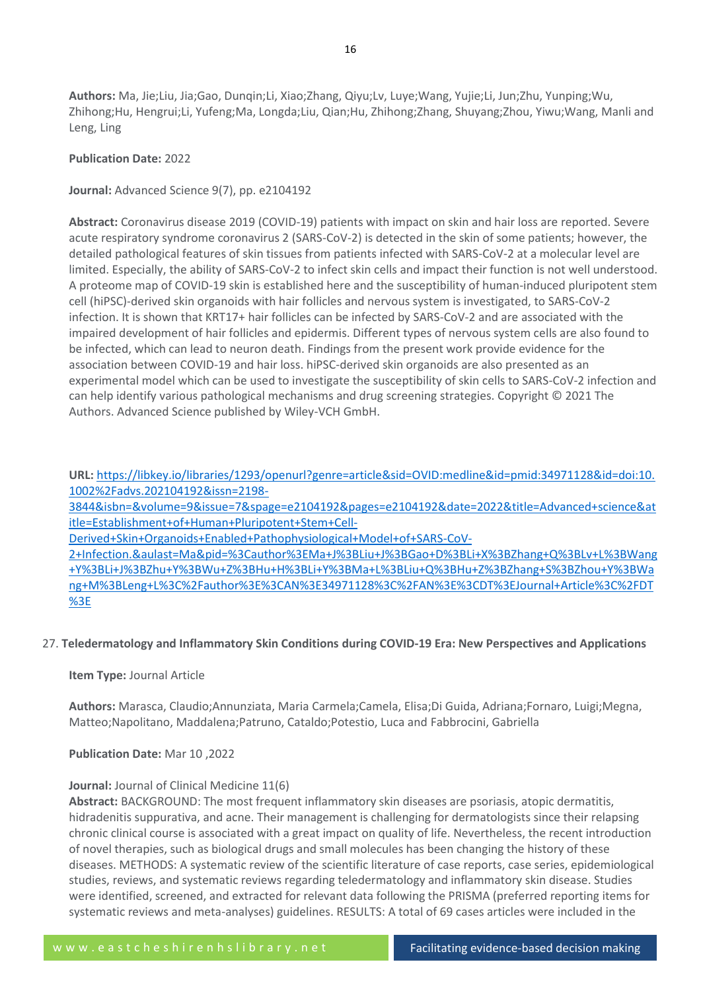**Authors:** Ma, Jie;Liu, Jia;Gao, Dunqin;Li, Xiao;Zhang, Qiyu;Lv, Luye;Wang, Yujie;Li, Jun;Zhu, Yunping;Wu, Zhihong;Hu, Hengrui;Li, Yufeng;Ma, Longda;Liu, Qian;Hu, Zhihong;Zhang, Shuyang;Zhou, Yiwu;Wang, Manli and Leng, Ling

## **Publication Date:** 2022

**Journal:** Advanced Science 9(7), pp. e2104192

**Abstract:** Coronavirus disease 2019 (COVID-19) patients with impact on skin and hair loss are reported. Severe acute respiratory syndrome coronavirus 2 (SARS-CoV-2) is detected in the skin of some patients; however, the detailed pathological features of skin tissues from patients infected with SARS-CoV-2 at a molecular level are limited. Especially, the ability of SARS-CoV-2 to infect skin cells and impact their function is not well understood. A proteome map of COVID-19 skin is established here and the susceptibility of human-induced pluripotent stem cell (hiPSC)-derived skin organoids with hair follicles and nervous system is investigated, to SARS-CoV-2 infection. It is shown that KRT17+ hair follicles can be infected by SARS-CoV-2 and are associated with the impaired development of hair follicles and epidermis. Different types of nervous system cells are also found to be infected, which can lead to neuron death. Findings from the present work provide evidence for the association between COVID-19 and hair loss. hiPSC-derived skin organoids are also presented as an experimental model which can be used to investigate the susceptibility of skin cells to SARS-CoV-2 infection and can help identify various pathological mechanisms and drug screening strategies. Copyright © 2021 The Authors. Advanced Science published by Wiley-VCH GmbH.

**URL:** [https://libkey.io/libraries/1293/openurl?genre=article&sid=OVID:medline&id=pmid:34971128&id=doi:10.](https://libkey.io/libraries/1293/openurl?genre=article&sid=OVID:medline&id=pmid:34971128&id=doi:10.1002%2Fadvs.202104192&issn=2198-3844&isbn=&volume=9&issue=7&spage=e2104192&pages=e2104192&date=2022&title=Advanced+science&atitle=Establishment+of+Human+Pluripotent+Stem+Cell-Derived+Skin+Organoids+Enabled+Pathophysiological+Model+of+SARS-CoV-2+Infection.&aulast=Ma&pid=%3Cauthor%3EMa+J%3BLiu+J%3BGao+D%3BLi+X%3BZhang+Q%3BLv+L%3BWang+Y%3BLi+J%3BZhu+Y%3BWu+Z%3BHu+H%3BLi+Y%3BMa+L%3BLiu+Q%3BHu+Z%3BZhang+S%3BZhou+Y%3BWang+M%3BLeng+L%3C%2Fauthor%3E%3CAN%3E34971128%3C%2FAN%3E%3CDT%3EJournal+Article%3C%2FDT%3E) [1002%2Fadvs.202104192&issn=2198-](https://libkey.io/libraries/1293/openurl?genre=article&sid=OVID:medline&id=pmid:34971128&id=doi:10.1002%2Fadvs.202104192&issn=2198-3844&isbn=&volume=9&issue=7&spage=e2104192&pages=e2104192&date=2022&title=Advanced+science&atitle=Establishment+of+Human+Pluripotent+Stem+Cell-Derived+Skin+Organoids+Enabled+Pathophysiological+Model+of+SARS-CoV-2+Infection.&aulast=Ma&pid=%3Cauthor%3EMa+J%3BLiu+J%3BGao+D%3BLi+X%3BZhang+Q%3BLv+L%3BWang+Y%3BLi+J%3BZhu+Y%3BWu+Z%3BHu+H%3BLi+Y%3BMa+L%3BLiu+Q%3BHu+Z%3BZhang+S%3BZhou+Y%3BWang+M%3BLeng+L%3C%2Fauthor%3E%3CAN%3E34971128%3C%2FAN%3E%3CDT%3EJournal+Article%3C%2FDT%3E)

[3844&isbn=&volume=9&issue=7&spage=e2104192&pages=e2104192&date=2022&title=Advanced+science&at](https://libkey.io/libraries/1293/openurl?genre=article&sid=OVID:medline&id=pmid:34971128&id=doi:10.1002%2Fadvs.202104192&issn=2198-3844&isbn=&volume=9&issue=7&spage=e2104192&pages=e2104192&date=2022&title=Advanced+science&atitle=Establishment+of+Human+Pluripotent+Stem+Cell-Derived+Skin+Organoids+Enabled+Pathophysiological+Model+of+SARS-CoV-2+Infection.&aulast=Ma&pid=%3Cauthor%3EMa+J%3BLiu+J%3BGao+D%3BLi+X%3BZhang+Q%3BLv+L%3BWang+Y%3BLi+J%3BZhu+Y%3BWu+Z%3BHu+H%3BLi+Y%3BMa+L%3BLiu+Q%3BHu+Z%3BZhang+S%3BZhou+Y%3BWang+M%3BLeng+L%3C%2Fauthor%3E%3CAN%3E34971128%3C%2FAN%3E%3CDT%3EJournal+Article%3C%2FDT%3E) [itle=Establishment+of+Human+Pluripotent+Stem+Cell-](https://libkey.io/libraries/1293/openurl?genre=article&sid=OVID:medline&id=pmid:34971128&id=doi:10.1002%2Fadvs.202104192&issn=2198-3844&isbn=&volume=9&issue=7&spage=e2104192&pages=e2104192&date=2022&title=Advanced+science&atitle=Establishment+of+Human+Pluripotent+Stem+Cell-Derived+Skin+Organoids+Enabled+Pathophysiological+Model+of+SARS-CoV-2+Infection.&aulast=Ma&pid=%3Cauthor%3EMa+J%3BLiu+J%3BGao+D%3BLi+X%3BZhang+Q%3BLv+L%3BWang+Y%3BLi+J%3BZhu+Y%3BWu+Z%3BHu+H%3BLi+Y%3BMa+L%3BLiu+Q%3BHu+Z%3BZhang+S%3BZhou+Y%3BWang+M%3BLeng+L%3C%2Fauthor%3E%3CAN%3E34971128%3C%2FAN%3E%3CDT%3EJournal+Article%3C%2FDT%3E)

[Derived+Skin+Organoids+Enabled+Pathophysiological+Model+of+SARS-CoV-](https://libkey.io/libraries/1293/openurl?genre=article&sid=OVID:medline&id=pmid:34971128&id=doi:10.1002%2Fadvs.202104192&issn=2198-3844&isbn=&volume=9&issue=7&spage=e2104192&pages=e2104192&date=2022&title=Advanced+science&atitle=Establishment+of+Human+Pluripotent+Stem+Cell-Derived+Skin+Organoids+Enabled+Pathophysiological+Model+of+SARS-CoV-2+Infection.&aulast=Ma&pid=%3Cauthor%3EMa+J%3BLiu+J%3BGao+D%3BLi+X%3BZhang+Q%3BLv+L%3BWang+Y%3BLi+J%3BZhu+Y%3BWu+Z%3BHu+H%3BLi+Y%3BMa+L%3BLiu+Q%3BHu+Z%3BZhang+S%3BZhou+Y%3BWang+M%3BLeng+L%3C%2Fauthor%3E%3CAN%3E34971128%3C%2FAN%3E%3CDT%3EJournal+Article%3C%2FDT%3E)

[2+Infection.&aulast=Ma&pid=%3Cauthor%3EMa+J%3BLiu+J%3BGao+D%3BLi+X%3BZhang+Q%3BLv+L%3BWang](https://libkey.io/libraries/1293/openurl?genre=article&sid=OVID:medline&id=pmid:34971128&id=doi:10.1002%2Fadvs.202104192&issn=2198-3844&isbn=&volume=9&issue=7&spage=e2104192&pages=e2104192&date=2022&title=Advanced+science&atitle=Establishment+of+Human+Pluripotent+Stem+Cell-Derived+Skin+Organoids+Enabled+Pathophysiological+Model+of+SARS-CoV-2+Infection.&aulast=Ma&pid=%3Cauthor%3EMa+J%3BLiu+J%3BGao+D%3BLi+X%3BZhang+Q%3BLv+L%3BWang+Y%3BLi+J%3BZhu+Y%3BWu+Z%3BHu+H%3BLi+Y%3BMa+L%3BLiu+Q%3BHu+Z%3BZhang+S%3BZhou+Y%3BWang+M%3BLeng+L%3C%2Fauthor%3E%3CAN%3E34971128%3C%2FAN%3E%3CDT%3EJournal+Article%3C%2FDT%3E) [+Y%3BLi+J%3BZhu+Y%3BWu+Z%3BHu+H%3BLi+Y%3BMa+L%3BLiu+Q%3BHu+Z%3BZhang+S%3BZhou+Y%3BWa](https://libkey.io/libraries/1293/openurl?genre=article&sid=OVID:medline&id=pmid:34971128&id=doi:10.1002%2Fadvs.202104192&issn=2198-3844&isbn=&volume=9&issue=7&spage=e2104192&pages=e2104192&date=2022&title=Advanced+science&atitle=Establishment+of+Human+Pluripotent+Stem+Cell-Derived+Skin+Organoids+Enabled+Pathophysiological+Model+of+SARS-CoV-2+Infection.&aulast=Ma&pid=%3Cauthor%3EMa+J%3BLiu+J%3BGao+D%3BLi+X%3BZhang+Q%3BLv+L%3BWang+Y%3BLi+J%3BZhu+Y%3BWu+Z%3BHu+H%3BLi+Y%3BMa+L%3BLiu+Q%3BHu+Z%3BZhang+S%3BZhou+Y%3BWang+M%3BLeng+L%3C%2Fauthor%3E%3CAN%3E34971128%3C%2FAN%3E%3CDT%3EJournal+Article%3C%2FDT%3E) [ng+M%3BLeng+L%3C%2Fauthor%3E%3CAN%3E34971128%3C%2FAN%3E%3CDT%3EJournal+Article%3C%2FDT](https://libkey.io/libraries/1293/openurl?genre=article&sid=OVID:medline&id=pmid:34971128&id=doi:10.1002%2Fadvs.202104192&issn=2198-3844&isbn=&volume=9&issue=7&spage=e2104192&pages=e2104192&date=2022&title=Advanced+science&atitle=Establishment+of+Human+Pluripotent+Stem+Cell-Derived+Skin+Organoids+Enabled+Pathophysiological+Model+of+SARS-CoV-2+Infection.&aulast=Ma&pid=%3Cauthor%3EMa+J%3BLiu+J%3BGao+D%3BLi+X%3BZhang+Q%3BLv+L%3BWang+Y%3BLi+J%3BZhu+Y%3BWu+Z%3BHu+H%3BLi+Y%3BMa+L%3BLiu+Q%3BHu+Z%3BZhang+S%3BZhou+Y%3BWang+M%3BLeng+L%3C%2Fauthor%3E%3CAN%3E34971128%3C%2FAN%3E%3CDT%3EJournal+Article%3C%2FDT%3E) [%3E](https://libkey.io/libraries/1293/openurl?genre=article&sid=OVID:medline&id=pmid:34971128&id=doi:10.1002%2Fadvs.202104192&issn=2198-3844&isbn=&volume=9&issue=7&spage=e2104192&pages=e2104192&date=2022&title=Advanced+science&atitle=Establishment+of+Human+Pluripotent+Stem+Cell-Derived+Skin+Organoids+Enabled+Pathophysiological+Model+of+SARS-CoV-2+Infection.&aulast=Ma&pid=%3Cauthor%3EMa+J%3BLiu+J%3BGao+D%3BLi+X%3BZhang+Q%3BLv+L%3BWang+Y%3BLi+J%3BZhu+Y%3BWu+Z%3BHu+H%3BLi+Y%3BMa+L%3BLiu+Q%3BHu+Z%3BZhang+S%3BZhou+Y%3BWang+M%3BLeng+L%3C%2Fauthor%3E%3CAN%3E34971128%3C%2FAN%3E%3CDT%3EJournal+Article%3C%2FDT%3E)

# 27. **Teledermatology and Inflammatory Skin Conditions during COVID-19 Era: New Perspectives and Applications**

#### **Item Type:** Journal Article

**Authors:** Marasca, Claudio;Annunziata, Maria Carmela;Camela, Elisa;Di Guida, Adriana;Fornaro, Luigi;Megna, Matteo;Napolitano, Maddalena;Patruno, Cataldo;Potestio, Luca and Fabbrocini, Gabriella

**Publication Date:** Mar 10 ,2022

#### **Journal:** Journal of Clinical Medicine 11(6)

**Abstract:** BACKGROUND: The most frequent inflammatory skin diseases are psoriasis, atopic dermatitis, hidradenitis suppurativa, and acne. Their management is challenging for dermatologists since their relapsing chronic clinical course is associated with a great impact on quality of life. Nevertheless, the recent introduction of novel therapies, such as biological drugs and small molecules has been changing the history of these diseases. METHODS: A systematic review of the scientific literature of case reports, case series, epidemiological studies, reviews, and systematic reviews regarding teledermatology and inflammatory skin disease. Studies were identified, screened, and extracted for relevant data following the PRISMA (preferred reporting items for systematic reviews and meta-analyses) guidelines. RESULTS: A total of 69 cases articles were included in the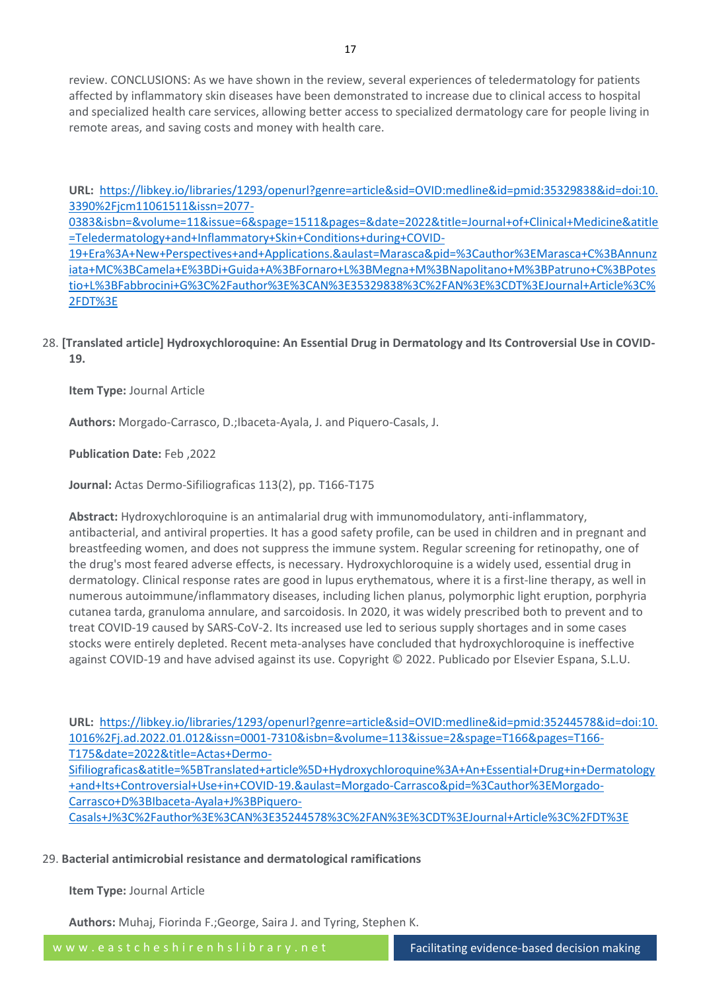review. CONCLUSIONS: As we have shown in the review, several experiences of teledermatology for patients affected by inflammatory skin diseases have been demonstrated to increase due to clinical access to hospital and specialized health care services, allowing better access to specialized dermatology care for people living in remote areas, and saving costs and money with health care.

**URL:** [https://libkey.io/libraries/1293/openurl?genre=article&sid=OVID:medline&id=pmid:35329838&id=doi:10.](https://libkey.io/libraries/1293/openurl?genre=article&sid=OVID:medline&id=pmid:35329838&id=doi:10.3390%2Fjcm11061511&issn=2077-0383&isbn=&volume=11&issue=6&spage=1511&pages=&date=2022&title=Journal+of+Clinical+Medicine&atitle=Teledermatology+and+Inflammatory+Skin+Conditions+during+COVID-19+Era%3A+New+Perspectives+and+Applications.&aulast=Marasca&pid=%3Cauthor%3EMarasca+C%3BAnnunziata+MC%3BCamela+E%3BDi+Guida+A%3BFornaro+L%3BMegna+M%3BNapolitano+M%3BPatruno+C%3BPotestio+L%3BFabbrocini+G%3C%2Fauthor%3E%3CAN%3E35329838%3C%2FAN%3E%3CDT%3EJournal+Article%3C%2FDT%3E) [3390%2Fjcm11061511&issn=2077-](https://libkey.io/libraries/1293/openurl?genre=article&sid=OVID:medline&id=pmid:35329838&id=doi:10.3390%2Fjcm11061511&issn=2077-0383&isbn=&volume=11&issue=6&spage=1511&pages=&date=2022&title=Journal+of+Clinical+Medicine&atitle=Teledermatology+and+Inflammatory+Skin+Conditions+during+COVID-19+Era%3A+New+Perspectives+and+Applications.&aulast=Marasca&pid=%3Cauthor%3EMarasca+C%3BAnnunziata+MC%3BCamela+E%3BDi+Guida+A%3BFornaro+L%3BMegna+M%3BNapolitano+M%3BPatruno+C%3BPotestio+L%3BFabbrocini+G%3C%2Fauthor%3E%3CAN%3E35329838%3C%2FAN%3E%3CDT%3EJournal+Article%3C%2FDT%3E)

[0383&isbn=&volume=11&issue=6&spage=1511&pages=&date=2022&title=Journal+of+Clinical+Medicine&atitle](https://libkey.io/libraries/1293/openurl?genre=article&sid=OVID:medline&id=pmid:35329838&id=doi:10.3390%2Fjcm11061511&issn=2077-0383&isbn=&volume=11&issue=6&spage=1511&pages=&date=2022&title=Journal+of+Clinical+Medicine&atitle=Teledermatology+and+Inflammatory+Skin+Conditions+during+COVID-19+Era%3A+New+Perspectives+and+Applications.&aulast=Marasca&pid=%3Cauthor%3EMarasca+C%3BAnnunziata+MC%3BCamela+E%3BDi+Guida+A%3BFornaro+L%3BMegna+M%3BNapolitano+M%3BPatruno+C%3BPotestio+L%3BFabbrocini+G%3C%2Fauthor%3E%3CAN%3E35329838%3C%2FAN%3E%3CDT%3EJournal+Article%3C%2FDT%3E) [=Teledermatology+and+Inflammatory+Skin+Conditions+during+COVID-](https://libkey.io/libraries/1293/openurl?genre=article&sid=OVID:medline&id=pmid:35329838&id=doi:10.3390%2Fjcm11061511&issn=2077-0383&isbn=&volume=11&issue=6&spage=1511&pages=&date=2022&title=Journal+of+Clinical+Medicine&atitle=Teledermatology+and+Inflammatory+Skin+Conditions+during+COVID-19+Era%3A+New+Perspectives+and+Applications.&aulast=Marasca&pid=%3Cauthor%3EMarasca+C%3BAnnunziata+MC%3BCamela+E%3BDi+Guida+A%3BFornaro+L%3BMegna+M%3BNapolitano+M%3BPatruno+C%3BPotestio+L%3BFabbrocini+G%3C%2Fauthor%3E%3CAN%3E35329838%3C%2FAN%3E%3CDT%3EJournal+Article%3C%2FDT%3E)

[19+Era%3A+New+Perspectives+and+Applications.&aulast=Marasca&pid=%3Cauthor%3EMarasca+C%3BAnnunz](https://libkey.io/libraries/1293/openurl?genre=article&sid=OVID:medline&id=pmid:35329838&id=doi:10.3390%2Fjcm11061511&issn=2077-0383&isbn=&volume=11&issue=6&spage=1511&pages=&date=2022&title=Journal+of+Clinical+Medicine&atitle=Teledermatology+and+Inflammatory+Skin+Conditions+during+COVID-19+Era%3A+New+Perspectives+and+Applications.&aulast=Marasca&pid=%3Cauthor%3EMarasca+C%3BAnnunziata+MC%3BCamela+E%3BDi+Guida+A%3BFornaro+L%3BMegna+M%3BNapolitano+M%3BPatruno+C%3BPotestio+L%3BFabbrocini+G%3C%2Fauthor%3E%3CAN%3E35329838%3C%2FAN%3E%3CDT%3EJournal+Article%3C%2FDT%3E) [iata+MC%3BCamela+E%3BDi+Guida+A%3BFornaro+L%3BMegna+M%3BNapolitano+M%3BPatruno+C%3BPotes](https://libkey.io/libraries/1293/openurl?genre=article&sid=OVID:medline&id=pmid:35329838&id=doi:10.3390%2Fjcm11061511&issn=2077-0383&isbn=&volume=11&issue=6&spage=1511&pages=&date=2022&title=Journal+of+Clinical+Medicine&atitle=Teledermatology+and+Inflammatory+Skin+Conditions+during+COVID-19+Era%3A+New+Perspectives+and+Applications.&aulast=Marasca&pid=%3Cauthor%3EMarasca+C%3BAnnunziata+MC%3BCamela+E%3BDi+Guida+A%3BFornaro+L%3BMegna+M%3BNapolitano+M%3BPatruno+C%3BPotestio+L%3BFabbrocini+G%3C%2Fauthor%3E%3CAN%3E35329838%3C%2FAN%3E%3CDT%3EJournal+Article%3C%2FDT%3E) [tio+L%3BFabbrocini+G%3C%2Fauthor%3E%3CAN%3E35329838%3C%2FAN%3E%3CDT%3EJournal+Article%3C%](https://libkey.io/libraries/1293/openurl?genre=article&sid=OVID:medline&id=pmid:35329838&id=doi:10.3390%2Fjcm11061511&issn=2077-0383&isbn=&volume=11&issue=6&spage=1511&pages=&date=2022&title=Journal+of+Clinical+Medicine&atitle=Teledermatology+and+Inflammatory+Skin+Conditions+during+COVID-19+Era%3A+New+Perspectives+and+Applications.&aulast=Marasca&pid=%3Cauthor%3EMarasca+C%3BAnnunziata+MC%3BCamela+E%3BDi+Guida+A%3BFornaro+L%3BMegna+M%3BNapolitano+M%3BPatruno+C%3BPotestio+L%3BFabbrocini+G%3C%2Fauthor%3E%3CAN%3E35329838%3C%2FAN%3E%3CDT%3EJournal+Article%3C%2FDT%3E) [2FDT%3E](https://libkey.io/libraries/1293/openurl?genre=article&sid=OVID:medline&id=pmid:35329838&id=doi:10.3390%2Fjcm11061511&issn=2077-0383&isbn=&volume=11&issue=6&spage=1511&pages=&date=2022&title=Journal+of+Clinical+Medicine&atitle=Teledermatology+and+Inflammatory+Skin+Conditions+during+COVID-19+Era%3A+New+Perspectives+and+Applications.&aulast=Marasca&pid=%3Cauthor%3EMarasca+C%3BAnnunziata+MC%3BCamela+E%3BDi+Guida+A%3BFornaro+L%3BMegna+M%3BNapolitano+M%3BPatruno+C%3BPotestio+L%3BFabbrocini+G%3C%2Fauthor%3E%3CAN%3E35329838%3C%2FAN%3E%3CDT%3EJournal+Article%3C%2FDT%3E)

28. **[Translated article] Hydroxychloroquine: An Essential Drug in Dermatology and Its Controversial Use in COVID-19.**

**Item Type:** Journal Article

**Authors:** Morgado-Carrasco, D.;Ibaceta-Ayala, J. and Piquero-Casals, J.

**Publication Date:** Feb ,2022

**Journal:** Actas Dermo-Sifiliograficas 113(2), pp. T166-T175

**Abstract:** Hydroxychloroquine is an antimalarial drug with immunomodulatory, anti-inflammatory, antibacterial, and antiviral properties. It has a good safety profile, can be used in children and in pregnant and breastfeeding women, and does not suppress the immune system. Regular screening for retinopathy, one of the drug's most feared adverse effects, is necessary. Hydroxychloroquine is a widely used, essential drug in dermatology. Clinical response rates are good in lupus erythematous, where it is a first-line therapy, as well in numerous autoimmune/inflammatory diseases, including lichen planus, polymorphic light eruption, porphyria cutanea tarda, granuloma annulare, and sarcoidosis. In 2020, it was widely prescribed both to prevent and to treat COVID-19 caused by SARS-CoV-2. Its increased use led to serious supply shortages and in some cases stocks were entirely depleted. Recent meta-analyses have concluded that hydroxychloroquine is ineffective against COVID-19 and have advised against its use. Copyright © 2022. Publicado por Elsevier Espana, S.L.U.

**URL:** [https://libkey.io/libraries/1293/openurl?genre=article&sid=OVID:medline&id=pmid:35244578&id=doi:10.](https://libkey.io/libraries/1293/openurl?genre=article&sid=OVID:medline&id=pmid:35244578&id=doi:10.1016%2Fj.ad.2022.01.012&issn=0001-7310&isbn=&volume=113&issue=2&spage=T166&pages=T166-T175&date=2022&title=Actas+Dermo-Sifiliograficas&atitle=%5BTranslated+article%5D+Hydroxychloroquine%3A+An+Essential+Drug+in+Dermatology+and+Its+Controversial+Use+in+COVID-19.&aulast=Morgado-Carrasco&pid=%3Cauthor%3EMorgado-Carrasco+D%3BIbaceta-Ayala+J%3BPiquero-Casals+J%3C%2Fauthor%3E%3CAN%3E35244578%3C%2FAN%3E%3CDT%3EJournal+Article%3C%2FDT%3E) [1016%2Fj.ad.2022.01.012&issn=0001-7310&isbn=&volume=113&issue=2&spage=T166&pages=T166-](https://libkey.io/libraries/1293/openurl?genre=article&sid=OVID:medline&id=pmid:35244578&id=doi:10.1016%2Fj.ad.2022.01.012&issn=0001-7310&isbn=&volume=113&issue=2&spage=T166&pages=T166-T175&date=2022&title=Actas+Dermo-Sifiliograficas&atitle=%5BTranslated+article%5D+Hydroxychloroquine%3A+An+Essential+Drug+in+Dermatology+and+Its+Controversial+Use+in+COVID-19.&aulast=Morgado-Carrasco&pid=%3Cauthor%3EMorgado-Carrasco+D%3BIbaceta-Ayala+J%3BPiquero-Casals+J%3C%2Fauthor%3E%3CAN%3E35244578%3C%2FAN%3E%3CDT%3EJournal+Article%3C%2FDT%3E) [T175&date=2022&title=Actas+Dermo-](https://libkey.io/libraries/1293/openurl?genre=article&sid=OVID:medline&id=pmid:35244578&id=doi:10.1016%2Fj.ad.2022.01.012&issn=0001-7310&isbn=&volume=113&issue=2&spage=T166&pages=T166-T175&date=2022&title=Actas+Dermo-Sifiliograficas&atitle=%5BTranslated+article%5D+Hydroxychloroquine%3A+An+Essential+Drug+in+Dermatology+and+Its+Controversial+Use+in+COVID-19.&aulast=Morgado-Carrasco&pid=%3Cauthor%3EMorgado-Carrasco+D%3BIbaceta-Ayala+J%3BPiquero-Casals+J%3C%2Fauthor%3E%3CAN%3E35244578%3C%2FAN%3E%3CDT%3EJournal+Article%3C%2FDT%3E)

[Sifiliograficas&atitle=%5BTranslated+article%5D+Hydroxychloroquine%3A+An+Essential+Drug+in+Dermatology](https://libkey.io/libraries/1293/openurl?genre=article&sid=OVID:medline&id=pmid:35244578&id=doi:10.1016%2Fj.ad.2022.01.012&issn=0001-7310&isbn=&volume=113&issue=2&spage=T166&pages=T166-T175&date=2022&title=Actas+Dermo-Sifiliograficas&atitle=%5BTranslated+article%5D+Hydroxychloroquine%3A+An+Essential+Drug+in+Dermatology+and+Its+Controversial+Use+in+COVID-19.&aulast=Morgado-Carrasco&pid=%3Cauthor%3EMorgado-Carrasco+D%3BIbaceta-Ayala+J%3BPiquero-Casals+J%3C%2Fauthor%3E%3CAN%3E35244578%3C%2FAN%3E%3CDT%3EJournal+Article%3C%2FDT%3E) [+and+Its+Controversial+Use+in+COVID-19.&aulast=Morgado-Carrasco&pid=%3Cauthor%3EMorgado-](https://libkey.io/libraries/1293/openurl?genre=article&sid=OVID:medline&id=pmid:35244578&id=doi:10.1016%2Fj.ad.2022.01.012&issn=0001-7310&isbn=&volume=113&issue=2&spage=T166&pages=T166-T175&date=2022&title=Actas+Dermo-Sifiliograficas&atitle=%5BTranslated+article%5D+Hydroxychloroquine%3A+An+Essential+Drug+in+Dermatology+and+Its+Controversial+Use+in+COVID-19.&aulast=Morgado-Carrasco&pid=%3Cauthor%3EMorgado-Carrasco+D%3BIbaceta-Ayala+J%3BPiquero-Casals+J%3C%2Fauthor%3E%3CAN%3E35244578%3C%2FAN%3E%3CDT%3EJournal+Article%3C%2FDT%3E)[Carrasco+D%3BIbaceta-Ayala+J%3BPiquero-](https://libkey.io/libraries/1293/openurl?genre=article&sid=OVID:medline&id=pmid:35244578&id=doi:10.1016%2Fj.ad.2022.01.012&issn=0001-7310&isbn=&volume=113&issue=2&spage=T166&pages=T166-T175&date=2022&title=Actas+Dermo-Sifiliograficas&atitle=%5BTranslated+article%5D+Hydroxychloroquine%3A+An+Essential+Drug+in+Dermatology+and+Its+Controversial+Use+in+COVID-19.&aulast=Morgado-Carrasco&pid=%3Cauthor%3EMorgado-Carrasco+D%3BIbaceta-Ayala+J%3BPiquero-Casals+J%3C%2Fauthor%3E%3CAN%3E35244578%3C%2FAN%3E%3CDT%3EJournal+Article%3C%2FDT%3E)

[Casals+J%3C%2Fauthor%3E%3CAN%3E35244578%3C%2FAN%3E%3CDT%3EJournal+Article%3C%2FDT%3E](https://libkey.io/libraries/1293/openurl?genre=article&sid=OVID:medline&id=pmid:35244578&id=doi:10.1016%2Fj.ad.2022.01.012&issn=0001-7310&isbn=&volume=113&issue=2&spage=T166&pages=T166-T175&date=2022&title=Actas+Dermo-Sifiliograficas&atitle=%5BTranslated+article%5D+Hydroxychloroquine%3A+An+Essential+Drug+in+Dermatology+and+Its+Controversial+Use+in+COVID-19.&aulast=Morgado-Carrasco&pid=%3Cauthor%3EMorgado-Carrasco+D%3BIbaceta-Ayala+J%3BPiquero-Casals+J%3C%2Fauthor%3E%3CAN%3E35244578%3C%2FAN%3E%3CDT%3EJournal+Article%3C%2FDT%3E)

# 29. **Bacterial antimicrobial resistance and dermatological ramifications**

**Item Type:** Journal Article

**Authors:** Muhaj, Fiorinda F.;George, Saira J. and Tyring, Stephen K.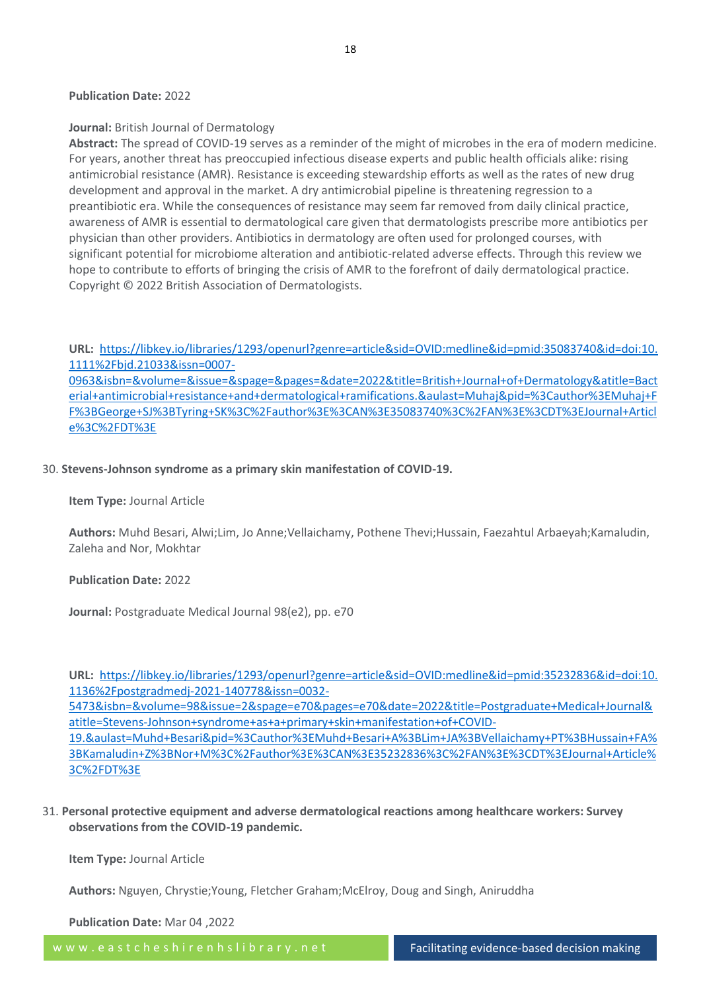#### **Publication Date:** 2022

#### **Journal:** British Journal of Dermatology

**Abstract:** The spread of COVID-19 serves as a reminder of the might of microbes in the era of modern medicine. For years, another threat has preoccupied infectious disease experts and public health officials alike: rising antimicrobial resistance (AMR). Resistance is exceeding stewardship efforts as well as the rates of new drug development and approval in the market. A dry antimicrobial pipeline is threatening regression to a preantibiotic era. While the consequences of resistance may seem far removed from daily clinical practice, awareness of AMR is essential to dermatological care given that dermatologists prescribe more antibiotics per physician than other providers. Antibiotics in dermatology are often used for prolonged courses, with significant potential for microbiome alteration and antibiotic-related adverse effects. Through this review we hope to contribute to efforts of bringing the crisis of AMR to the forefront of daily dermatological practice. Copyright © 2022 British Association of Dermatologists.

**URL:** [https://libkey.io/libraries/1293/openurl?genre=article&sid=OVID:medline&id=pmid:35083740&id=doi:10.](https://libkey.io/libraries/1293/openurl?genre=article&sid=OVID:medline&id=pmid:35083740&id=doi:10.1111%2Fbjd.21033&issn=0007-0963&isbn=&volume=&issue=&spage=&pages=&date=2022&title=British+Journal+of+Dermatology&atitle=Bacterial+antimicrobial+resistance+and+dermatological+ramifications.&aulast=Muhaj&pid=%3Cauthor%3EMuhaj+FF%3BGeorge+SJ%3BTyring+SK%3C%2Fauthor%3E%3CAN%3E35083740%3C%2FAN%3E%3CDT%3EJournal+Article%3C%2FDT%3E) [1111%2Fbjd.21033&issn=0007-](https://libkey.io/libraries/1293/openurl?genre=article&sid=OVID:medline&id=pmid:35083740&id=doi:10.1111%2Fbjd.21033&issn=0007-0963&isbn=&volume=&issue=&spage=&pages=&date=2022&title=British+Journal+of+Dermatology&atitle=Bacterial+antimicrobial+resistance+and+dermatological+ramifications.&aulast=Muhaj&pid=%3Cauthor%3EMuhaj+FF%3BGeorge+SJ%3BTyring+SK%3C%2Fauthor%3E%3CAN%3E35083740%3C%2FAN%3E%3CDT%3EJournal+Article%3C%2FDT%3E)

[0963&isbn=&volume=&issue=&spage=&pages=&date=2022&title=British+Journal+of+Dermatology&atitle=Bact](https://libkey.io/libraries/1293/openurl?genre=article&sid=OVID:medline&id=pmid:35083740&id=doi:10.1111%2Fbjd.21033&issn=0007-0963&isbn=&volume=&issue=&spage=&pages=&date=2022&title=British+Journal+of+Dermatology&atitle=Bacterial+antimicrobial+resistance+and+dermatological+ramifications.&aulast=Muhaj&pid=%3Cauthor%3EMuhaj+FF%3BGeorge+SJ%3BTyring+SK%3C%2Fauthor%3E%3CAN%3E35083740%3C%2FAN%3E%3CDT%3EJournal+Article%3C%2FDT%3E) [erial+antimicrobial+resistance+and+dermatological+ramifications.&aulast=Muhaj&pid=%3Cauthor%3EMuhaj+F](https://libkey.io/libraries/1293/openurl?genre=article&sid=OVID:medline&id=pmid:35083740&id=doi:10.1111%2Fbjd.21033&issn=0007-0963&isbn=&volume=&issue=&spage=&pages=&date=2022&title=British+Journal+of+Dermatology&atitle=Bacterial+antimicrobial+resistance+and+dermatological+ramifications.&aulast=Muhaj&pid=%3Cauthor%3EMuhaj+FF%3BGeorge+SJ%3BTyring+SK%3C%2Fauthor%3E%3CAN%3E35083740%3C%2FAN%3E%3CDT%3EJournal+Article%3C%2FDT%3E) [F%3BGeorge+SJ%3BTyring+SK%3C%2Fauthor%3E%3CAN%3E35083740%3C%2FAN%3E%3CDT%3EJournal+Articl](https://libkey.io/libraries/1293/openurl?genre=article&sid=OVID:medline&id=pmid:35083740&id=doi:10.1111%2Fbjd.21033&issn=0007-0963&isbn=&volume=&issue=&spage=&pages=&date=2022&title=British+Journal+of+Dermatology&atitle=Bacterial+antimicrobial+resistance+and+dermatological+ramifications.&aulast=Muhaj&pid=%3Cauthor%3EMuhaj+FF%3BGeorge+SJ%3BTyring+SK%3C%2Fauthor%3E%3CAN%3E35083740%3C%2FAN%3E%3CDT%3EJournal+Article%3C%2FDT%3E) [e%3C%2FDT%3E](https://libkey.io/libraries/1293/openurl?genre=article&sid=OVID:medline&id=pmid:35083740&id=doi:10.1111%2Fbjd.21033&issn=0007-0963&isbn=&volume=&issue=&spage=&pages=&date=2022&title=British+Journal+of+Dermatology&atitle=Bacterial+antimicrobial+resistance+and+dermatological+ramifications.&aulast=Muhaj&pid=%3Cauthor%3EMuhaj+FF%3BGeorge+SJ%3BTyring+SK%3C%2Fauthor%3E%3CAN%3E35083740%3C%2FAN%3E%3CDT%3EJournal+Article%3C%2FDT%3E)

#### 30. **Stevens-Johnson syndrome as a primary skin manifestation of COVID-19.**

#### **Item Type:** Journal Article

**Authors:** Muhd Besari, Alwi;Lim, Jo Anne;Vellaichamy, Pothene Thevi;Hussain, Faezahtul Arbaeyah;Kamaludin, Zaleha and Nor, Mokhtar

#### **Publication Date:** 2022

**Journal:** Postgraduate Medical Journal 98(e2), pp. e70

**URL:** [https://libkey.io/libraries/1293/openurl?genre=article&sid=OVID:medline&id=pmid:35232836&id=doi:10.](https://libkey.io/libraries/1293/openurl?genre=article&sid=OVID:medline&id=pmid:35232836&id=doi:10.1136%2Fpostgradmedj-2021-140778&issn=0032-5473&isbn=&volume=98&issue=2&spage=e70&pages=e70&date=2022&title=Postgraduate+Medical+Journal&atitle=Stevens-Johnson+syndrome+as+a+primary+skin+manifestation+of+COVID-19.&aulast=Muhd+Besari&pid=%3Cauthor%3EMuhd+Besari+A%3BLim+JA%3BVellaichamy+PT%3BHussain+FA%3BKamaludin+Z%3BNor+M%3C%2Fauthor%3E%3CAN%3E35232836%3C%2FAN%3E%3CDT%3EJournal+Article%3C%2FDT%3E) [1136%2Fpostgradmedj-2021-140778&issn=0032-](https://libkey.io/libraries/1293/openurl?genre=article&sid=OVID:medline&id=pmid:35232836&id=doi:10.1136%2Fpostgradmedj-2021-140778&issn=0032-5473&isbn=&volume=98&issue=2&spage=e70&pages=e70&date=2022&title=Postgraduate+Medical+Journal&atitle=Stevens-Johnson+syndrome+as+a+primary+skin+manifestation+of+COVID-19.&aulast=Muhd+Besari&pid=%3Cauthor%3EMuhd+Besari+A%3BLim+JA%3BVellaichamy+PT%3BHussain+FA%3BKamaludin+Z%3BNor+M%3C%2Fauthor%3E%3CAN%3E35232836%3C%2FAN%3E%3CDT%3EJournal+Article%3C%2FDT%3E)

[5473&isbn=&volume=98&issue=2&spage=e70&pages=e70&date=2022&title=Postgraduate+Medical+Journal&](https://libkey.io/libraries/1293/openurl?genre=article&sid=OVID:medline&id=pmid:35232836&id=doi:10.1136%2Fpostgradmedj-2021-140778&issn=0032-5473&isbn=&volume=98&issue=2&spage=e70&pages=e70&date=2022&title=Postgraduate+Medical+Journal&atitle=Stevens-Johnson+syndrome+as+a+primary+skin+manifestation+of+COVID-19.&aulast=Muhd+Besari&pid=%3Cauthor%3EMuhd+Besari+A%3BLim+JA%3BVellaichamy+PT%3BHussain+FA%3BKamaludin+Z%3BNor+M%3C%2Fauthor%3E%3CAN%3E35232836%3C%2FAN%3E%3CDT%3EJournal+Article%3C%2FDT%3E) [atitle=Stevens-Johnson+syndrome+as+a+primary+skin+manifestation+of+COVID-](https://libkey.io/libraries/1293/openurl?genre=article&sid=OVID:medline&id=pmid:35232836&id=doi:10.1136%2Fpostgradmedj-2021-140778&issn=0032-5473&isbn=&volume=98&issue=2&spage=e70&pages=e70&date=2022&title=Postgraduate+Medical+Journal&atitle=Stevens-Johnson+syndrome+as+a+primary+skin+manifestation+of+COVID-19.&aulast=Muhd+Besari&pid=%3Cauthor%3EMuhd+Besari+A%3BLim+JA%3BVellaichamy+PT%3BHussain+FA%3BKamaludin+Z%3BNor+M%3C%2Fauthor%3E%3CAN%3E35232836%3C%2FAN%3E%3CDT%3EJournal+Article%3C%2FDT%3E)

[19.&aulast=Muhd+Besari&pid=%3Cauthor%3EMuhd+Besari+A%3BLim+JA%3BVellaichamy+PT%3BHussain+FA%](https://libkey.io/libraries/1293/openurl?genre=article&sid=OVID:medline&id=pmid:35232836&id=doi:10.1136%2Fpostgradmedj-2021-140778&issn=0032-5473&isbn=&volume=98&issue=2&spage=e70&pages=e70&date=2022&title=Postgraduate+Medical+Journal&atitle=Stevens-Johnson+syndrome+as+a+primary+skin+manifestation+of+COVID-19.&aulast=Muhd+Besari&pid=%3Cauthor%3EMuhd+Besari+A%3BLim+JA%3BVellaichamy+PT%3BHussain+FA%3BKamaludin+Z%3BNor+M%3C%2Fauthor%3E%3CAN%3E35232836%3C%2FAN%3E%3CDT%3EJournal+Article%3C%2FDT%3E) [3BKamaludin+Z%3BNor+M%3C%2Fauthor%3E%3CAN%3E35232836%3C%2FAN%3E%3CDT%3EJournal+Article%](https://libkey.io/libraries/1293/openurl?genre=article&sid=OVID:medline&id=pmid:35232836&id=doi:10.1136%2Fpostgradmedj-2021-140778&issn=0032-5473&isbn=&volume=98&issue=2&spage=e70&pages=e70&date=2022&title=Postgraduate+Medical+Journal&atitle=Stevens-Johnson+syndrome+as+a+primary+skin+manifestation+of+COVID-19.&aulast=Muhd+Besari&pid=%3Cauthor%3EMuhd+Besari+A%3BLim+JA%3BVellaichamy+PT%3BHussain+FA%3BKamaludin+Z%3BNor+M%3C%2Fauthor%3E%3CAN%3E35232836%3C%2FAN%3E%3CDT%3EJournal+Article%3C%2FDT%3E) [3C%2FDT%3E](https://libkey.io/libraries/1293/openurl?genre=article&sid=OVID:medline&id=pmid:35232836&id=doi:10.1136%2Fpostgradmedj-2021-140778&issn=0032-5473&isbn=&volume=98&issue=2&spage=e70&pages=e70&date=2022&title=Postgraduate+Medical+Journal&atitle=Stevens-Johnson+syndrome+as+a+primary+skin+manifestation+of+COVID-19.&aulast=Muhd+Besari&pid=%3Cauthor%3EMuhd+Besari+A%3BLim+JA%3BVellaichamy+PT%3BHussain+FA%3BKamaludin+Z%3BNor+M%3C%2Fauthor%3E%3CAN%3E35232836%3C%2FAN%3E%3CDT%3EJournal+Article%3C%2FDT%3E)

31. **Personal protective equipment and adverse dermatological reactions among healthcare workers: Survey observations from the COVID-19 pandemic.**

**Item Type:** Journal Article

**Authors:** Nguyen, Chrystie;Young, Fletcher Graham;McElroy, Doug and Singh, Aniruddha

**Publication Date:** Mar 04 ,2022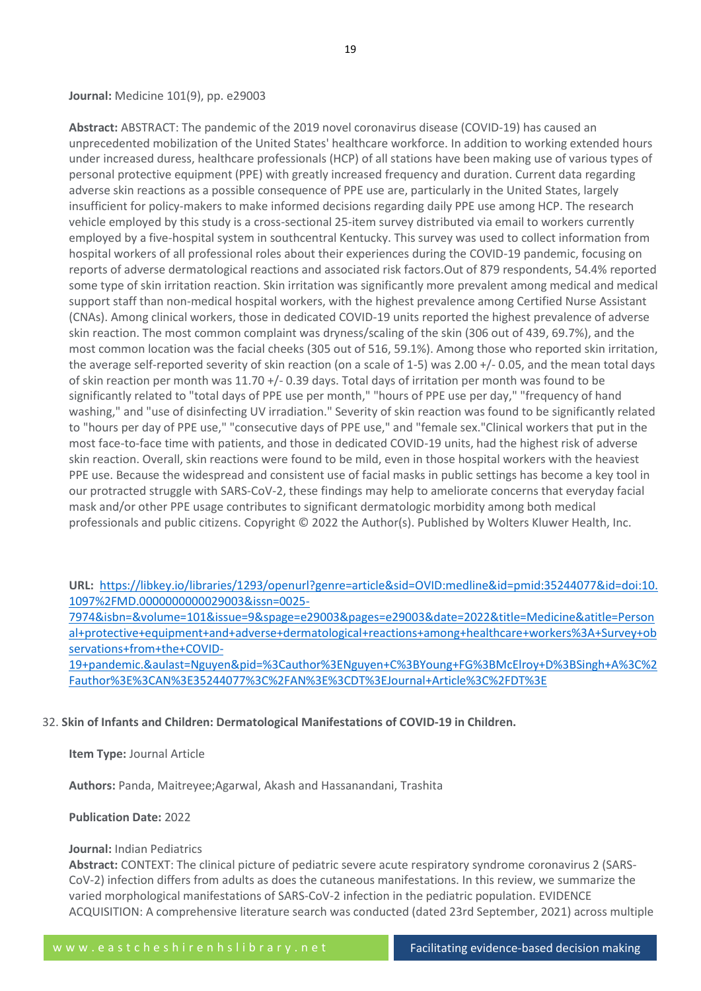**Abstract:** ABSTRACT: The pandemic of the 2019 novel coronavirus disease (COVID-19) has caused an unprecedented mobilization of the United States' healthcare workforce. In addition to working extended hours under increased duress, healthcare professionals (HCP) of all stations have been making use of various types of personal protective equipment (PPE) with greatly increased frequency and duration. Current data regarding adverse skin reactions as a possible consequence of PPE use are, particularly in the United States, largely insufficient for policy-makers to make informed decisions regarding daily PPE use among HCP. The research vehicle employed by this study is a cross-sectional 25-item survey distributed via email to workers currently employed by a five-hospital system in southcentral Kentucky. This survey was used to collect information from hospital workers of all professional roles about their experiences during the COVID-19 pandemic, focusing on reports of adverse dermatological reactions and associated risk factors.Out of 879 respondents, 54.4% reported some type of skin irritation reaction. Skin irritation was significantly more prevalent among medical and medical support staff than non-medical hospital workers, with the highest prevalence among Certified Nurse Assistant (CNAs). Among clinical workers, those in dedicated COVID-19 units reported the highest prevalence of adverse skin reaction. The most common complaint was dryness/scaling of the skin (306 out of 439, 69.7%), and the most common location was the facial cheeks (305 out of 516, 59.1%). Among those who reported skin irritation, the average self-reported severity of skin reaction (on a scale of 1-5) was 2.00 +/- 0.05, and the mean total days of skin reaction per month was 11.70 +/- 0.39 days. Total days of irritation per month was found to be significantly related to "total days of PPE use per month," "hours of PPE use per day," "frequency of hand washing," and "use of disinfecting UV irradiation." Severity of skin reaction was found to be significantly related to "hours per day of PPE use," "consecutive days of PPE use," and "female sex."Clinical workers that put in the most face-to-face time with patients, and those in dedicated COVID-19 units, had the highest risk of adverse skin reaction. Overall, skin reactions were found to be mild, even in those hospital workers with the heaviest PPE use. Because the widespread and consistent use of facial masks in public settings has become a key tool in our protracted struggle with SARS-CoV-2, these findings may help to ameliorate concerns that everyday facial mask and/or other PPE usage contributes to significant dermatologic morbidity among both medical professionals and public citizens. Copyright © 2022 the Author(s). Published by Wolters Kluwer Health, Inc.

**URL:** [https://libkey.io/libraries/1293/openurl?genre=article&sid=OVID:medline&id=pmid:35244077&id=doi:10.](https://libkey.io/libraries/1293/openurl?genre=article&sid=OVID:medline&id=pmid:35244077&id=doi:10.1097%2FMD.0000000000029003&issn=0025-7974&isbn=&volume=101&issue=9&spage=e29003&pages=e29003&date=2022&title=Medicine&atitle=Personal+protective+equipment+and+adverse+dermatological+reactions+among+healthcare+workers%3A+Survey+observations+from+the+COVID-19+pandemic.&aulast=Nguyen&pid=%3Cauthor%3ENguyen+C%3BYoung+FG%3BMcElroy+D%3BSingh+A%3C%2Fauthor%3E%3CAN%3E35244077%3C%2FAN%3E%3CDT%3EJournal+Article%3C%2FDT%3E) [1097%2FMD.0000000000029003&issn=0025-](https://libkey.io/libraries/1293/openurl?genre=article&sid=OVID:medline&id=pmid:35244077&id=doi:10.1097%2FMD.0000000000029003&issn=0025-7974&isbn=&volume=101&issue=9&spage=e29003&pages=e29003&date=2022&title=Medicine&atitle=Personal+protective+equipment+and+adverse+dermatological+reactions+among+healthcare+workers%3A+Survey+observations+from+the+COVID-19+pandemic.&aulast=Nguyen&pid=%3Cauthor%3ENguyen+C%3BYoung+FG%3BMcElroy+D%3BSingh+A%3C%2Fauthor%3E%3CAN%3E35244077%3C%2FAN%3E%3CDT%3EJournal+Article%3C%2FDT%3E)

[7974&isbn=&volume=101&issue=9&spage=e29003&pages=e29003&date=2022&title=Medicine&atitle=Person](https://libkey.io/libraries/1293/openurl?genre=article&sid=OVID:medline&id=pmid:35244077&id=doi:10.1097%2FMD.0000000000029003&issn=0025-7974&isbn=&volume=101&issue=9&spage=e29003&pages=e29003&date=2022&title=Medicine&atitle=Personal+protective+equipment+and+adverse+dermatological+reactions+among+healthcare+workers%3A+Survey+observations+from+the+COVID-19+pandemic.&aulast=Nguyen&pid=%3Cauthor%3ENguyen+C%3BYoung+FG%3BMcElroy+D%3BSingh+A%3C%2Fauthor%3E%3CAN%3E35244077%3C%2FAN%3E%3CDT%3EJournal+Article%3C%2FDT%3E) [al+protective+equipment+and+adverse+dermatological+reactions+among+healthcare+workers%3A+Survey+ob](https://libkey.io/libraries/1293/openurl?genre=article&sid=OVID:medline&id=pmid:35244077&id=doi:10.1097%2FMD.0000000000029003&issn=0025-7974&isbn=&volume=101&issue=9&spage=e29003&pages=e29003&date=2022&title=Medicine&atitle=Personal+protective+equipment+and+adverse+dermatological+reactions+among+healthcare+workers%3A+Survey+observations+from+the+COVID-19+pandemic.&aulast=Nguyen&pid=%3Cauthor%3ENguyen+C%3BYoung+FG%3BMcElroy+D%3BSingh+A%3C%2Fauthor%3E%3CAN%3E35244077%3C%2FAN%3E%3CDT%3EJournal+Article%3C%2FDT%3E) [servations+from+the+COVID-](https://libkey.io/libraries/1293/openurl?genre=article&sid=OVID:medline&id=pmid:35244077&id=doi:10.1097%2FMD.0000000000029003&issn=0025-7974&isbn=&volume=101&issue=9&spage=e29003&pages=e29003&date=2022&title=Medicine&atitle=Personal+protective+equipment+and+adverse+dermatological+reactions+among+healthcare+workers%3A+Survey+observations+from+the+COVID-19+pandemic.&aulast=Nguyen&pid=%3Cauthor%3ENguyen+C%3BYoung+FG%3BMcElroy+D%3BSingh+A%3C%2Fauthor%3E%3CAN%3E35244077%3C%2FAN%3E%3CDT%3EJournal+Article%3C%2FDT%3E)

[19+pandemic.&aulast=Nguyen&pid=%3Cauthor%3ENguyen+C%3BYoung+FG%3BMcElroy+D%3BSingh+A%3C%2](https://libkey.io/libraries/1293/openurl?genre=article&sid=OVID:medline&id=pmid:35244077&id=doi:10.1097%2FMD.0000000000029003&issn=0025-7974&isbn=&volume=101&issue=9&spage=e29003&pages=e29003&date=2022&title=Medicine&atitle=Personal+protective+equipment+and+adverse+dermatological+reactions+among+healthcare+workers%3A+Survey+observations+from+the+COVID-19+pandemic.&aulast=Nguyen&pid=%3Cauthor%3ENguyen+C%3BYoung+FG%3BMcElroy+D%3BSingh+A%3C%2Fauthor%3E%3CAN%3E35244077%3C%2FAN%3E%3CDT%3EJournal+Article%3C%2FDT%3E) [Fauthor%3E%3CAN%3E35244077%3C%2FAN%3E%3CDT%3EJournal+Article%3C%2FDT%3E](https://libkey.io/libraries/1293/openurl?genre=article&sid=OVID:medline&id=pmid:35244077&id=doi:10.1097%2FMD.0000000000029003&issn=0025-7974&isbn=&volume=101&issue=9&spage=e29003&pages=e29003&date=2022&title=Medicine&atitle=Personal+protective+equipment+and+adverse+dermatological+reactions+among+healthcare+workers%3A+Survey+observations+from+the+COVID-19+pandemic.&aulast=Nguyen&pid=%3Cauthor%3ENguyen+C%3BYoung+FG%3BMcElroy+D%3BSingh+A%3C%2Fauthor%3E%3CAN%3E35244077%3C%2FAN%3E%3CDT%3EJournal+Article%3C%2FDT%3E)

32. **Skin of Infants and Children: Dermatological Manifestations of COVID-19 in Children.**

**Item Type:** Journal Article

**Authors:** Panda, Maitreyee;Agarwal, Akash and Hassanandani, Trashita

**Publication Date:** 2022

#### **Journal:** Indian Pediatrics

**Abstract:** CONTEXT: The clinical picture of pediatric severe acute respiratory syndrome coronavirus 2 (SARS-CoV-2) infection differs from adults as does the cutaneous manifestations. In this review, we summarize the varied morphological manifestations of SARS-CoV-2 infection in the pediatric population. EVIDENCE ACQUISITION: A comprehensive literature search was conducted (dated 23rd September, 2021) across multiple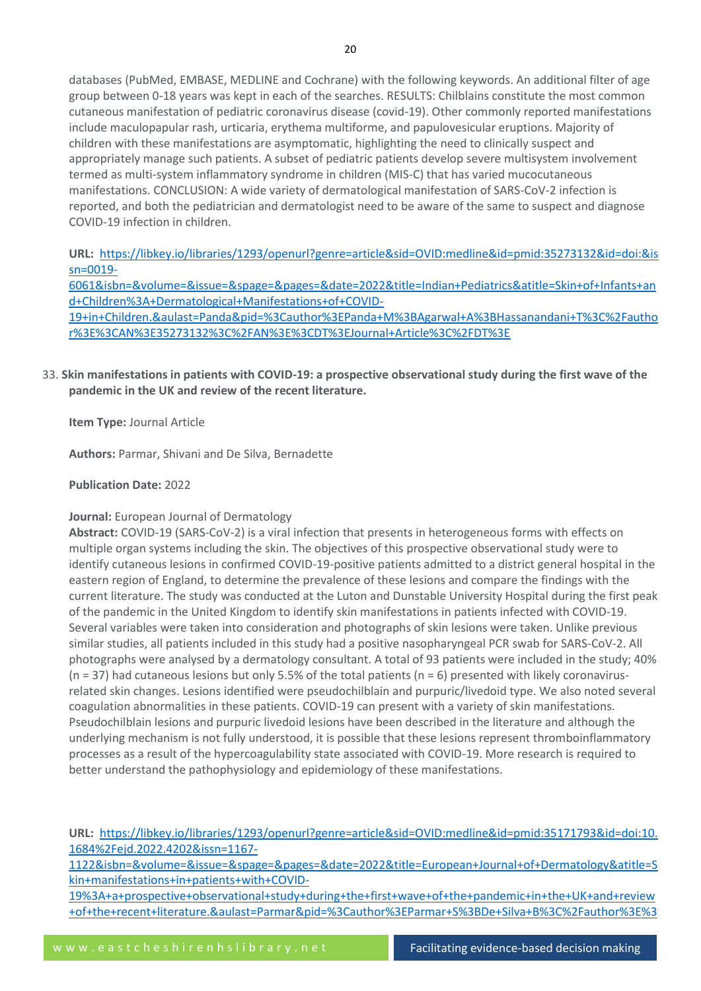databases (PubMed, EMBASE, MEDLINE and Cochrane) with the following keywords. An additional filter of age group between 0-18 years was kept in each of the searches. RESULTS: Chilblains constitute the most common cutaneous manifestation of pediatric coronavirus disease (covid-19). Other commonly reported manifestations include maculopapular rash, urticaria, erythema multiforme, and papulovesicular eruptions. Majority of children with these manifestations are asymptomatic, highlighting the need to clinically suspect and appropriately manage such patients. A subset of pediatric patients develop severe multisystem involvement termed as multi-system inflammatory syndrome in children (MIS-C) that has varied mucocutaneous manifestations. CONCLUSION: A wide variety of dermatological manifestation of SARS-CoV-2 infection is reported, and both the pediatrician and dermatologist need to be aware of the same to suspect and diagnose COVID-19 infection in children.

**URL:** [https://libkey.io/libraries/1293/openurl?genre=article&sid=OVID:medline&id=pmid:35273132&id=doi:&is](https://libkey.io/libraries/1293/openurl?genre=article&sid=OVID:medline&id=pmid:35273132&id=doi:&issn=0019-6061&isbn=&volume=&issue=&spage=&pages=&date=2022&title=Indian+Pediatrics&atitle=Skin+of+Infants+and+Children%3A+Dermatological+Manifestations+of+COVID-19+in+Children.&aulast=Panda&pid=%3Cauthor%3EPanda+M%3BAgarwal+A%3BHassanandani+T%3C%2Fauthor%3E%3CAN%3E35273132%3C%2FAN%3E%3CDT%3EJournal+Article%3C%2FDT%3E) [sn=0019-](https://libkey.io/libraries/1293/openurl?genre=article&sid=OVID:medline&id=pmid:35273132&id=doi:&issn=0019-6061&isbn=&volume=&issue=&spage=&pages=&date=2022&title=Indian+Pediatrics&atitle=Skin+of+Infants+and+Children%3A+Dermatological+Manifestations+of+COVID-19+in+Children.&aulast=Panda&pid=%3Cauthor%3EPanda+M%3BAgarwal+A%3BHassanandani+T%3C%2Fauthor%3E%3CAN%3E35273132%3C%2FAN%3E%3CDT%3EJournal+Article%3C%2FDT%3E)

[6061&isbn=&volume=&issue=&spage=&pages=&date=2022&title=Indian+Pediatrics&atitle=Skin+of+Infants+an](https://libkey.io/libraries/1293/openurl?genre=article&sid=OVID:medline&id=pmid:35273132&id=doi:&issn=0019-6061&isbn=&volume=&issue=&spage=&pages=&date=2022&title=Indian+Pediatrics&atitle=Skin+of+Infants+and+Children%3A+Dermatological+Manifestations+of+COVID-19+in+Children.&aulast=Panda&pid=%3Cauthor%3EPanda+M%3BAgarwal+A%3BHassanandani+T%3C%2Fauthor%3E%3CAN%3E35273132%3C%2FAN%3E%3CDT%3EJournal+Article%3C%2FDT%3E) [d+Children%3A+Dermatological+Manifestations+of+COVID-](https://libkey.io/libraries/1293/openurl?genre=article&sid=OVID:medline&id=pmid:35273132&id=doi:&issn=0019-6061&isbn=&volume=&issue=&spage=&pages=&date=2022&title=Indian+Pediatrics&atitle=Skin+of+Infants+and+Children%3A+Dermatological+Manifestations+of+COVID-19+in+Children.&aulast=Panda&pid=%3Cauthor%3EPanda+M%3BAgarwal+A%3BHassanandani+T%3C%2Fauthor%3E%3CAN%3E35273132%3C%2FAN%3E%3CDT%3EJournal+Article%3C%2FDT%3E)

[19+in+Children.&aulast=Panda&pid=%3Cauthor%3EPanda+M%3BAgarwal+A%3BHassanandani+T%3C%2Fautho](https://libkey.io/libraries/1293/openurl?genre=article&sid=OVID:medline&id=pmid:35273132&id=doi:&issn=0019-6061&isbn=&volume=&issue=&spage=&pages=&date=2022&title=Indian+Pediatrics&atitle=Skin+of+Infants+and+Children%3A+Dermatological+Manifestations+of+COVID-19+in+Children.&aulast=Panda&pid=%3Cauthor%3EPanda+M%3BAgarwal+A%3BHassanandani+T%3C%2Fauthor%3E%3CAN%3E35273132%3C%2FAN%3E%3CDT%3EJournal+Article%3C%2FDT%3E) [r%3E%3CAN%3E35273132%3C%2FAN%3E%3CDT%3EJournal+Article%3C%2FDT%3E](https://libkey.io/libraries/1293/openurl?genre=article&sid=OVID:medline&id=pmid:35273132&id=doi:&issn=0019-6061&isbn=&volume=&issue=&spage=&pages=&date=2022&title=Indian+Pediatrics&atitle=Skin+of+Infants+and+Children%3A+Dermatological+Manifestations+of+COVID-19+in+Children.&aulast=Panda&pid=%3Cauthor%3EPanda+M%3BAgarwal+A%3BHassanandani+T%3C%2Fauthor%3E%3CAN%3E35273132%3C%2FAN%3E%3CDT%3EJournal+Article%3C%2FDT%3E)

# 33. **Skin manifestations in patients with COVID-19: a prospective observational study during the first wave of the pandemic in the UK and review of the recent literature.**

**Item Type:** Journal Article

**Authors:** Parmar, Shivani and De Silva, Bernadette

**Publication Date:** 2022

# **Journal:** European Journal of Dermatology

**Abstract:** COVID-19 (SARS-CoV-2) is a viral infection that presents in heterogeneous forms with effects on multiple organ systems including the skin. The objectives of this prospective observational study were to identify cutaneous lesions in confirmed COVID-19-positive patients admitted to a district general hospital in the eastern region of England, to determine the prevalence of these lesions and compare the findings with the current literature. The study was conducted at the Luton and Dunstable University Hospital during the first peak of the pandemic in the United Kingdom to identify skin manifestations in patients infected with COVID-19. Several variables were taken into consideration and photographs of skin lesions were taken. Unlike previous similar studies, all patients included in this study had a positive nasopharyngeal PCR swab for SARS-CoV-2. All photographs were analysed by a dermatology consultant. A total of 93 patients were included in the study; 40% ( $n = 37$ ) had cutaneous lesions but only 5.5% of the total patients ( $n = 6$ ) presented with likely coronavirusrelated skin changes. Lesions identified were pseudochilblain and purpuric/livedoid type. We also noted several coagulation abnormalities in these patients. COVID-19 can present with a variety of skin manifestations. Pseudochilblain lesions and purpuric livedoid lesions have been described in the literature and although the underlying mechanism is not fully understood, it is possible that these lesions represent thromboinflammatory processes as a result of the hypercoagulability state associated with COVID-19. More research is required to better understand the pathophysiology and epidemiology of these manifestations.

**URL:** [https://libkey.io/libraries/1293/openurl?genre=article&sid=OVID:medline&id=pmid:35171793&id=doi:10.](https://libkey.io/libraries/1293/openurl?genre=article&sid=OVID:medline&id=pmid:35171793&id=doi:10.1684%2Fejd.2022.4202&issn=1167-1122&isbn=&volume=&issue=&spage=&pages=&date=2022&title=European+Journal+of+Dermatology&atitle=Skin+manifestations+in+patients+with+COVID-19%3A+a+prospective+observational+study+during+the+first+wave+of+the+pandemic+in+the+UK+and+review+of+the+recent+literature.&aulast=Parmar&pid=%3Cauthor%3EParmar+S%3BDe+Silva+B%3C%2Fauthor%3E%3CAN%3E35171793%3C%2FAN%3E%3CDT%3EJournal+Article%3C%2FDT%3E) [1684%2Fejd.2022.4202&issn=1167-](https://libkey.io/libraries/1293/openurl?genre=article&sid=OVID:medline&id=pmid:35171793&id=doi:10.1684%2Fejd.2022.4202&issn=1167-1122&isbn=&volume=&issue=&spage=&pages=&date=2022&title=European+Journal+of+Dermatology&atitle=Skin+manifestations+in+patients+with+COVID-19%3A+a+prospective+observational+study+during+the+first+wave+of+the+pandemic+in+the+UK+and+review+of+the+recent+literature.&aulast=Parmar&pid=%3Cauthor%3EParmar+S%3BDe+Silva+B%3C%2Fauthor%3E%3CAN%3E35171793%3C%2FAN%3E%3CDT%3EJournal+Article%3C%2FDT%3E)

[1122&isbn=&volume=&issue=&spage=&pages=&date=2022&title=European+Journal+of+Dermatology&atitle=S](https://libkey.io/libraries/1293/openurl?genre=article&sid=OVID:medline&id=pmid:35171793&id=doi:10.1684%2Fejd.2022.4202&issn=1167-1122&isbn=&volume=&issue=&spage=&pages=&date=2022&title=European+Journal+of+Dermatology&atitle=Skin+manifestations+in+patients+with+COVID-19%3A+a+prospective+observational+study+during+the+first+wave+of+the+pandemic+in+the+UK+and+review+of+the+recent+literature.&aulast=Parmar&pid=%3Cauthor%3EParmar+S%3BDe+Silva+B%3C%2Fauthor%3E%3CAN%3E35171793%3C%2FAN%3E%3CDT%3EJournal+Article%3C%2FDT%3E) [kin+manifestations+in+patients+with+COVID-](https://libkey.io/libraries/1293/openurl?genre=article&sid=OVID:medline&id=pmid:35171793&id=doi:10.1684%2Fejd.2022.4202&issn=1167-1122&isbn=&volume=&issue=&spage=&pages=&date=2022&title=European+Journal+of+Dermatology&atitle=Skin+manifestations+in+patients+with+COVID-19%3A+a+prospective+observational+study+during+the+first+wave+of+the+pandemic+in+the+UK+and+review+of+the+recent+literature.&aulast=Parmar&pid=%3Cauthor%3EParmar+S%3BDe+Silva+B%3C%2Fauthor%3E%3CAN%3E35171793%3C%2FAN%3E%3CDT%3EJournal+Article%3C%2FDT%3E)

[19%3A+a+prospective+observational+study+during+the+first+wave+of+the+pandemic+in+the+UK+and+review](https://libkey.io/libraries/1293/openurl?genre=article&sid=OVID:medline&id=pmid:35171793&id=doi:10.1684%2Fejd.2022.4202&issn=1167-1122&isbn=&volume=&issue=&spage=&pages=&date=2022&title=European+Journal+of+Dermatology&atitle=Skin+manifestations+in+patients+with+COVID-19%3A+a+prospective+observational+study+during+the+first+wave+of+the+pandemic+in+the+UK+and+review+of+the+recent+literature.&aulast=Parmar&pid=%3Cauthor%3EParmar+S%3BDe+Silva+B%3C%2Fauthor%3E%3CAN%3E35171793%3C%2FAN%3E%3CDT%3EJournal+Article%3C%2FDT%3E) [+of+the+recent+literature.&aulast=Parmar&pid=%3Cauthor%3EParmar+S%3BDe+Silva+B%3C%2Fauthor%3E%3](https://libkey.io/libraries/1293/openurl?genre=article&sid=OVID:medline&id=pmid:35171793&id=doi:10.1684%2Fejd.2022.4202&issn=1167-1122&isbn=&volume=&issue=&spage=&pages=&date=2022&title=European+Journal+of+Dermatology&atitle=Skin+manifestations+in+patients+with+COVID-19%3A+a+prospective+observational+study+during+the+first+wave+of+the+pandemic+in+the+UK+and+review+of+the+recent+literature.&aulast=Parmar&pid=%3Cauthor%3EParmar+S%3BDe+Silva+B%3C%2Fauthor%3E%3CAN%3E35171793%3C%2FAN%3E%3CDT%3EJournal+Article%3C%2FDT%3E)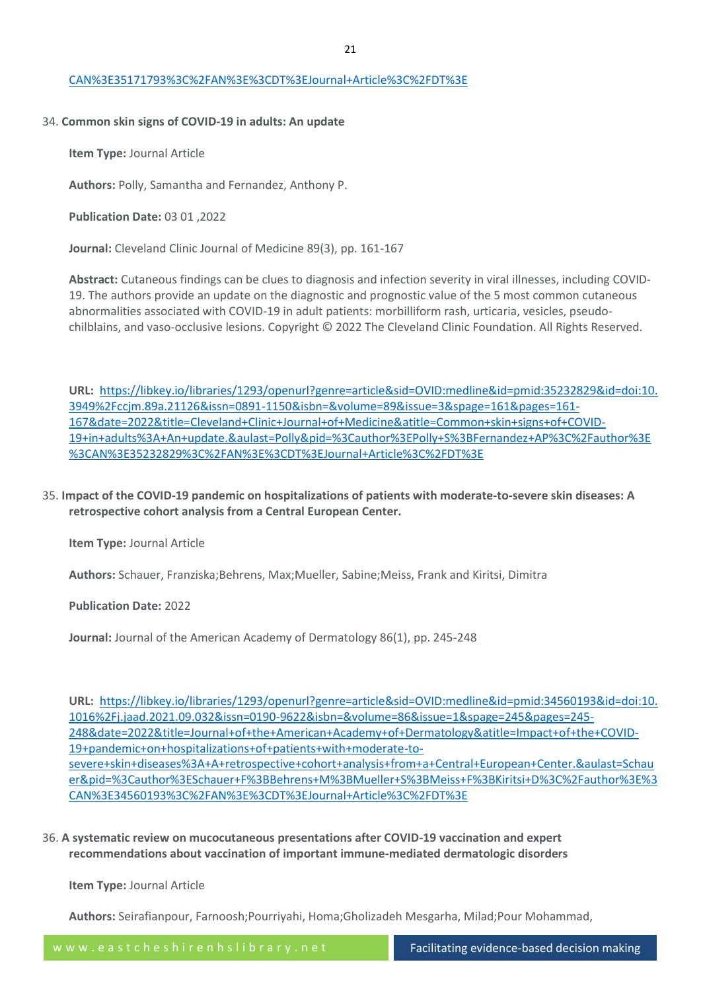#### [CAN%3E35171793%3C%2FAN%3E%3CDT%3EJournal+Article%3C%2FDT%3E](https://libkey.io/libraries/1293/openurl?genre=article&sid=OVID:medline&id=pmid:35171793&id=doi:10.1684%2Fejd.2022.4202&issn=1167-1122&isbn=&volume=&issue=&spage=&pages=&date=2022&title=European+Journal+of+Dermatology&atitle=Skin+manifestations+in+patients+with+COVID-19%3A+a+prospective+observational+study+during+the+first+wave+of+the+pandemic+in+the+UK+and+review+of+the+recent+literature.&aulast=Parmar&pid=%3Cauthor%3EParmar+S%3BDe+Silva+B%3C%2Fauthor%3E%3CAN%3E35171793%3C%2FAN%3E%3CDT%3EJournal+Article%3C%2FDT%3E)

#### 34. **Common skin signs of COVID-19 in adults: An update**

**Item Type:** Journal Article

**Authors:** Polly, Samantha and Fernandez, Anthony P.

**Publication Date:** 03 01 ,2022

**Journal:** Cleveland Clinic Journal of Medicine 89(3), pp. 161-167

**Abstract:** Cutaneous findings can be clues to diagnosis and infection severity in viral illnesses, including COVID-19. The authors provide an update on the diagnostic and prognostic value of the 5 most common cutaneous abnormalities associated with COVID-19 in adult patients: morbilliform rash, urticaria, vesicles, pseudochilblains, and vaso-occlusive lesions. Copyright © 2022 The Cleveland Clinic Foundation. All Rights Reserved.

**URL:** [https://libkey.io/libraries/1293/openurl?genre=article&sid=OVID:medline&id=pmid:35232829&id=doi:10.](https://libkey.io/libraries/1293/openurl?genre=article&sid=OVID:medline&id=pmid:35232829&id=doi:10.3949%2Fccjm.89a.21126&issn=0891-1150&isbn=&volume=89&issue=3&spage=161&pages=161-167&date=2022&title=Cleveland+Clinic+Journal+of+Medicine&atitle=Common+skin+signs+of+COVID-19+in+adults%3A+An+update.&aulast=Polly&pid=%3Cauthor%3EPolly+S%3BFernandez+AP%3C%2Fauthor%3E%3CAN%3E35232829%3C%2FAN%3E%3CDT%3EJournal+Article%3C%2FDT%3E) [3949%2Fccjm.89a.21126&issn=0891-1150&isbn=&volume=89&issue=3&spage=161&pages=161-](https://libkey.io/libraries/1293/openurl?genre=article&sid=OVID:medline&id=pmid:35232829&id=doi:10.3949%2Fccjm.89a.21126&issn=0891-1150&isbn=&volume=89&issue=3&spage=161&pages=161-167&date=2022&title=Cleveland+Clinic+Journal+of+Medicine&atitle=Common+skin+signs+of+COVID-19+in+adults%3A+An+update.&aulast=Polly&pid=%3Cauthor%3EPolly+S%3BFernandez+AP%3C%2Fauthor%3E%3CAN%3E35232829%3C%2FAN%3E%3CDT%3EJournal+Article%3C%2FDT%3E) [167&date=2022&title=Cleveland+Clinic+Journal+of+Medicine&atitle=Common+skin+signs+of+COVID-](https://libkey.io/libraries/1293/openurl?genre=article&sid=OVID:medline&id=pmid:35232829&id=doi:10.3949%2Fccjm.89a.21126&issn=0891-1150&isbn=&volume=89&issue=3&spage=161&pages=161-167&date=2022&title=Cleveland+Clinic+Journal+of+Medicine&atitle=Common+skin+signs+of+COVID-19+in+adults%3A+An+update.&aulast=Polly&pid=%3Cauthor%3EPolly+S%3BFernandez+AP%3C%2Fauthor%3E%3CAN%3E35232829%3C%2FAN%3E%3CDT%3EJournal+Article%3C%2FDT%3E)[19+in+adults%3A+An+update.&aulast=Polly&pid=%3Cauthor%3EPolly+S%3BFernandez+AP%3C%2Fauthor%3E](https://libkey.io/libraries/1293/openurl?genre=article&sid=OVID:medline&id=pmid:35232829&id=doi:10.3949%2Fccjm.89a.21126&issn=0891-1150&isbn=&volume=89&issue=3&spage=161&pages=161-167&date=2022&title=Cleveland+Clinic+Journal+of+Medicine&atitle=Common+skin+signs+of+COVID-19+in+adults%3A+An+update.&aulast=Polly&pid=%3Cauthor%3EPolly+S%3BFernandez+AP%3C%2Fauthor%3E%3CAN%3E35232829%3C%2FAN%3E%3CDT%3EJournal+Article%3C%2FDT%3E) [%3CAN%3E35232829%3C%2FAN%3E%3CDT%3EJournal+Article%3C%2FDT%3E](https://libkey.io/libraries/1293/openurl?genre=article&sid=OVID:medline&id=pmid:35232829&id=doi:10.3949%2Fccjm.89a.21126&issn=0891-1150&isbn=&volume=89&issue=3&spage=161&pages=161-167&date=2022&title=Cleveland+Clinic+Journal+of+Medicine&atitle=Common+skin+signs+of+COVID-19+in+adults%3A+An+update.&aulast=Polly&pid=%3Cauthor%3EPolly+S%3BFernandez+AP%3C%2Fauthor%3E%3CAN%3E35232829%3C%2FAN%3E%3CDT%3EJournal+Article%3C%2FDT%3E)

35. **Impact of the COVID-19 pandemic on hospitalizations of patients with moderate-to-severe skin diseases: A retrospective cohort analysis from a Central European Center.**

**Item Type:** Journal Article

**Authors:** Schauer, Franziska;Behrens, Max;Mueller, Sabine;Meiss, Frank and Kiritsi, Dimitra

**Publication Date:** 2022

**Journal:** Journal of the American Academy of Dermatology 86(1), pp. 245-248

**URL:** [https://libkey.io/libraries/1293/openurl?genre=article&sid=OVID:medline&id=pmid:34560193&id=doi:10.](https://libkey.io/libraries/1293/openurl?genre=article&sid=OVID:medline&id=pmid:34560193&id=doi:10.1016%2Fj.jaad.2021.09.032&issn=0190-9622&isbn=&volume=86&issue=1&spage=245&pages=245-248&date=2022&title=Journal+of+the+American+Academy+of+Dermatology&atitle=Impact+of+the+COVID-19+pandemic+on+hospitalizations+of+patients+with+moderate-to-severe+skin+diseases%3A+A+retrospective+cohort+analysis+from+a+Central+European+Center.&aulast=Schauer&pid=%3Cauthor%3ESchauer+F%3BBehrens+M%3BMueller+S%3BMeiss+F%3BKiritsi+D%3C%2Fauthor%3E%3CAN%3E34560193%3C%2FAN%3E%3CDT%3EJournal+Article%3C%2FDT%3E) [1016%2Fj.jaad.2021.09.032&issn=0190-9622&isbn=&volume=86&issue=1&spage=245&pages=245-](https://libkey.io/libraries/1293/openurl?genre=article&sid=OVID:medline&id=pmid:34560193&id=doi:10.1016%2Fj.jaad.2021.09.032&issn=0190-9622&isbn=&volume=86&issue=1&spage=245&pages=245-248&date=2022&title=Journal+of+the+American+Academy+of+Dermatology&atitle=Impact+of+the+COVID-19+pandemic+on+hospitalizations+of+patients+with+moderate-to-severe+skin+diseases%3A+A+retrospective+cohort+analysis+from+a+Central+European+Center.&aulast=Schauer&pid=%3Cauthor%3ESchauer+F%3BBehrens+M%3BMueller+S%3BMeiss+F%3BKiritsi+D%3C%2Fauthor%3E%3CAN%3E34560193%3C%2FAN%3E%3CDT%3EJournal+Article%3C%2FDT%3E) [248&date=2022&title=Journal+of+the+American+Academy+of+Dermatology&atitle=Impact+of+the+COVID-](https://libkey.io/libraries/1293/openurl?genre=article&sid=OVID:medline&id=pmid:34560193&id=doi:10.1016%2Fj.jaad.2021.09.032&issn=0190-9622&isbn=&volume=86&issue=1&spage=245&pages=245-248&date=2022&title=Journal+of+the+American+Academy+of+Dermatology&atitle=Impact+of+the+COVID-19+pandemic+on+hospitalizations+of+patients+with+moderate-to-severe+skin+diseases%3A+A+retrospective+cohort+analysis+from+a+Central+European+Center.&aulast=Schauer&pid=%3Cauthor%3ESchauer+F%3BBehrens+M%3BMueller+S%3BMeiss+F%3BKiritsi+D%3C%2Fauthor%3E%3CAN%3E34560193%3C%2FAN%3E%3CDT%3EJournal+Article%3C%2FDT%3E)[19+pandemic+on+hospitalizations+of+patients+with+moderate-to](https://libkey.io/libraries/1293/openurl?genre=article&sid=OVID:medline&id=pmid:34560193&id=doi:10.1016%2Fj.jaad.2021.09.032&issn=0190-9622&isbn=&volume=86&issue=1&spage=245&pages=245-248&date=2022&title=Journal+of+the+American+Academy+of+Dermatology&atitle=Impact+of+the+COVID-19+pandemic+on+hospitalizations+of+patients+with+moderate-to-severe+skin+diseases%3A+A+retrospective+cohort+analysis+from+a+Central+European+Center.&aulast=Schauer&pid=%3Cauthor%3ESchauer+F%3BBehrens+M%3BMueller+S%3BMeiss+F%3BKiritsi+D%3C%2Fauthor%3E%3CAN%3E34560193%3C%2FAN%3E%3CDT%3EJournal+Article%3C%2FDT%3E)[severe+skin+diseases%3A+A+retrospective+cohort+analysis+from+a+Central+European+Center.&aulast=Schau](https://libkey.io/libraries/1293/openurl?genre=article&sid=OVID:medline&id=pmid:34560193&id=doi:10.1016%2Fj.jaad.2021.09.032&issn=0190-9622&isbn=&volume=86&issue=1&spage=245&pages=245-248&date=2022&title=Journal+of+the+American+Academy+of+Dermatology&atitle=Impact+of+the+COVID-19+pandemic+on+hospitalizations+of+patients+with+moderate-to-severe+skin+diseases%3A+A+retrospective+cohort+analysis+from+a+Central+European+Center.&aulast=Schauer&pid=%3Cauthor%3ESchauer+F%3BBehrens+M%3BMueller+S%3BMeiss+F%3BKiritsi+D%3C%2Fauthor%3E%3CAN%3E34560193%3C%2FAN%3E%3CDT%3EJournal+Article%3C%2FDT%3E) [er&pid=%3Cauthor%3ESchauer+F%3BBehrens+M%3BMueller+S%3BMeiss+F%3BKiritsi+D%3C%2Fauthor%3E%3](https://libkey.io/libraries/1293/openurl?genre=article&sid=OVID:medline&id=pmid:34560193&id=doi:10.1016%2Fj.jaad.2021.09.032&issn=0190-9622&isbn=&volume=86&issue=1&spage=245&pages=245-248&date=2022&title=Journal+of+the+American+Academy+of+Dermatology&atitle=Impact+of+the+COVID-19+pandemic+on+hospitalizations+of+patients+with+moderate-to-severe+skin+diseases%3A+A+retrospective+cohort+analysis+from+a+Central+European+Center.&aulast=Schauer&pid=%3Cauthor%3ESchauer+F%3BBehrens+M%3BMueller+S%3BMeiss+F%3BKiritsi+D%3C%2Fauthor%3E%3CAN%3E34560193%3C%2FAN%3E%3CDT%3EJournal+Article%3C%2FDT%3E) [CAN%3E34560193%3C%2FAN%3E%3CDT%3EJournal+Article%3C%2FDT%3E](https://libkey.io/libraries/1293/openurl?genre=article&sid=OVID:medline&id=pmid:34560193&id=doi:10.1016%2Fj.jaad.2021.09.032&issn=0190-9622&isbn=&volume=86&issue=1&spage=245&pages=245-248&date=2022&title=Journal+of+the+American+Academy+of+Dermatology&atitle=Impact+of+the+COVID-19+pandemic+on+hospitalizations+of+patients+with+moderate-to-severe+skin+diseases%3A+A+retrospective+cohort+analysis+from+a+Central+European+Center.&aulast=Schauer&pid=%3Cauthor%3ESchauer+F%3BBehrens+M%3BMueller+S%3BMeiss+F%3BKiritsi+D%3C%2Fauthor%3E%3CAN%3E34560193%3C%2FAN%3E%3CDT%3EJournal+Article%3C%2FDT%3E)

36. **A systematic review on mucocutaneous presentations after COVID-19 vaccination and expert recommendations about vaccination of important immune-mediated dermatologic disorders**

**Item Type:** Journal Article

**Authors:** Seirafianpour, Farnoosh;Pourriyahi, Homa;Gholizadeh Mesgarha, Milad;Pour Mohammad,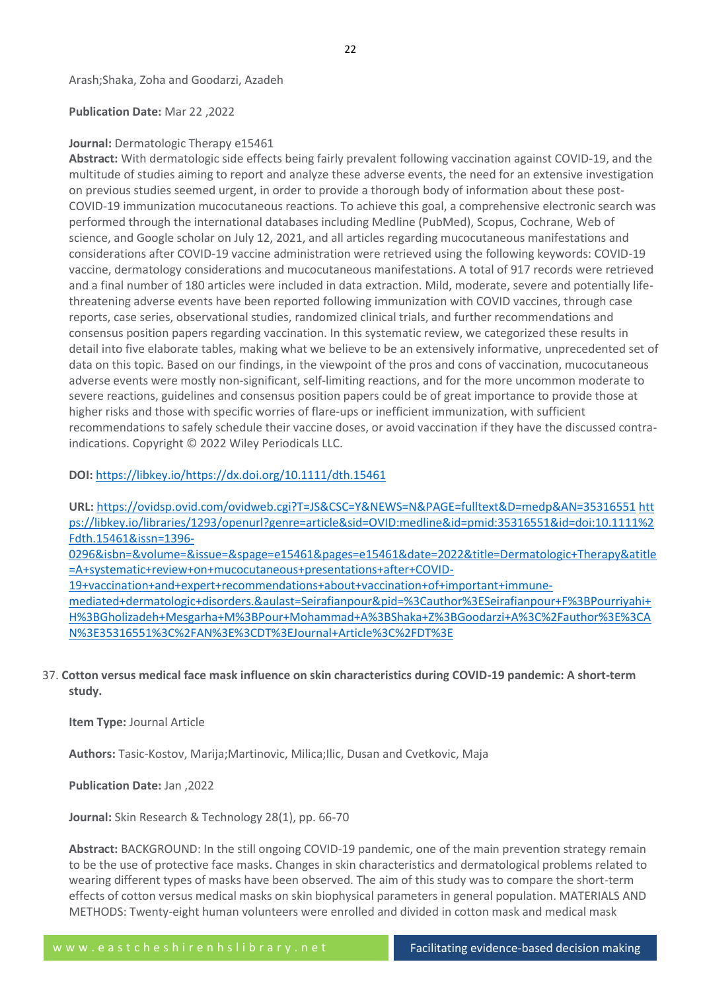Arash;Shaka, Zoha and Goodarzi, Azadeh

**Publication Date:** Mar 22 ,2022

#### **Journal:** Dermatologic Therapy e15461

**Abstract:** With dermatologic side effects being fairly prevalent following vaccination against COVID-19, and the multitude of studies aiming to report and analyze these adverse events, the need for an extensive investigation on previous studies seemed urgent, in order to provide a thorough body of information about these post-COVID-19 immunization mucocutaneous reactions. To achieve this goal, a comprehensive electronic search was performed through the international databases including Medline (PubMed), Scopus, Cochrane, Web of science, and Google scholar on July 12, 2021, and all articles regarding mucocutaneous manifestations and considerations after COVID-19 vaccine administration were retrieved using the following keywords: COVID-19 vaccine, dermatology considerations and mucocutaneous manifestations. A total of 917 records were retrieved and a final number of 180 articles were included in data extraction. Mild, moderate, severe and potentially lifethreatening adverse events have been reported following immunization with COVID vaccines, through case reports, case series, observational studies, randomized clinical trials, and further recommendations and consensus position papers regarding vaccination. In this systematic review, we categorized these results in detail into five elaborate tables, making what we believe to be an extensively informative, unprecedented set of data on this topic. Based on our findings, in the viewpoint of the pros and cons of vaccination, mucocutaneous adverse events were mostly non-significant, self-limiting reactions, and for the more uncommon moderate to severe reactions, guidelines and consensus position papers could be of great importance to provide those at higher risks and those with specific worries of flare-ups or inefficient immunization, with sufficient recommendations to safely schedule their vaccine doses, or avoid vaccination if they have the discussed contraindications. Copyright © 2022 Wiley Periodicals LLC.

**DOI:** <https://libkey.io/><https://dx.doi.org/10.1111/dth.15461>

**URL:** <https://ovidsp.ovid.com/ovidweb.cgi?T=JS&CSC=Y&NEWS=N&PAGE=fulltext&D=medp&AN=35316551> [htt](https://libkey.io/libraries/1293/openurl?genre=article&sid=OVID:medline&id=pmid:35316551&id=doi:10.1111%2Fdth.15461&issn=1396-0296&isbn=&volume=&issue=&spage=e15461&pages=e15461&date=2022&title=Dermatologic+Therapy&atitle=A+systematic+review+on+mucocutaneous+presentations+after+COVID-19+vaccination+and+expert+recommendations+about+vaccination+of+important+immune-mediated+dermatologic+disorders.&aulast=Seirafianpour&pid=%3Cauthor%3ESeirafianpour+F%3BPourriyahi+H%3BGholizadeh+Mesgarha+M%3BPour+Mohammad+A%3BShaka+Z%3BGoodarzi+A%3C%2Fauthor%3E%3CAN%3E35316551%3C%2FAN%3E%3CDT%3EJournal+Article%3C%2FDT%3E) [ps://libkey.io/libraries/1293/openurl?genre=article&sid=OVID:medline&id=pmid:35316551&id=doi:10.1111%2](https://libkey.io/libraries/1293/openurl?genre=article&sid=OVID:medline&id=pmid:35316551&id=doi:10.1111%2Fdth.15461&issn=1396-0296&isbn=&volume=&issue=&spage=e15461&pages=e15461&date=2022&title=Dermatologic+Therapy&atitle=A+systematic+review+on+mucocutaneous+presentations+after+COVID-19+vaccination+and+expert+recommendations+about+vaccination+of+important+immune-mediated+dermatologic+disorders.&aulast=Seirafianpour&pid=%3Cauthor%3ESeirafianpour+F%3BPourriyahi+H%3BGholizadeh+Mesgarha+M%3BPour+Mohammad+A%3BShaka+Z%3BGoodarzi+A%3C%2Fauthor%3E%3CAN%3E35316551%3C%2FAN%3E%3CDT%3EJournal+Article%3C%2FDT%3E) [Fdth.15461&issn=1396-](https://libkey.io/libraries/1293/openurl?genre=article&sid=OVID:medline&id=pmid:35316551&id=doi:10.1111%2Fdth.15461&issn=1396-0296&isbn=&volume=&issue=&spage=e15461&pages=e15461&date=2022&title=Dermatologic+Therapy&atitle=A+systematic+review+on+mucocutaneous+presentations+after+COVID-19+vaccination+and+expert+recommendations+about+vaccination+of+important+immune-mediated+dermatologic+disorders.&aulast=Seirafianpour&pid=%3Cauthor%3ESeirafianpour+F%3BPourriyahi+H%3BGholizadeh+Mesgarha+M%3BPour+Mohammad+A%3BShaka+Z%3BGoodarzi+A%3C%2Fauthor%3E%3CAN%3E35316551%3C%2FAN%3E%3CDT%3EJournal+Article%3C%2FDT%3E)

[0296&isbn=&volume=&issue=&spage=e15461&pages=e15461&date=2022&title=Dermatologic+Therapy&atitle](https://libkey.io/libraries/1293/openurl?genre=article&sid=OVID:medline&id=pmid:35316551&id=doi:10.1111%2Fdth.15461&issn=1396-0296&isbn=&volume=&issue=&spage=e15461&pages=e15461&date=2022&title=Dermatologic+Therapy&atitle=A+systematic+review+on+mucocutaneous+presentations+after+COVID-19+vaccination+and+expert+recommendations+about+vaccination+of+important+immune-mediated+dermatologic+disorders.&aulast=Seirafianpour&pid=%3Cauthor%3ESeirafianpour+F%3BPourriyahi+H%3BGholizadeh+Mesgarha+M%3BPour+Mohammad+A%3BShaka+Z%3BGoodarzi+A%3C%2Fauthor%3E%3CAN%3E35316551%3C%2FAN%3E%3CDT%3EJournal+Article%3C%2FDT%3E) [=A+systematic+review+on+mucocutaneous+presentations+after+COVID-](https://libkey.io/libraries/1293/openurl?genre=article&sid=OVID:medline&id=pmid:35316551&id=doi:10.1111%2Fdth.15461&issn=1396-0296&isbn=&volume=&issue=&spage=e15461&pages=e15461&date=2022&title=Dermatologic+Therapy&atitle=A+systematic+review+on+mucocutaneous+presentations+after+COVID-19+vaccination+and+expert+recommendations+about+vaccination+of+important+immune-mediated+dermatologic+disorders.&aulast=Seirafianpour&pid=%3Cauthor%3ESeirafianpour+F%3BPourriyahi+H%3BGholizadeh+Mesgarha+M%3BPour+Mohammad+A%3BShaka+Z%3BGoodarzi+A%3C%2Fauthor%3E%3CAN%3E35316551%3C%2FAN%3E%3CDT%3EJournal+Article%3C%2FDT%3E)

[19+vaccination+and+expert+recommendations+about+vaccination+of+important+immune-](https://libkey.io/libraries/1293/openurl?genre=article&sid=OVID:medline&id=pmid:35316551&id=doi:10.1111%2Fdth.15461&issn=1396-0296&isbn=&volume=&issue=&spage=e15461&pages=e15461&date=2022&title=Dermatologic+Therapy&atitle=A+systematic+review+on+mucocutaneous+presentations+after+COVID-19+vaccination+and+expert+recommendations+about+vaccination+of+important+immune-mediated+dermatologic+disorders.&aulast=Seirafianpour&pid=%3Cauthor%3ESeirafianpour+F%3BPourriyahi+H%3BGholizadeh+Mesgarha+M%3BPour+Mohammad+A%3BShaka+Z%3BGoodarzi+A%3C%2Fauthor%3E%3CAN%3E35316551%3C%2FAN%3E%3CDT%3EJournal+Article%3C%2FDT%3E)

[mediated+dermatologic+disorders.&aulast=Seirafianpour&pid=%3Cauthor%3ESeirafianpour+F%3BPourriyahi+](https://libkey.io/libraries/1293/openurl?genre=article&sid=OVID:medline&id=pmid:35316551&id=doi:10.1111%2Fdth.15461&issn=1396-0296&isbn=&volume=&issue=&spage=e15461&pages=e15461&date=2022&title=Dermatologic+Therapy&atitle=A+systematic+review+on+mucocutaneous+presentations+after+COVID-19+vaccination+and+expert+recommendations+about+vaccination+of+important+immune-mediated+dermatologic+disorders.&aulast=Seirafianpour&pid=%3Cauthor%3ESeirafianpour+F%3BPourriyahi+H%3BGholizadeh+Mesgarha+M%3BPour+Mohammad+A%3BShaka+Z%3BGoodarzi+A%3C%2Fauthor%3E%3CAN%3E35316551%3C%2FAN%3E%3CDT%3EJournal+Article%3C%2FDT%3E) [H%3BGholizadeh+Mesgarha+M%3BPour+Mohammad+A%3BShaka+Z%3BGoodarzi+A%3C%2Fauthor%3E%3CA](https://libkey.io/libraries/1293/openurl?genre=article&sid=OVID:medline&id=pmid:35316551&id=doi:10.1111%2Fdth.15461&issn=1396-0296&isbn=&volume=&issue=&spage=e15461&pages=e15461&date=2022&title=Dermatologic+Therapy&atitle=A+systematic+review+on+mucocutaneous+presentations+after+COVID-19+vaccination+and+expert+recommendations+about+vaccination+of+important+immune-mediated+dermatologic+disorders.&aulast=Seirafianpour&pid=%3Cauthor%3ESeirafianpour+F%3BPourriyahi+H%3BGholizadeh+Mesgarha+M%3BPour+Mohammad+A%3BShaka+Z%3BGoodarzi+A%3C%2Fauthor%3E%3CAN%3E35316551%3C%2FAN%3E%3CDT%3EJournal+Article%3C%2FDT%3E) [N%3E35316551%3C%2FAN%3E%3CDT%3EJournal+Article%3C%2FDT%3E](https://libkey.io/libraries/1293/openurl?genre=article&sid=OVID:medline&id=pmid:35316551&id=doi:10.1111%2Fdth.15461&issn=1396-0296&isbn=&volume=&issue=&spage=e15461&pages=e15461&date=2022&title=Dermatologic+Therapy&atitle=A+systematic+review+on+mucocutaneous+presentations+after+COVID-19+vaccination+and+expert+recommendations+about+vaccination+of+important+immune-mediated+dermatologic+disorders.&aulast=Seirafianpour&pid=%3Cauthor%3ESeirafianpour+F%3BPourriyahi+H%3BGholizadeh+Mesgarha+M%3BPour+Mohammad+A%3BShaka+Z%3BGoodarzi+A%3C%2Fauthor%3E%3CAN%3E35316551%3C%2FAN%3E%3CDT%3EJournal+Article%3C%2FDT%3E)

37. **Cotton versus medical face mask influence on skin characteristics during COVID-19 pandemic: A short-term study.**

**Item Type:** Journal Article

**Authors:** Tasic-Kostov, Marija;Martinovic, Milica;Ilic, Dusan and Cvetkovic, Maja

**Publication Date:** Jan ,2022

**Journal:** Skin Research & Technology 28(1), pp. 66-70

**Abstract:** BACKGROUND: In the still ongoing COVID-19 pandemic, one of the main prevention strategy remain to be the use of protective face masks. Changes in skin characteristics and dermatological problems related to wearing different types of masks have been observed. The aim of this study was to compare the short-term effects of cotton versus medical masks on skin biophysical parameters in general population. MATERIALS AND METHODS: Twenty-eight human volunteers were enrolled and divided in cotton mask and medical mask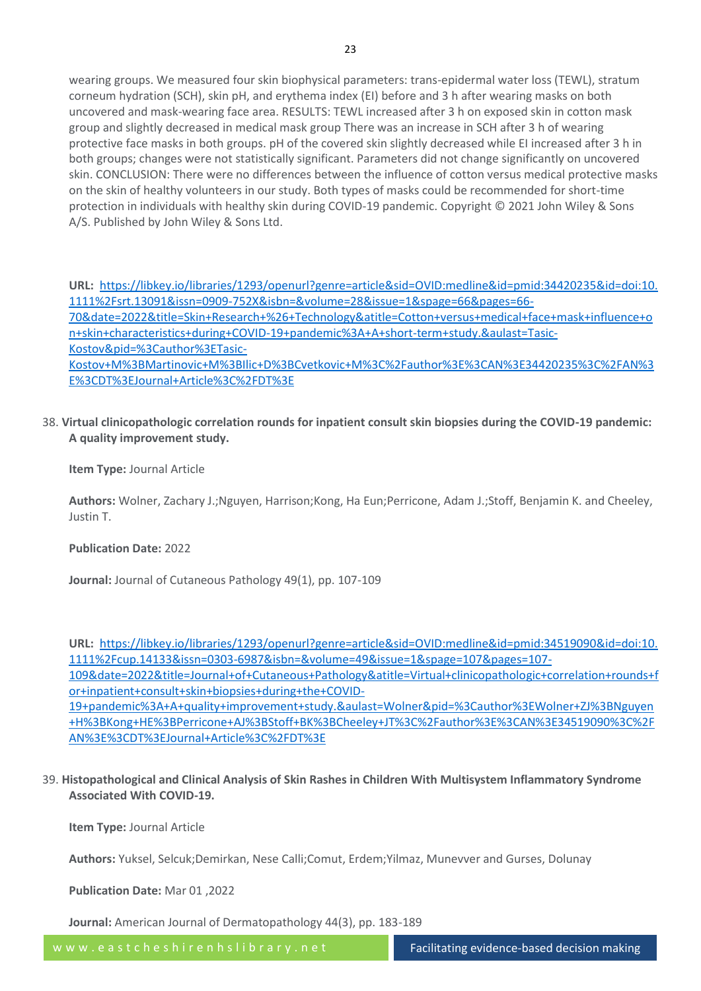wearing groups. We measured four skin biophysical parameters: trans-epidermal water loss (TEWL), stratum corneum hydration (SCH), skin pH, and erythema index (EI) before and 3 h after wearing masks on both uncovered and mask-wearing face area. RESULTS: TEWL increased after 3 h on exposed skin in cotton mask group and slightly decreased in medical mask group There was an increase in SCH after 3 h of wearing protective face masks in both groups. pH of the covered skin slightly decreased while EI increased after 3 h in both groups; changes were not statistically significant. Parameters did not change significantly on uncovered skin. CONCLUSION: There were no differences between the influence of cotton versus medical protective masks on the skin of healthy volunteers in our study. Both types of masks could be recommended for short-time protection in individuals with healthy skin during COVID-19 pandemic. Copyright © 2021 John Wiley & Sons A/S. Published by John Wiley & Sons Ltd.

**URL:** [https://libkey.io/libraries/1293/openurl?genre=article&sid=OVID:medline&id=pmid:34420235&id=doi:10.](https://libkey.io/libraries/1293/openurl?genre=article&sid=OVID:medline&id=pmid:34420235&id=doi:10.1111%2Fsrt.13091&issn=0909-752X&isbn=&volume=28&issue=1&spage=66&pages=66-70&date=2022&title=Skin+Research+%26+Technology&atitle=Cotton+versus+medical+face+mask+influence+on+skin+characteristics+during+COVID-19+pandemic%3A+A+short-term+study.&aulast=Tasic-Kostov&pid=%3Cauthor%3ETasic-Kostov+M%3BMartinovic+M%3BIlic+D%3BCvetkovic+M%3C%2Fauthor%3E%3CAN%3E34420235%3C%2FAN%3E%3CDT%3EJournal+Article%3C%2FDT%3E) [1111%2Fsrt.13091&issn=0909-752X&isbn=&volume=28&issue=1&spage=66&pages=66-](https://libkey.io/libraries/1293/openurl?genre=article&sid=OVID:medline&id=pmid:34420235&id=doi:10.1111%2Fsrt.13091&issn=0909-752X&isbn=&volume=28&issue=1&spage=66&pages=66-70&date=2022&title=Skin+Research+%26+Technology&atitle=Cotton+versus+medical+face+mask+influence+on+skin+characteristics+during+COVID-19+pandemic%3A+A+short-term+study.&aulast=Tasic-Kostov&pid=%3Cauthor%3ETasic-Kostov+M%3BMartinovic+M%3BIlic+D%3BCvetkovic+M%3C%2Fauthor%3E%3CAN%3E34420235%3C%2FAN%3E%3CDT%3EJournal+Article%3C%2FDT%3E) [70&date=2022&title=Skin+Research+%26+Technology&atitle=Cotton+versus+medical+face+mask+influence+o](https://libkey.io/libraries/1293/openurl?genre=article&sid=OVID:medline&id=pmid:34420235&id=doi:10.1111%2Fsrt.13091&issn=0909-752X&isbn=&volume=28&issue=1&spage=66&pages=66-70&date=2022&title=Skin+Research+%26+Technology&atitle=Cotton+versus+medical+face+mask+influence+on+skin+characteristics+during+COVID-19+pandemic%3A+A+short-term+study.&aulast=Tasic-Kostov&pid=%3Cauthor%3ETasic-Kostov+M%3BMartinovic+M%3BIlic+D%3BCvetkovic+M%3C%2Fauthor%3E%3CAN%3E34420235%3C%2FAN%3E%3CDT%3EJournal+Article%3C%2FDT%3E) [n+skin+characteristics+during+COVID-19+pandemic%3A+A+short-term+study.&aulast=Tasic-](https://libkey.io/libraries/1293/openurl?genre=article&sid=OVID:medline&id=pmid:34420235&id=doi:10.1111%2Fsrt.13091&issn=0909-752X&isbn=&volume=28&issue=1&spage=66&pages=66-70&date=2022&title=Skin+Research+%26+Technology&atitle=Cotton+versus+medical+face+mask+influence+on+skin+characteristics+during+COVID-19+pandemic%3A+A+short-term+study.&aulast=Tasic-Kostov&pid=%3Cauthor%3ETasic-Kostov+M%3BMartinovic+M%3BIlic+D%3BCvetkovic+M%3C%2Fauthor%3E%3CAN%3E34420235%3C%2FAN%3E%3CDT%3EJournal+Article%3C%2FDT%3E)[Kostov&pid=%3Cauthor%3ETasic-](https://libkey.io/libraries/1293/openurl?genre=article&sid=OVID:medline&id=pmid:34420235&id=doi:10.1111%2Fsrt.13091&issn=0909-752X&isbn=&volume=28&issue=1&spage=66&pages=66-70&date=2022&title=Skin+Research+%26+Technology&atitle=Cotton+versus+medical+face+mask+influence+on+skin+characteristics+during+COVID-19+pandemic%3A+A+short-term+study.&aulast=Tasic-Kostov&pid=%3Cauthor%3ETasic-Kostov+M%3BMartinovic+M%3BIlic+D%3BCvetkovic+M%3C%2Fauthor%3E%3CAN%3E34420235%3C%2FAN%3E%3CDT%3EJournal+Article%3C%2FDT%3E)[Kostov+M%3BMartinovic+M%3BIlic+D%3BCvetkovic+M%3C%2Fauthor%3E%3CAN%3E34420235%3C%2FAN%3](https://libkey.io/libraries/1293/openurl?genre=article&sid=OVID:medline&id=pmid:34420235&id=doi:10.1111%2Fsrt.13091&issn=0909-752X&isbn=&volume=28&issue=1&spage=66&pages=66-70&date=2022&title=Skin+Research+%26+Technology&atitle=Cotton+versus+medical+face+mask+influence+on+skin+characteristics+during+COVID-19+pandemic%3A+A+short-term+study.&aulast=Tasic-Kostov&pid=%3Cauthor%3ETasic-Kostov+M%3BMartinovic+M%3BIlic+D%3BCvetkovic+M%3C%2Fauthor%3E%3CAN%3E34420235%3C%2FAN%3E%3CDT%3EJournal+Article%3C%2FDT%3E) [E%3CDT%3EJournal+Article%3C%2FDT%3E](https://libkey.io/libraries/1293/openurl?genre=article&sid=OVID:medline&id=pmid:34420235&id=doi:10.1111%2Fsrt.13091&issn=0909-752X&isbn=&volume=28&issue=1&spage=66&pages=66-70&date=2022&title=Skin+Research+%26+Technology&atitle=Cotton+versus+medical+face+mask+influence+on+skin+characteristics+during+COVID-19+pandemic%3A+A+short-term+study.&aulast=Tasic-Kostov&pid=%3Cauthor%3ETasic-Kostov+M%3BMartinovic+M%3BIlic+D%3BCvetkovic+M%3C%2Fauthor%3E%3CAN%3E34420235%3C%2FAN%3E%3CDT%3EJournal+Article%3C%2FDT%3E)

38. **Virtual clinicopathologic correlation rounds for inpatient consult skin biopsies during the COVID-19 pandemic: A quality improvement study.**

**Item Type:** Journal Article

**Authors:** Wolner, Zachary J.;Nguyen, Harrison;Kong, Ha Eun;Perricone, Adam J.;Stoff, Benjamin K. and Cheeley, Justin T.

**Publication Date:** 2022

**Journal:** Journal of Cutaneous Pathology 49(1), pp. 107-109

**URL:** [https://libkey.io/libraries/1293/openurl?genre=article&sid=OVID:medline&id=pmid:34519090&id=doi:10.](https://libkey.io/libraries/1293/openurl?genre=article&sid=OVID:medline&id=pmid:34519090&id=doi:10.1111%2Fcup.14133&issn=0303-6987&isbn=&volume=49&issue=1&spage=107&pages=107-109&date=2022&title=Journal+of+Cutaneous+Pathology&atitle=Virtual+clinicopathologic+correlation+rounds+for+inpatient+consult+skin+biopsies+during+the+COVID-19+pandemic%3A+A+quality+improvement+study.&aulast=Wolner&pid=%3Cauthor%3EWolner+ZJ%3BNguyen+H%3BKong+HE%3BPerricone+AJ%3BStoff+BK%3BCheeley+JT%3C%2Fauthor%3E%3CAN%3E34519090%3C%2FAN%3E%3CDT%3EJournal+Article%3C%2FDT%3E) [1111%2Fcup.14133&issn=0303-6987&isbn=&volume=49&issue=1&spage=107&pages=107-](https://libkey.io/libraries/1293/openurl?genre=article&sid=OVID:medline&id=pmid:34519090&id=doi:10.1111%2Fcup.14133&issn=0303-6987&isbn=&volume=49&issue=1&spage=107&pages=107-109&date=2022&title=Journal+of+Cutaneous+Pathology&atitle=Virtual+clinicopathologic+correlation+rounds+for+inpatient+consult+skin+biopsies+during+the+COVID-19+pandemic%3A+A+quality+improvement+study.&aulast=Wolner&pid=%3Cauthor%3EWolner+ZJ%3BNguyen+H%3BKong+HE%3BPerricone+AJ%3BStoff+BK%3BCheeley+JT%3C%2Fauthor%3E%3CAN%3E34519090%3C%2FAN%3E%3CDT%3EJournal+Article%3C%2FDT%3E)

[109&date=2022&title=Journal+of+Cutaneous+Pathology&atitle=Virtual+clinicopathologic+correlation+rounds+f](https://libkey.io/libraries/1293/openurl?genre=article&sid=OVID:medline&id=pmid:34519090&id=doi:10.1111%2Fcup.14133&issn=0303-6987&isbn=&volume=49&issue=1&spage=107&pages=107-109&date=2022&title=Journal+of+Cutaneous+Pathology&atitle=Virtual+clinicopathologic+correlation+rounds+for+inpatient+consult+skin+biopsies+during+the+COVID-19+pandemic%3A+A+quality+improvement+study.&aulast=Wolner&pid=%3Cauthor%3EWolner+ZJ%3BNguyen+H%3BKong+HE%3BPerricone+AJ%3BStoff+BK%3BCheeley+JT%3C%2Fauthor%3E%3CAN%3E34519090%3C%2FAN%3E%3CDT%3EJournal+Article%3C%2FDT%3E) [or+inpatient+consult+skin+biopsies+during+the+COVID-](https://libkey.io/libraries/1293/openurl?genre=article&sid=OVID:medline&id=pmid:34519090&id=doi:10.1111%2Fcup.14133&issn=0303-6987&isbn=&volume=49&issue=1&spage=107&pages=107-109&date=2022&title=Journal+of+Cutaneous+Pathology&atitle=Virtual+clinicopathologic+correlation+rounds+for+inpatient+consult+skin+biopsies+during+the+COVID-19+pandemic%3A+A+quality+improvement+study.&aulast=Wolner&pid=%3Cauthor%3EWolner+ZJ%3BNguyen+H%3BKong+HE%3BPerricone+AJ%3BStoff+BK%3BCheeley+JT%3C%2Fauthor%3E%3CAN%3E34519090%3C%2FAN%3E%3CDT%3EJournal+Article%3C%2FDT%3E)

[19+pandemic%3A+A+quality+improvement+study.&aulast=Wolner&pid=%3Cauthor%3EWolner+ZJ%3BNguyen](https://libkey.io/libraries/1293/openurl?genre=article&sid=OVID:medline&id=pmid:34519090&id=doi:10.1111%2Fcup.14133&issn=0303-6987&isbn=&volume=49&issue=1&spage=107&pages=107-109&date=2022&title=Journal+of+Cutaneous+Pathology&atitle=Virtual+clinicopathologic+correlation+rounds+for+inpatient+consult+skin+biopsies+during+the+COVID-19+pandemic%3A+A+quality+improvement+study.&aulast=Wolner&pid=%3Cauthor%3EWolner+ZJ%3BNguyen+H%3BKong+HE%3BPerricone+AJ%3BStoff+BK%3BCheeley+JT%3C%2Fauthor%3E%3CAN%3E34519090%3C%2FAN%3E%3CDT%3EJournal+Article%3C%2FDT%3E) [+H%3BKong+HE%3BPerricone+AJ%3BStoff+BK%3BCheeley+JT%3C%2Fauthor%3E%3CAN%3E34519090%3C%2F](https://libkey.io/libraries/1293/openurl?genre=article&sid=OVID:medline&id=pmid:34519090&id=doi:10.1111%2Fcup.14133&issn=0303-6987&isbn=&volume=49&issue=1&spage=107&pages=107-109&date=2022&title=Journal+of+Cutaneous+Pathology&atitle=Virtual+clinicopathologic+correlation+rounds+for+inpatient+consult+skin+biopsies+during+the+COVID-19+pandemic%3A+A+quality+improvement+study.&aulast=Wolner&pid=%3Cauthor%3EWolner+ZJ%3BNguyen+H%3BKong+HE%3BPerricone+AJ%3BStoff+BK%3BCheeley+JT%3C%2Fauthor%3E%3CAN%3E34519090%3C%2FAN%3E%3CDT%3EJournal+Article%3C%2FDT%3E) [AN%3E%3CDT%3EJournal+Article%3C%2FDT%3E](https://libkey.io/libraries/1293/openurl?genre=article&sid=OVID:medline&id=pmid:34519090&id=doi:10.1111%2Fcup.14133&issn=0303-6987&isbn=&volume=49&issue=1&spage=107&pages=107-109&date=2022&title=Journal+of+Cutaneous+Pathology&atitle=Virtual+clinicopathologic+correlation+rounds+for+inpatient+consult+skin+biopsies+during+the+COVID-19+pandemic%3A+A+quality+improvement+study.&aulast=Wolner&pid=%3Cauthor%3EWolner+ZJ%3BNguyen+H%3BKong+HE%3BPerricone+AJ%3BStoff+BK%3BCheeley+JT%3C%2Fauthor%3E%3CAN%3E34519090%3C%2FAN%3E%3CDT%3EJournal+Article%3C%2FDT%3E)

39. **Histopathological and Clinical Analysis of Skin Rashes in Children With Multisystem Inflammatory Syndrome Associated With COVID-19.**

**Item Type:** Journal Article

**Authors:** Yuksel, Selcuk;Demirkan, Nese Calli;Comut, Erdem;Yilmaz, Munevver and Gurses, Dolunay

**Publication Date:** Mar 01 ,2022

**Journal:** American Journal of Dermatopathology 44(3), pp. 183-189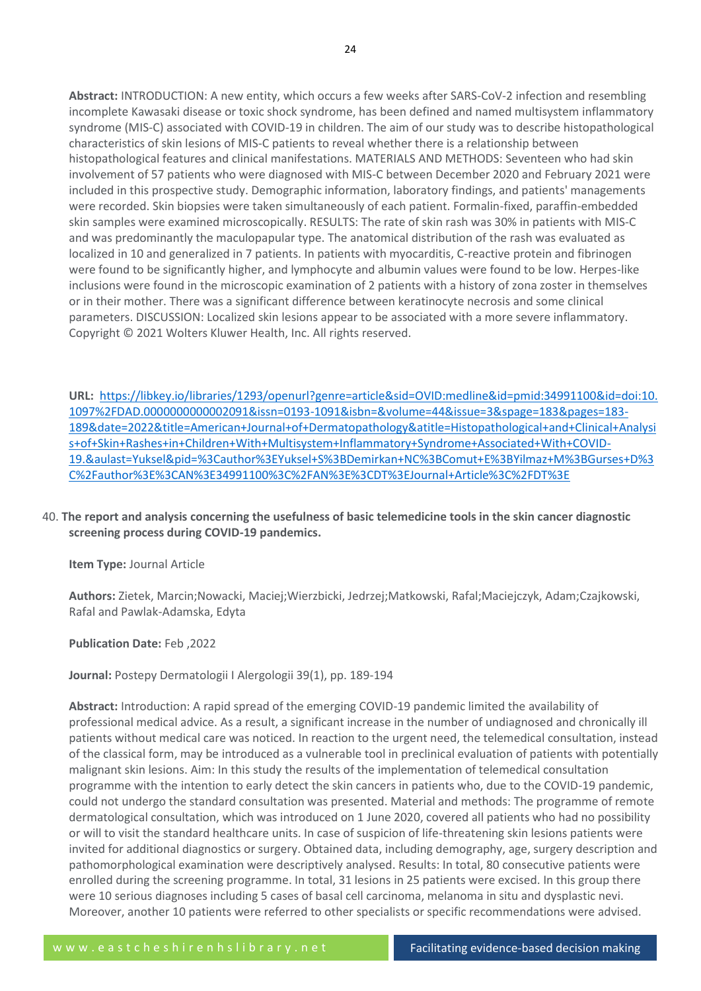**Abstract:** INTRODUCTION: A new entity, which occurs a few weeks after SARS-CoV-2 infection and resembling incomplete Kawasaki disease or toxic shock syndrome, has been defined and named multisystem inflammatory syndrome (MIS-C) associated with COVID-19 in children. The aim of our study was to describe histopathological characteristics of skin lesions of MIS-C patients to reveal whether there is a relationship between histopathological features and clinical manifestations. MATERIALS AND METHODS: Seventeen who had skin involvement of 57 patients who were diagnosed with MIS-C between December 2020 and February 2021 were included in this prospective study. Demographic information, laboratory findings, and patients' managements were recorded. Skin biopsies were taken simultaneously of each patient. Formalin-fixed, paraffin-embedded skin samples were examined microscopically. RESULTS: The rate of skin rash was 30% in patients with MIS-C and was predominantly the maculopapular type. The anatomical distribution of the rash was evaluated as localized in 10 and generalized in 7 patients. In patients with myocarditis, C-reactive protein and fibrinogen were found to be significantly higher, and lymphocyte and albumin values were found to be low. Herpes-like inclusions were found in the microscopic examination of 2 patients with a history of zona zoster in themselves or in their mother. There was a significant difference between keratinocyte necrosis and some clinical parameters. DISCUSSION: Localized skin lesions appear to be associated with a more severe inflammatory. Copyright © 2021 Wolters Kluwer Health, Inc. All rights reserved.

**URL:** [https://libkey.io/libraries/1293/openurl?genre=article&sid=OVID:medline&id=pmid:34991100&id=doi:10.](https://libkey.io/libraries/1293/openurl?genre=article&sid=OVID:medline&id=pmid:34991100&id=doi:10.1097%2FDAD.0000000000002091&issn=0193-1091&isbn=&volume=44&issue=3&spage=183&pages=183-189&date=2022&title=American+Journal+of+Dermatopathology&atitle=Histopathological+and+Clinical+Analysis+of+Skin+Rashes+in+Children+With+Multisystem+Inflammatory+Syndrome+Associated+With+COVID-19.&aulast=Yuksel&pid=%3Cauthor%3EYuksel+S%3BDemirkan+NC%3BComut+E%3BYilmaz+M%3BGurses+D%3C%2Fauthor%3E%3CAN%3E34991100%3C%2FAN%3E%3CDT%3EJournal+Article%3C%2FDT%3E) [1097%2FDAD.0000000000002091&issn=0193-1091&isbn=&volume=44&issue=3&spage=183&pages=183-](https://libkey.io/libraries/1293/openurl?genre=article&sid=OVID:medline&id=pmid:34991100&id=doi:10.1097%2FDAD.0000000000002091&issn=0193-1091&isbn=&volume=44&issue=3&spage=183&pages=183-189&date=2022&title=American+Journal+of+Dermatopathology&atitle=Histopathological+and+Clinical+Analysis+of+Skin+Rashes+in+Children+With+Multisystem+Inflammatory+Syndrome+Associated+With+COVID-19.&aulast=Yuksel&pid=%3Cauthor%3EYuksel+S%3BDemirkan+NC%3BComut+E%3BYilmaz+M%3BGurses+D%3C%2Fauthor%3E%3CAN%3E34991100%3C%2FAN%3E%3CDT%3EJournal+Article%3C%2FDT%3E) [189&date=2022&title=American+Journal+of+Dermatopathology&atitle=Histopathological+and+Clinical+Analysi](https://libkey.io/libraries/1293/openurl?genre=article&sid=OVID:medline&id=pmid:34991100&id=doi:10.1097%2FDAD.0000000000002091&issn=0193-1091&isbn=&volume=44&issue=3&spage=183&pages=183-189&date=2022&title=American+Journal+of+Dermatopathology&atitle=Histopathological+and+Clinical+Analysis+of+Skin+Rashes+in+Children+With+Multisystem+Inflammatory+Syndrome+Associated+With+COVID-19.&aulast=Yuksel&pid=%3Cauthor%3EYuksel+S%3BDemirkan+NC%3BComut+E%3BYilmaz+M%3BGurses+D%3C%2Fauthor%3E%3CAN%3E34991100%3C%2FAN%3E%3CDT%3EJournal+Article%3C%2FDT%3E) [s+of+Skin+Rashes+in+Children+With+Multisystem+Inflammatory+Syndrome+Associated+With+COVID-](https://libkey.io/libraries/1293/openurl?genre=article&sid=OVID:medline&id=pmid:34991100&id=doi:10.1097%2FDAD.0000000000002091&issn=0193-1091&isbn=&volume=44&issue=3&spage=183&pages=183-189&date=2022&title=American+Journal+of+Dermatopathology&atitle=Histopathological+and+Clinical+Analysis+of+Skin+Rashes+in+Children+With+Multisystem+Inflammatory+Syndrome+Associated+With+COVID-19.&aulast=Yuksel&pid=%3Cauthor%3EYuksel+S%3BDemirkan+NC%3BComut+E%3BYilmaz+M%3BGurses+D%3C%2Fauthor%3E%3CAN%3E34991100%3C%2FAN%3E%3CDT%3EJournal+Article%3C%2FDT%3E)[19.&aulast=Yuksel&pid=%3Cauthor%3EYuksel+S%3BDemirkan+NC%3BComut+E%3BYilmaz+M%3BGurses+D%3](https://libkey.io/libraries/1293/openurl?genre=article&sid=OVID:medline&id=pmid:34991100&id=doi:10.1097%2FDAD.0000000000002091&issn=0193-1091&isbn=&volume=44&issue=3&spage=183&pages=183-189&date=2022&title=American+Journal+of+Dermatopathology&atitle=Histopathological+and+Clinical+Analysis+of+Skin+Rashes+in+Children+With+Multisystem+Inflammatory+Syndrome+Associated+With+COVID-19.&aulast=Yuksel&pid=%3Cauthor%3EYuksel+S%3BDemirkan+NC%3BComut+E%3BYilmaz+M%3BGurses+D%3C%2Fauthor%3E%3CAN%3E34991100%3C%2FAN%3E%3CDT%3EJournal+Article%3C%2FDT%3E) [C%2Fauthor%3E%3CAN%3E34991100%3C%2FAN%3E%3CDT%3EJournal+Article%3C%2FDT%3E](https://libkey.io/libraries/1293/openurl?genre=article&sid=OVID:medline&id=pmid:34991100&id=doi:10.1097%2FDAD.0000000000002091&issn=0193-1091&isbn=&volume=44&issue=3&spage=183&pages=183-189&date=2022&title=American+Journal+of+Dermatopathology&atitle=Histopathological+and+Clinical+Analysis+of+Skin+Rashes+in+Children+With+Multisystem+Inflammatory+Syndrome+Associated+With+COVID-19.&aulast=Yuksel&pid=%3Cauthor%3EYuksel+S%3BDemirkan+NC%3BComut+E%3BYilmaz+M%3BGurses+D%3C%2Fauthor%3E%3CAN%3E34991100%3C%2FAN%3E%3CDT%3EJournal+Article%3C%2FDT%3E)

# 40. **The report and analysis concerning the usefulness of basic telemedicine tools in the skin cancer diagnostic screening process during COVID-19 pandemics.**

**Item Type:** Journal Article

**Authors:** Zietek, Marcin;Nowacki, Maciej;Wierzbicki, Jedrzej;Matkowski, Rafal;Maciejczyk, Adam;Czajkowski, Rafal and Pawlak-Adamska, Edyta

# **Publication Date:** Feb ,2022

**Journal:** Postepy Dermatologii I Alergologii 39(1), pp. 189-194

**Abstract:** Introduction: A rapid spread of the emerging COVID-19 pandemic limited the availability of professional medical advice. As a result, a significant increase in the number of undiagnosed and chronically ill patients without medical care was noticed. In reaction to the urgent need, the telemedical consultation, instead of the classical form, may be introduced as a vulnerable tool in preclinical evaluation of patients with potentially malignant skin lesions. Aim: In this study the results of the implementation of telemedical consultation programme with the intention to early detect the skin cancers in patients who, due to the COVID-19 pandemic, could not undergo the standard consultation was presented. Material and methods: The programme of remote dermatological consultation, which was introduced on 1 June 2020, covered all patients who had no possibility or will to visit the standard healthcare units. In case of suspicion of life-threatening skin lesions patients were invited for additional diagnostics or surgery. Obtained data, including demography, age, surgery description and pathomorphological examination were descriptively analysed. Results: In total, 80 consecutive patients were enrolled during the screening programme. In total, 31 lesions in 25 patients were excised. In this group there were 10 serious diagnoses including 5 cases of basal cell carcinoma, melanoma in situ and dysplastic nevi. Moreover, another 10 patients were referred to other specialists or specific recommendations were advised.